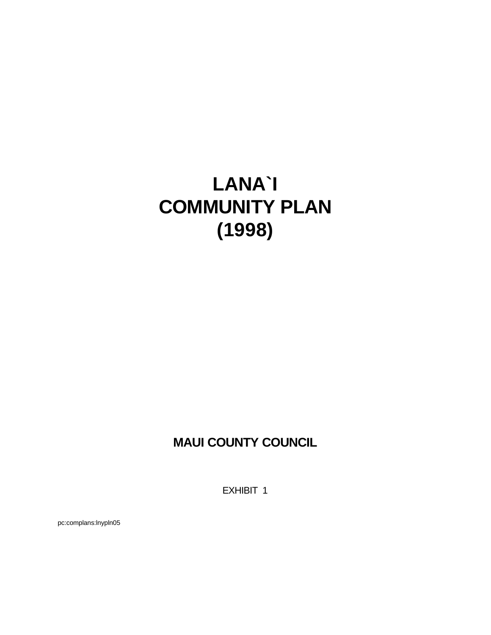# **LANA`I COMMUNITY PLAN (1998)**

# **MAUI COUNTY COUNCIL**

EXHIBIT 1

pc:complans:lnypln05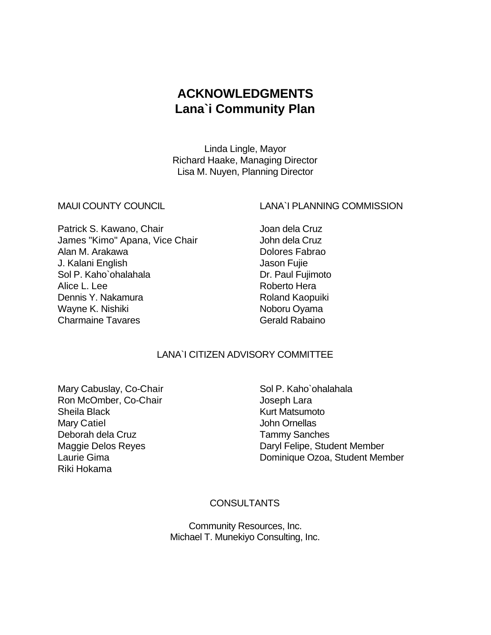# **ACKNOWLEDGMENTS Lana`i Community Plan**

Linda Lingle, Mayor Richard Haake, Managing Director Lisa M. Nuyen, Planning Director

#### MAUI COUNTY COUNCIL LANA`I PLANNING COMMISSION

Patrick S. Kawano, Chair **Joan dela Cruz** James "Kimo" Apana, Vice Chair **John dela Cruz** Alan M. Arakawa **Dolores Fabrao** J. Kalani English Jason Fujie Sol P. Kaho`ohalahala Dr. Paul Fujimoto Alice L. Lee **Roberto Hera** Dennis Y. Nakamura **Roland Kaopuiki** Wayne K. Nishiki Noboru Oyama Charmaine Tavares Charmaine Tavares Charmaine Tavares Charmaine Charmaine

### LANA`I CITIZEN ADVISORY COMMITTEE

Mary Cabuslay, Co-Chair Sol P. Kaho`ohalahala Ron McOmber, Co-Chair **International Company** Joseph Lara Sheila Black **Kurt Matsumoto** Mary Catiel **Mary Catiel According to According the United States** John Ornellas Deborah dela Cruz Tammy Sanches Riki Hokama

Maggie Delos Reyes **Daryl Felipe, Student Member** Laurie Gima **Dominique Ozoa, Student Member** 

#### **CONSULTANTS**

Community Resources, Inc. Michael T. Munekiyo Consulting, Inc.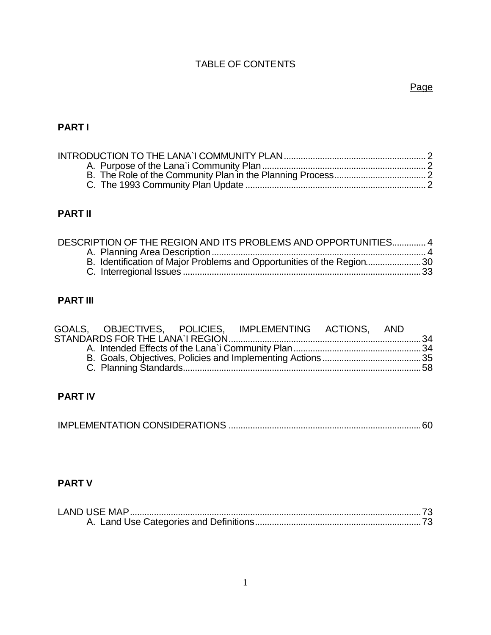# TABLE OF CONTENTS

# Page

# **PART I**

# **PART II**

| DESCRIPTION OF THE REGION AND ITS PROBLEMS AND OPPORTUNITIES 4 |                                                                        |
|----------------------------------------------------------------|------------------------------------------------------------------------|
|                                                                |                                                                        |
|                                                                | B. Identification of Major Problems and Opportunities of the Region 30 |
|                                                                |                                                                        |

# **PART III**

|  | GOALS, OBJECTIVES, POLICIES, IMPLEMENTING ACTIONS, AND |  |  |
|--|--------------------------------------------------------|--|--|
|  |                                                        |  |  |
|  |                                                        |  |  |
|  |                                                        |  |  |
|  |                                                        |  |  |
|  |                                                        |  |  |

# **PART IV**

|--|

# **PART V**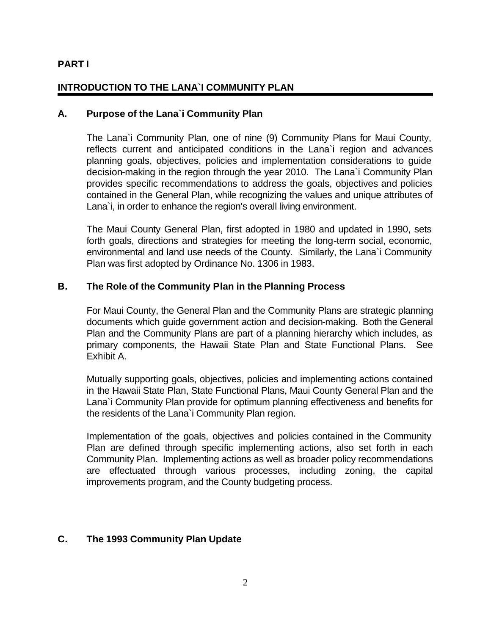#### **PART I**

#### **INTRODUCTION TO THE LANA`I COMMUNITY PLAN**

#### **A. Purpose of the Lana`i Community Plan**

The Lana`i Community Plan, one of nine (9) Community Plans for Maui County, reflects current and anticipated conditions in the Lana`i region and advances planning goals, objectives, policies and implementation considerations to guide decision-making in the region through the year 2010. The Lana`i Community Plan provides specific recommendations to address the goals, objectives and policies contained in the General Plan, while recognizing the values and unique attributes of Lana`i, in order to enhance the region's overall living environment.

The Maui County General Plan, first adopted in 1980 and updated in 1990, sets forth goals, directions and strategies for meeting the long-term social, economic, environmental and land use needs of the County. Similarly, the Lana`i Community Plan was first adopted by Ordinance No. 1306 in 1983.

#### **B. The Role of the Community Plan in the Planning Process**

For Maui County, the General Plan and the Community Plans are strategic planning documents which guide government action and decision-making. Both the General Plan and the Community Plans are part of a planning hierarchy which includes, as primary components, the Hawaii State Plan and State Functional Plans. See Exhibit A.

Mutually supporting goals, objectives, policies and implementing actions contained in the Hawaii State Plan, State Functional Plans, Maui County General Plan and the Lana`i Community Plan provide for optimum planning effectiveness and benefits for the residents of the Lana`i Community Plan region.

Implementation of the goals, objectives and policies contained in the Community Plan are defined through specific implementing actions, also set forth in each Community Plan. Implementing actions as well as broader policy recommendations are effectuated through various processes, including zoning, the capital improvements program, and the County budgeting process.

#### **C. The 1993 Community Plan Update**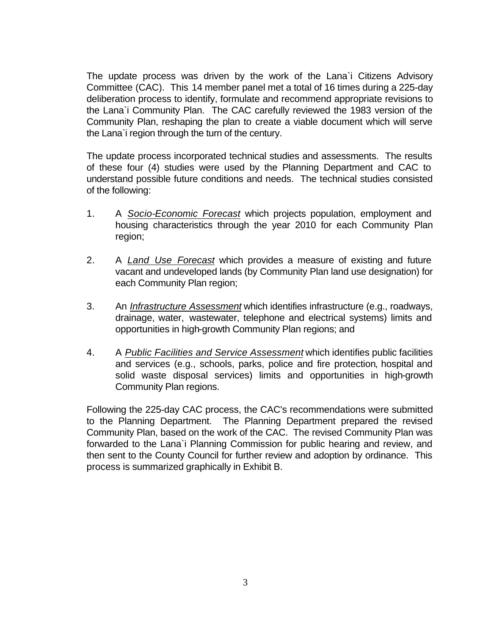The update process was driven by the work of the Lana`i Citizens Advisory Committee (CAC). This 14 member panel met a total of 16 times during a 225-day deliberation process to identify, formulate and recommend appropriate revisions to the Lana`i Community Plan. The CAC carefully reviewed the 1983 version of the Community Plan, reshaping the plan to create a viable document which will serve the Lana`i region through the turn of the century.

The update process incorporated technical studies and assessments. The results of these four (4) studies were used by the Planning Department and CAC to understand possible future conditions and needs. The technical studies consisted of the following:

- 1. A *Socio-Economic Forecast* which projects population, employment and housing characteristics through the year 2010 for each Community Plan region;
- 2. A *Land Use Forecast* which provides a measure of existing and future vacant and undeveloped lands (by Community Plan land use designation) for each Community Plan region;
- 3. An *Infrastructure Assessment* which identifies infrastructure (e.g., roadways, drainage, water, wastewater, telephone and electrical systems) limits and opportunities in high-growth Community Plan regions; and
- 4. A *Public Facilities and Service Assessment* which identifies public facilities and services (e.g., schools, parks, police and fire protection, hospital and solid waste disposal services) limits and opportunities in high-growth Community Plan regions.

Following the 225-day CAC process, the CAC's recommendations were submitted to the Planning Department. The Planning Department prepared the revised Community Plan, based on the work of the CAC. The revised Community Plan was forwarded to the Lana`i Planning Commission for public hearing and review, and then sent to the County Council for further review and adoption by ordinance. This process is summarized graphically in Exhibit B.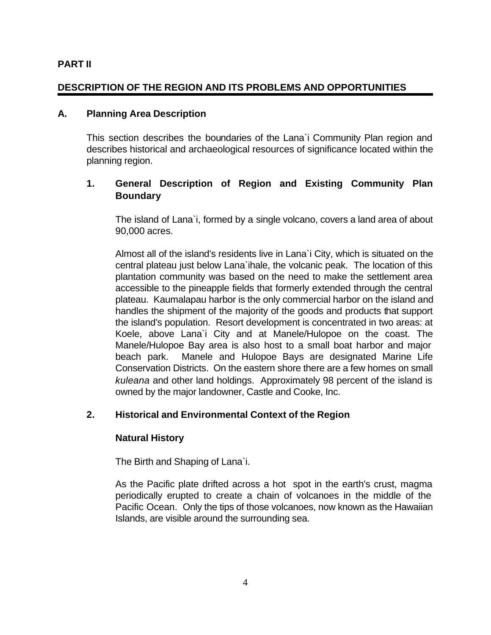#### **PART II**

#### **DESCRIPTION OF THE REGION AND ITS PROBLEMS AND OPPORTUNITIES**

#### **A. Planning Area Description**

This section describes the boundaries of the Lana`i Community Plan region and describes historical and archaeological resources of significance located within the planning region.

#### **1. General Description of Region and Existing Community Plan Boundary**

The island of Lana`i, formed by a single volcano, covers a land area of about 90,000 acres.

Almost all of the island's residents live in Lana`i City, which is situated on the central plateau just below Lana`ihale, the volcanic peak. The location of this plantation community was based on the need to make the settlement area accessible to the pineapple fields that formerly extended through the central plateau. Kaumalapau harbor is the only commercial harbor on the island and handles the shipment of the majority of the goods and products that support the island's population. Resort development is concentrated in two areas: at Koele, above Lana`i City and at Manele/Hulopoe on the coast. The Manele/Hulopoe Bay area is also host to a small boat harbor and major beach park. Manele and Hulopoe Bays are designated Marine Life Conservation Districts. On the eastern shore there are a few homes on small *kuleana* and other land holdings. Approximately 98 percent of the island is owned by the major landowner, Castle and Cooke, Inc.

#### **2. Historical and Environmental Context of the Region**

#### **Natural History**

The Birth and Shaping of Lana`i.

As the Pacific plate drifted across a hot spot in the earth's crust, magma periodically erupted to create a chain of volcanoes in the middle of the Pacific Ocean. Only the tips of those volcanoes, now known as the Hawaiian Islands, are visible around the surrounding sea.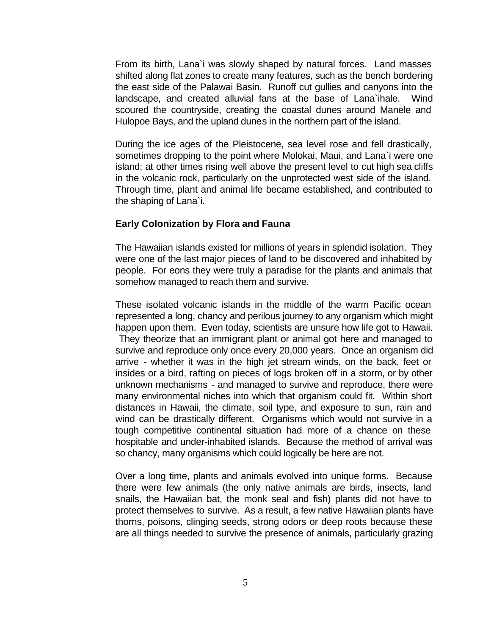From its birth, Lana`i was slowly shaped by natural forces. Land masses shifted along flat zones to create many features, such as the bench bordering the east side of the Palawai Basin. Runoff cut gullies and canyons into the landscape, and created alluvial fans at the base of Lana`ihale. Wind scoured the countryside, creating the coastal dunes around Manele and Hulopoe Bays, and the upland dunes in the northern part of the island.

During the ice ages of the Pleistocene, sea level rose and fell drastically, sometimes dropping to the point where Molokai, Maui, and Lana`i were one island; at other times rising well above the present level to cut high sea cliffs in the volcanic rock, particularly on the unprotected west side of the island. Through time, plant and animal life became established, and contributed to the shaping of Lana`i.

#### **Early Colonization by Flora and Fauna**

The Hawaiian islands existed for millions of years in splendid isolation. They were one of the last major pieces of land to be discovered and inhabited by people. For eons they were truly a paradise for the plants and animals that somehow managed to reach them and survive.

These isolated volcanic islands in the middle of the warm Pacific ocean represented a long, chancy and perilous journey to any organism which might happen upon them. Even today, scientists are unsure how life got to Hawaii. They theorize that an immigrant plant or animal got here and managed to survive and reproduce only once every 20,000 years. Once an organism did arrive - whether it was in the high jet stream winds, on the back, feet or insides or a bird, rafting on pieces of logs broken off in a storm, or by other unknown mechanisms - and managed to survive and reproduce, there were many environmental niches into which that organism could fit. Within short distances in Hawaii, the climate, soil type, and exposure to sun, rain and wind can be drastically different. Organisms which would not survive in a tough competitive continental situation had more of a chance on these hospitable and under-inhabited islands. Because the method of arrival was so chancy, many organisms which could logically be here are not.

Over a long time, plants and animals evolved into unique forms. Because there were few animals (the only native animals are birds, insects, land snails, the Hawaiian bat, the monk seal and fish) plants did not have to protect themselves to survive. As a result, a few native Hawaiian plants have thorns, poisons, clinging seeds, strong odors or deep roots because these are all things needed to survive the presence of animals, particularly grazing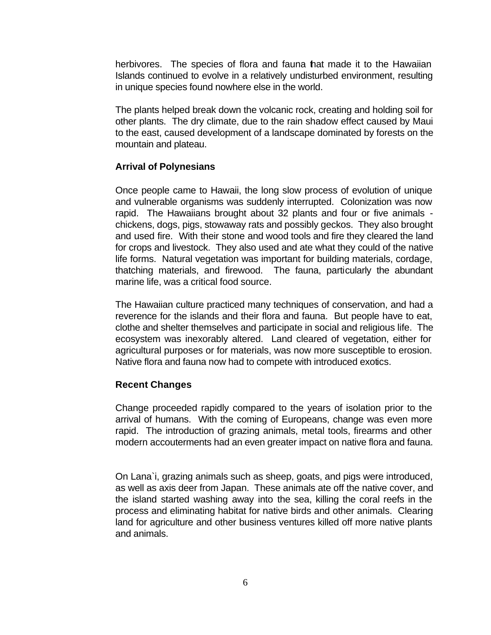herbivores. The species of flora and fauna hat made it to the Hawaiian Islands continued to evolve in a relatively undisturbed environment, resulting in unique species found nowhere else in the world.

The plants helped break down the volcanic rock, creating and holding soil for other plants. The dry climate, due to the rain shadow effect caused by Maui to the east, caused development of a landscape dominated by forests on the mountain and plateau.

#### **Arrival of Polynesians**

Once people came to Hawaii, the long slow process of evolution of unique and vulnerable organisms was suddenly interrupted. Colonization was now rapid. The Hawaiians brought about 32 plants and four or five animals chickens, dogs, pigs, stowaway rats and possibly geckos. They also brought and used fire. With their stone and wood tools and fire they cleared the land for crops and livestock. They also used and ate what they could of the native life forms. Natural vegetation was important for building materials, cordage, thatching materials, and firewood. The fauna, particularly the abundant marine life, was a critical food source.

The Hawaiian culture practiced many techniques of conservation, and had a reverence for the islands and their flora and fauna. But people have to eat, clothe and shelter themselves and participate in social and religious life. The ecosystem was inexorably altered. Land cleared of vegetation, either for agricultural purposes or for materials, was now more susceptible to erosion. Native flora and fauna now had to compete with introduced exotics.

#### **Recent Changes**

Change proceeded rapidly compared to the years of isolation prior to the arrival of humans. With the coming of Europeans, change was even more rapid. The introduction of grazing animals, metal tools, firearms and other modern accouterments had an even greater impact on native flora and fauna.

On Lana`i, grazing animals such as sheep, goats, and pigs were introduced, as well as axis deer from Japan. These animals ate off the native cover, and the island started washing away into the sea, killing the coral reefs in the process and eliminating habitat for native birds and other animals. Clearing land for agriculture and other business ventures killed off more native plants and animals.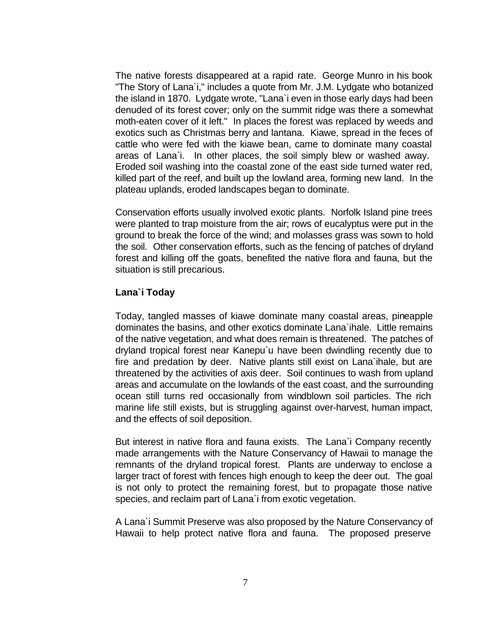The native forests disappeared at a rapid rate. George Munro in his book "The Story of Lana`i," includes a quote from Mr. J.M. Lydgate who botanized the island in 1870. Lydgate wrote, "Lana`i even in those early days had been denuded of its forest cover; only on the summit ridge was there a somewhat moth-eaten cover of it left." In places the forest was replaced by weeds and exotics such as Christmas berry and lantana. Kiawe, spread in the feces of cattle who were fed with the kiawe bean, came to dominate many coastal areas of Lana`i. In other places, the soil simply blew or washed away. Eroded soil washing into the coastal zone of the east side turned water red, killed part of the reef, and built up the lowland area, forming new land. In the plateau uplands, eroded landscapes began to dominate.

Conservation efforts usually involved exotic plants. Norfolk Island pine trees were planted to trap moisture from the air; rows of eucalyptus were put in the ground to break the force of the wind; and molasses grass was sown to hold the soil. Other conservation efforts, such as the fencing of patches of dryland forest and killing off the goats, benefited the native flora and fauna, but the situation is still precarious.

#### **Lana`i Today**

Today, tangled masses of kiawe dominate many coastal areas, pineapple dominates the basins, and other exotics dominate Lana`ihale. Little remains of the native vegetation, and what does remain is threatened. The patches of dryland tropical forest near Kanepu`u have been dwindling recently due to fire and predation by deer. Native plants still exist on Lana`ihale, but are threatened by the activities of axis deer. Soil continues to wash from upland areas and accumulate on the lowlands of the east coast, and the surrounding ocean still turns red occasionally from windblown soil particles. The rich marine life still exists, but is struggling against over-harvest, human impact, and the effects of soil deposition.

But interest in native flora and fauna exists. The Lana`i Company recently made arrangements with the Nature Conservancy of Hawaii to manage the remnants of the dryland tropical forest. Plants are underway to enclose a larger tract of forest with fences high enough to keep the deer out. The goal is not only to protect the remaining forest, but to propagate those native species, and reclaim part of Lana`i from exotic vegetation.

A Lana`i Summit Preserve was also proposed by the Nature Conservancy of Hawaii to help protect native flora and fauna. The proposed preserve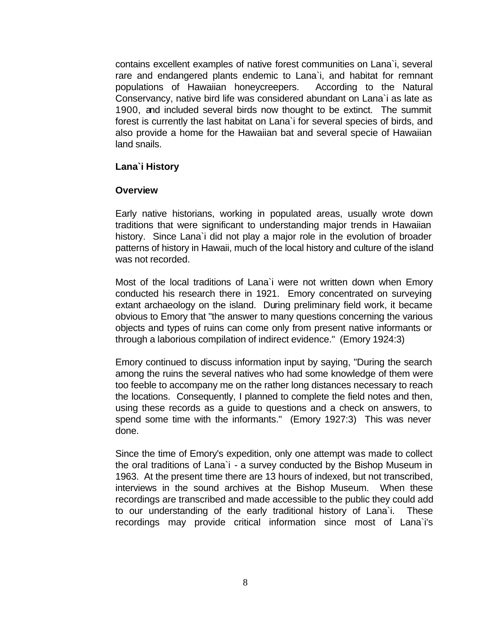contains excellent examples of native forest communities on Lana`i, several rare and endangered plants endemic to Lana`i, and habitat for remnant populations of Hawaiian honeycreepers. According to the Natural Conservancy, native bird life was considered abundant on Lana`i as late as 1900, and included several birds now thought to be extinct. The summit forest is currently the last habitat on Lana`i for several species of birds, and also provide a home for the Hawaiian bat and several specie of Hawaiian land snails.

#### **Lana`i History**

#### **Overview**

Early native historians, working in populated areas, usually wrote down traditions that were significant to understanding major trends in Hawaiian history. Since Lana`i did not play a major role in the evolution of broader patterns of history in Hawaii, much of the local history and culture of the island was not recorded.

Most of the local traditions of Lana`i were not written down when Emory conducted his research there in 1921. Emory concentrated on surveying extant archaeology on the island. During preliminary field work, it became obvious to Emory that "the answer to many questions concerning the various objects and types of ruins can come only from present native informants or through a laborious compilation of indirect evidence." (Emory 1924:3)

Emory continued to discuss information input by saying, "During the search among the ruins the several natives who had some knowledge of them were too feeble to accompany me on the rather long distances necessary to reach the locations. Consequently, I planned to complete the field notes and then, using these records as a guide to questions and a check on answers, to spend some time with the informants." (Emory 1927:3) This was never done.

Since the time of Emory's expedition, only one attempt was made to collect the oral traditions of Lana`i - a survey conducted by the Bishop Museum in 1963. At the present time there are 13 hours of indexed, but not transcribed, interviews in the sound archives at the Bishop Museum. When these recordings are transcribed and made accessible to the public they could add to our understanding of the early traditional history of Lana`i. These recordings may provide critical information since most of Lana`i's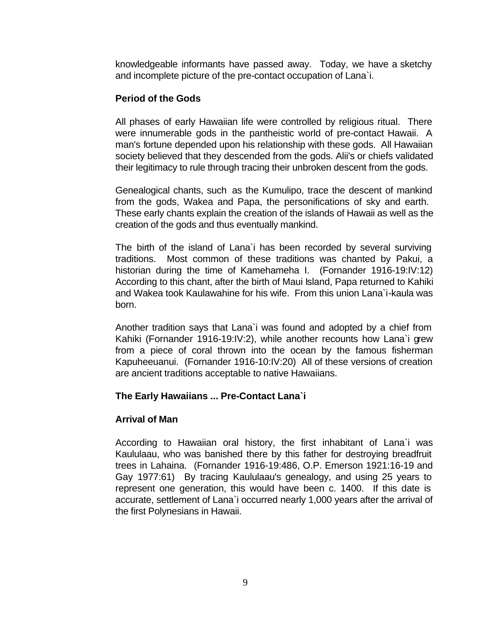knowledgeable informants have passed away. Today, we have a sketchy and incomplete picture of the pre-contact occupation of Lana`i.

#### **Period of the Gods**

All phases of early Hawaiian life were controlled by religious ritual. There were innumerable gods in the pantheistic world of pre-contact Hawaii. A man's fortune depended upon his relationship with these gods. All Hawaiian society believed that they descended from the gods. Alii's or chiefs validated their legitimacy to rule through tracing their unbroken descent from the gods.

Genealogical chants, such as the Kumulipo, trace the descent of mankind from the gods, Wakea and Papa, the personifications of sky and earth. These early chants explain the creation of the islands of Hawaii as well as the creation of the gods and thus eventually mankind.

The birth of the island of Lana`i has been recorded by several surviving traditions. Most common of these traditions was chanted by Pakui, a historian during the time of Kamehameha I. (Fornander 1916-19:IV:12) According to this chant, after the birth of Maui Island, Papa returned to Kahiki and Wakea took Kaulawahine for his wife. From this union Lana`i-kaula was born.

Another tradition says that Lana`i was found and adopted by a chief from Kahiki (Fornander 1916-19:IV:2), while another recounts how Lana`i grew from a piece of coral thrown into the ocean by the famous fisherman Kapuheeuanui. (Fornander 1916-10:IV:20) All of these versions of creation are ancient traditions acceptable to native Hawaiians.

#### **The Early Hawaiians ... Pre-Contact Lana`i**

#### **Arrival of Man**

According to Hawaiian oral history, the first inhabitant of Lana`i was Kaululaau, who was banished there by this father for destroying breadfruit trees in Lahaina. (Fornander 1916-19:486, O.P. Emerson 1921:16-19 and Gay 1977:61) By tracing Kaululaau's genealogy, and using 25 years to represent one generation, this would have been c. 1400. If this date is accurate, settlement of Lana`i occurred nearly 1,000 years after the arrival of the first Polynesians in Hawaii.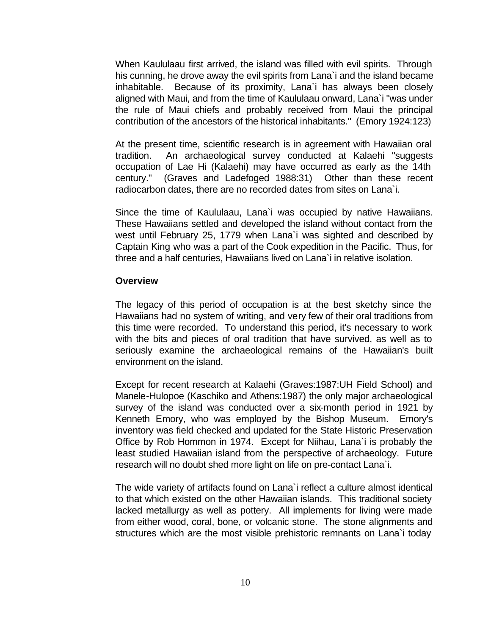When Kaululaau first arrived, the island was filled with evil spirits. Through his cunning, he drove away the evil spirits from Lana`i and the island became inhabitable. Because of its proximity, Lana`i has always been closely aligned with Maui, and from the time of Kaululaau onward, Lana`i "was under the rule of Maui chiefs and probably received from Maui the principal contribution of the ancestors of the historical inhabitants." (Emory 1924:123)

At the present time, scientific research is in agreement with Hawaiian oral tradition. An archaeological survey conducted at Kalaehi "suggests occupation of Lae Hi (Kalaehi) may have occurred as early as the 14th century." (Graves and Ladefoged 1988:31) Other than these recent radiocarbon dates, there are no recorded dates from sites on Lana`i.

Since the time of Kaululaau, Lana`i was occupied by native Hawaiians. These Hawaiians settled and developed the island without contact from the west until February 25, 1779 when Lana`i was sighted and described by Captain King who was a part of the Cook expedition in the Pacific. Thus, for three and a half centuries, Hawaiians lived on Lana`i in relative isolation.

#### **Overview**

The legacy of this period of occupation is at the best sketchy since the Hawaiians had no system of writing, and very few of their oral traditions from this time were recorded. To understand this period, it's necessary to work with the bits and pieces of oral tradition that have survived, as well as to seriously examine the archaeological remains of the Hawaiian's built environment on the island.

Except for recent research at Kalaehi (Graves:1987:UH Field School) and Manele-Hulopoe (Kaschiko and Athens:1987) the only major archaeological survey of the island was conducted over a six-month period in 1921 by Kenneth Emory, who was employed by the Bishop Museum. Emory's inventory was field checked and updated for the State Historic Preservation Office by Rob Hommon in 1974. Except for Niihau, Lana`i is probably the least studied Hawaiian island from the perspective of archaeology. Future research will no doubt shed more light on life on pre-contact Lana`i.

The wide variety of artifacts found on Lana`i reflect a culture almost identical to that which existed on the other Hawaiian islands. This traditional society lacked metallurgy as well as pottery. All implements for living were made from either wood, coral, bone, or volcanic stone. The stone alignments and structures which are the most visible prehistoric remnants on Lana`i today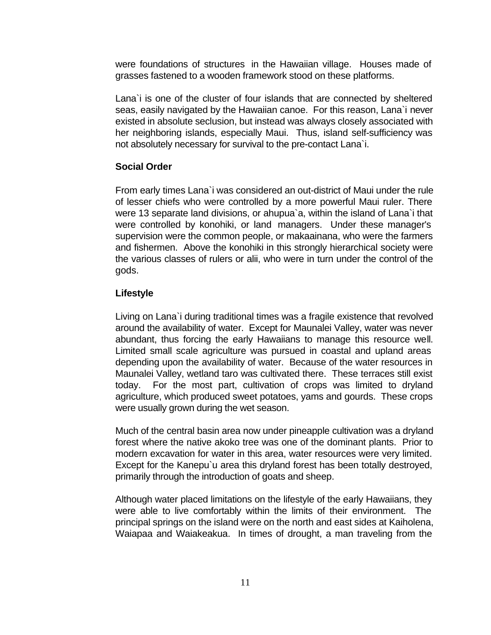were foundations of structures in the Hawaiian village. Houses made of grasses fastened to a wooden framework stood on these platforms.

Lana`i is one of the cluster of four islands that are connected by sheltered seas, easily navigated by the Hawaiian canoe. For this reason, Lana`i never existed in absolute seclusion, but instead was always closely associated with her neighboring islands, especially Maui. Thus, island self-sufficiency was not absolutely necessary for survival to the pre-contact Lana`i.

#### **Social Order**

From early times Lana`i was considered an out-district of Maui under the rule of lesser chiefs who were controlled by a more powerful Maui ruler. There were 13 separate land divisions, or ahupua`a, within the island of Lana`i that were controlled by konohiki, or land managers. Under these manager's supervision were the common people, or makaainana, who were the farmers and fishermen. Above the konohiki in this strongly hierarchical society were the various classes of rulers or alii, who were in turn under the control of the gods.

#### **Lifestyle**

Living on Lana`i during traditional times was a fragile existence that revolved around the availability of water. Except for Maunalei Valley, water was never abundant, thus forcing the early Hawaiians to manage this resource well. Limited small scale agriculture was pursued in coastal and upland areas depending upon the availability of water. Because of the water resources in Maunalei Valley, wetland taro was cultivated there. These terraces still exist today. For the most part, cultivation of crops was limited to dryland agriculture, which produced sweet potatoes, yams and gourds. These crops were usually grown during the wet season.

Much of the central basin area now under pineapple cultivation was a dryland forest where the native akoko tree was one of the dominant plants. Prior to modern excavation for water in this area, water resources were very limited. Except for the Kanepu`u area this dryland forest has been totally destroyed, primarily through the introduction of goats and sheep.

Although water placed limitations on the lifestyle of the early Hawaiians, they were able to live comfortably within the limits of their environment. The principal springs on the island were on the north and east sides at Kaiholena, Waiapaa and Waiakeakua. In times of drought, a man traveling from the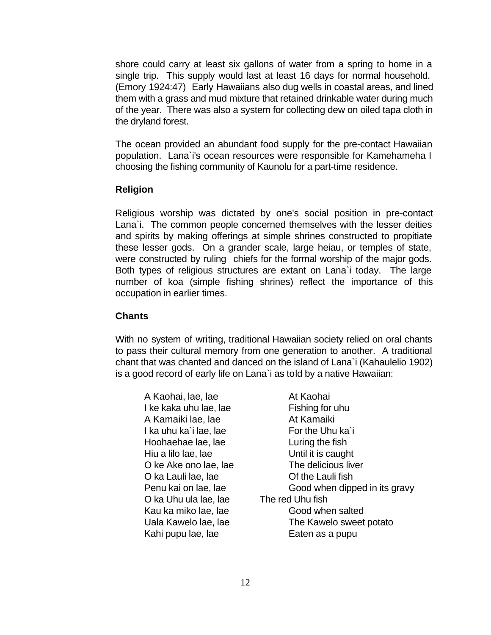shore could carry at least six gallons of water from a spring to home in a single trip. This supply would last at least 16 days for normal household. (Emory 1924:47) Early Hawaiians also dug wells in coastal areas, and lined them with a grass and mud mixture that retained drinkable water during much of the year. There was also a system for collecting dew on oiled tapa cloth in the dryland forest.

The ocean provided an abundant food supply for the pre-contact Hawaiian population. Lana`i's ocean resources were responsible for Kamehameha I choosing the fishing community of Kaunolu for a part-time residence.

#### **Religion**

Religious worship was dictated by one's social position in pre-contact Lana`i. The common people concerned themselves with the lesser deities and spirits by making offerings at simple shrines constructed to propitiate these lesser gods. On a grander scale, large heiau, or temples of state, were constructed by ruling chiefs for the formal worship of the major gods. Both types of religious structures are extant on Lana`i today. The large number of koa (simple fishing shrines) reflect the importance of this occupation in earlier times.

#### **Chants**

With no system of writing, traditional Hawaiian society relied on oral chants to pass their cultural memory from one generation to another. A traditional chant that was chanted and danced on the island of Lana`i (Kahaulelio 1902) is a good record of early life on Lana`i as told by a native Hawaiian:

| A Kaohai, lae, lae     | At Kaohai                     |
|------------------------|-------------------------------|
| I ke kaka uhu lae, lae | Fishing for uhu               |
| A Kamaiki lae, lae     | At Kamaiki                    |
| I ka uhu ka`i lae, lae | For the Uhu ka'i              |
| Hoohaehae lae, lae     | Luring the fish               |
| Hiu a lilo lae, lae    | Until it is caught            |
| O ke Ake ono lae, lae  | The delicious liver           |
| O ka Lauli lae, lae    | Of the Lauli fish             |
| Penu kai on lae, lae   | Good when dipped in its gravy |
| O ka Uhu ula lae, lae  | The red Uhu fish              |
| Kau ka miko lae, lae   | Good when salted              |
| Uala Kawelo lae, lae   | The Kawelo sweet potato       |
| Kahi pupu lae, lae     | Eaten as a pupu               |
|                        |                               |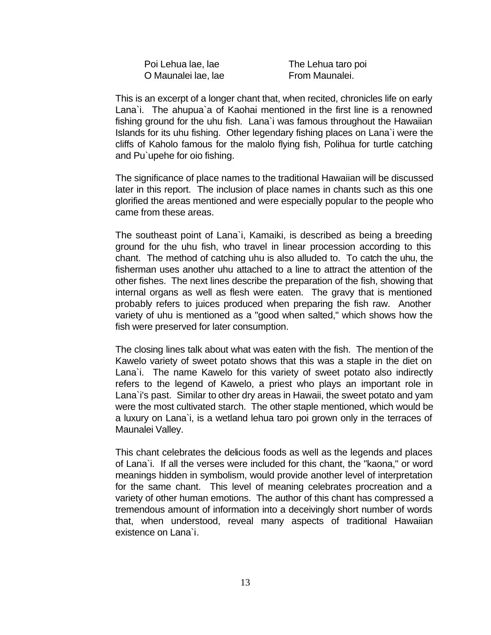| Poi Lehua lae, lae  |
|---------------------|
| O Maunalei lae, lae |

The Lehua taro poi From Maunalei.

This is an excerpt of a longer chant that, when recited, chronicles life on early Lana`i. The ahupua`a of Kaohai mentioned in the first line is a renowned fishing ground for the uhu fish. Lana`i was famous throughout the Hawaiian Islands for its uhu fishing. Other legendary fishing places on Lana`i were the cliffs of Kaholo famous for the malolo flying fish, Polihua for turtle catching and Pu`upehe for oio fishing.

The significance of place names to the traditional Hawaiian will be discussed later in this report. The inclusion of place names in chants such as this one glorified the areas mentioned and were especially popular to the people who came from these areas.

The southeast point of Lana`i, Kamaiki, is described as being a breeding ground for the uhu fish, who travel in linear procession according to this chant. The method of catching uhu is also alluded to. To catch the uhu, the fisherman uses another uhu attached to a line to attract the attention of the other fishes. The next lines describe the preparation of the fish, showing that internal organs as well as flesh were eaten. The gravy that is mentioned probably refers to juices produced when preparing the fish raw. Another variety of uhu is mentioned as a "good when salted," which shows how the fish were preserved for later consumption.

The closing lines talk about what was eaten with the fish. The mention of the Kawelo variety of sweet potato shows that this was a staple in the diet on Lana`i. The name Kawelo for this variety of sweet potato also indirectly refers to the legend of Kawelo, a priest who plays an important role in Lana`i's past. Similar to other dry areas in Hawaii, the sweet potato and yam were the most cultivated starch. The other staple mentioned, which would be a luxury on Lana`i, is a wetland lehua taro poi grown only in the terraces of Maunalei Valley.

This chant celebrates the delicious foods as well as the legends and places of Lana`i. If all the verses were included for this chant, the "kaona," or word meanings hidden in symbolism, would provide another level of interpretation for the same chant. This level of meaning celebrates procreation and a variety of other human emotions. The author of this chant has compressed a tremendous amount of information into a deceivingly short number of words that, when understood, reveal many aspects of traditional Hawaiian existence on Lana`i.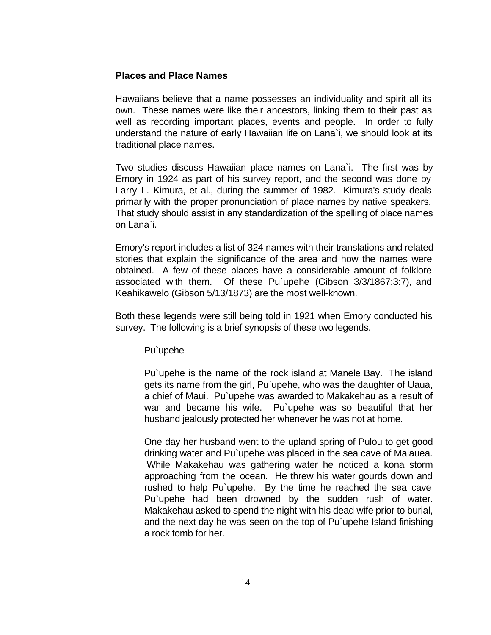#### **Places and Place Names**

Hawaiians believe that a name possesses an individuality and spirit all its own. These names were like their ancestors, linking them to their past as well as recording important places, events and people. In order to fully understand the nature of early Hawaiian life on Lana`i, we should look at its traditional place names.

Two studies discuss Hawaiian place names on Lana`i. The first was by Emory in 1924 as part of his survey report, and the second was done by Larry L. Kimura, et al., during the summer of 1982. Kimura's study deals primarily with the proper pronunciation of place names by native speakers. That study should assist in any standardization of the spelling of place names on Lana`i.

Emory's report includes a list of 324 names with their translations and related stories that explain the significance of the area and how the names were obtained. A few of these places have a considerable amount of folklore associated with them. Of these Pu`upehe (Gibson 3/3/1867:3:7), and Keahikawelo (Gibson 5/13/1873) are the most well-known.

Both these legends were still being told in 1921 when Emory conducted his survey. The following is a brief synopsis of these two legends.

Pu`upehe

Pu`upehe is the name of the rock island at Manele Bay. The island gets its name from the girl, Pu`upehe, who was the daughter of Uaua, a chief of Maui. Pu`upehe was awarded to Makakehau as a result of war and became his wife. Pu`upehe was so beautiful that her husband jealously protected her whenever he was not at home.

One day her husband went to the upland spring of Pulou to get good drinking water and Pu`upehe was placed in the sea cave of Malauea. While Makakehau was gathering water he noticed a kona storm approaching from the ocean. He threw his water gourds down and rushed to help Pu`upehe. By the time he reached the sea cave Pu`upehe had been drowned by the sudden rush of water. Makakehau asked to spend the night with his dead wife prior to burial, and the next day he was seen on the top of Pu`upehe Island finishing a rock tomb for her.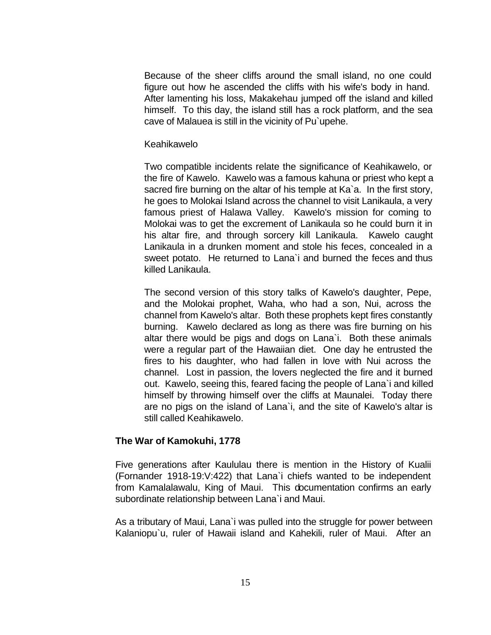Because of the sheer cliffs around the small island, no one could figure out how he ascended the cliffs with his wife's body in hand. After lamenting his loss, Makakehau jumped off the island and killed himself. To this day, the island still has a rock platform, and the sea cave of Malauea is still in the vicinity of Pu`upehe.

#### Keahikawelo

Two compatible incidents relate the significance of Keahikawelo, or the fire of Kawelo. Kawelo was a famous kahuna or priest who kept a sacred fire burning on the altar of his temple at Ka`a. In the first story, he goes to Molokai Island across the channel to visit Lanikaula, a very famous priest of Halawa Valley. Kawelo's mission for coming to Molokai was to get the excrement of Lanikaula so he could burn it in his altar fire, and through sorcery kill Lanikaula. Kawelo caught Lanikaula in a drunken moment and stole his feces, concealed in a sweet potato. He returned to Lana`i and burned the feces and thus killed Lanikaula.

The second version of this story talks of Kawelo's daughter, Pepe, and the Molokai prophet, Waha, who had a son, Nui, across the channel from Kawelo's altar. Both these prophets kept fires constantly burning. Kawelo declared as long as there was fire burning on his altar there would be pigs and dogs on Lana`i. Both these animals were a regular part of the Hawaiian diet. One day he entrusted the fires to his daughter, who had fallen in love with Nui across the channel. Lost in passion, the lovers neglected the fire and it burned out. Kawelo, seeing this, feared facing the people of Lana`i and killed himself by throwing himself over the cliffs at Maunalei. Today there are no pigs on the island of Lana`i, and the site of Kawelo's altar is still called Keahikawelo.

#### **The War of Kamokuhi, 1778**

Five generations after Kaululau there is mention in the History of Kualii (Fornander 1918-19:V:422) that Lana`i chiefs wanted to be independent from Kamalalawalu, King of Maui. This documentation confirms an early subordinate relationship between Lana`i and Maui.

As a tributary of Maui, Lana`i was pulled into the struggle for power between Kalaniopu`u, ruler of Hawaii island and Kahekili, ruler of Maui. After an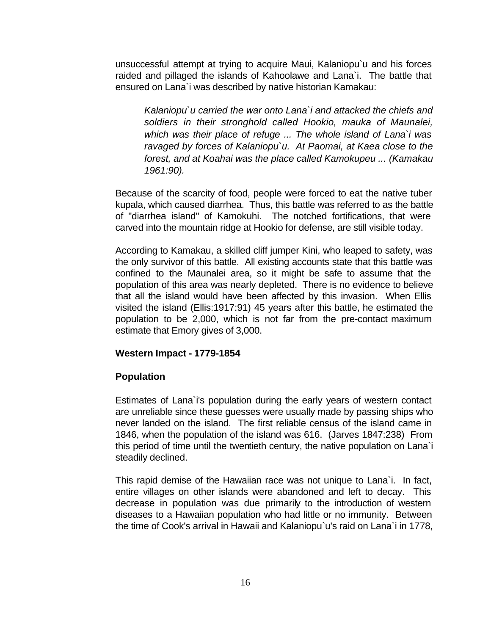unsuccessful attempt at trying to acquire Maui, Kalaniopu`u and his forces raided and pillaged the islands of Kahoolawe and Lana`i. The battle that ensured on Lana`i was described by native historian Kamakau:

*Kalaniopu`u carried the war onto Lana`i and attacked the chiefs and soldiers in their stronghold called Hookio, mauka of Maunalei, which was their place of refuge ... The whole island of Lana`i was ravaged by forces of Kalaniopu`u. At Paomai, at Kaea close to the forest, and at Koahai was the place called Kamokupeu ... (Kamakau 1961:90).*

Because of the scarcity of food, people were forced to eat the native tuber kupala, which caused diarrhea. Thus, this battle was referred to as the battle of "diarrhea island" of Kamokuhi. The notched fortifications, that were carved into the mountain ridge at Hookio for defense, are still visible today.

According to Kamakau, a skilled cliff jumper Kini, who leaped to safety, was the only survivor of this battle. All existing accounts state that this battle was confined to the Maunalei area, so it might be safe to assume that the population of this area was nearly depleted. There is no evidence to believe that all the island would have been affected by this invasion. When Ellis visited the island (Ellis:1917:91) 45 years after this battle, he estimated the population to be 2,000, which is not far from the pre-contact maximum estimate that Emory gives of 3,000.

#### **Western Impact - 1779-1854**

#### **Population**

Estimates of Lana`i's population during the early years of western contact are unreliable since these guesses were usually made by passing ships who never landed on the island. The first reliable census of the island came in 1846, when the population of the island was 616. (Jarves 1847:238) From this period of time until the twentieth century, the native population on Lana`i steadily declined.

This rapid demise of the Hawaiian race was not unique to Lana`i. In fact, entire villages on other islands were abandoned and left to decay. This decrease in population was due primarily to the introduction of western diseases to a Hawaiian population who had little or no immunity. Between the time of Cook's arrival in Hawaii and Kalaniopu`u's raid on Lana`i in 1778,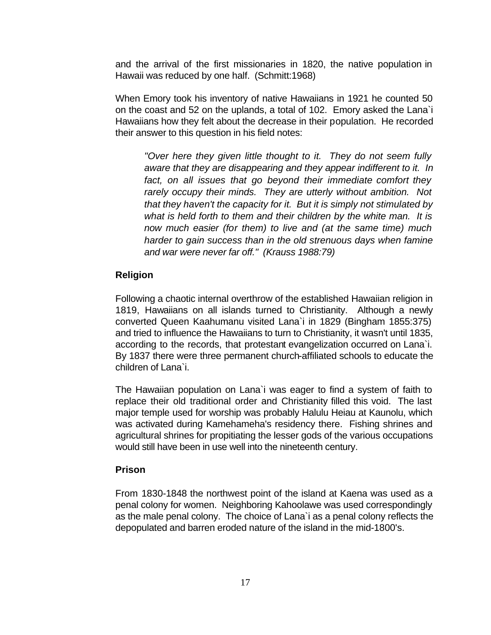and the arrival of the first missionaries in 1820, the native population in Hawaii was reduced by one half. (Schmitt:1968)

When Emory took his inventory of native Hawaiians in 1921 he counted 50 on the coast and 52 on the uplands, a total of 102. Emory asked the Lana`i Hawaiians how they felt about the decrease in their population. He recorded their answer to this question in his field notes:

*"Over here they given little thought to it. They do not seem fully aware that they are disappearing and they appear indifferent to it. In fact, on all issues that go beyond their immediate comfort they rarely occupy their minds. They are utterly without ambition. Not that they haven't the capacity for it. But it is simply not stimulated by what is held forth to them and their children by the white man. It is now much easier (for them) to live and (at the same time) much harder to gain success than in the old strenuous days when famine and war were never far off." (Krauss 1988:79)*

#### **Religion**

Following a chaotic internal overthrow of the established Hawaiian religion in 1819, Hawaiians on all islands turned to Christianity. Although a newly converted Queen Kaahumanu visited Lana`i in 1829 (Bingham 1855:375) and tried to influence the Hawaiians to turn to Christianity, it wasn't until 1835, according to the records, that protestant evangelization occurred on Lana`i. By 1837 there were three permanent church-affiliated schools to educate the children of Lana`i.

The Hawaiian population on Lana`i was eager to find a system of faith to replace their old traditional order and Christianity filled this void. The last major temple used for worship was probably Halulu Heiau at Kaunolu, which was activated during Kamehameha's residency there. Fishing shrines and agricultural shrines for propitiating the lesser gods of the various occupations would still have been in use well into the nineteenth century.

#### **Prison**

From 1830-1848 the northwest point of the island at Kaena was used as a penal colony for women. Neighboring Kahoolawe was used correspondingly as the male penal colony. The choice of Lana`i as a penal colony reflects the depopulated and barren eroded nature of the island in the mid-1800's.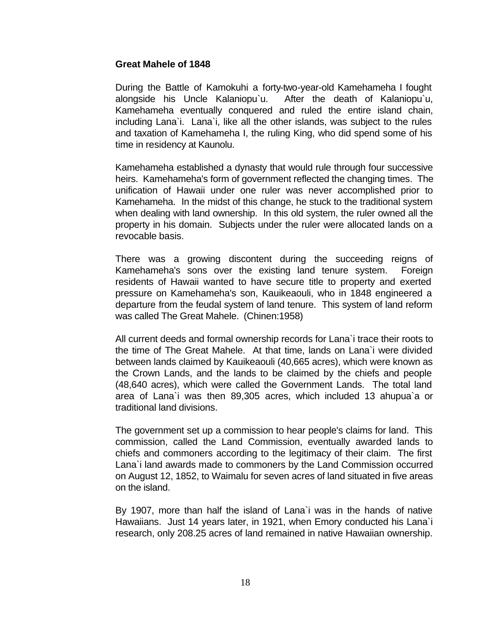#### **Great Mahele of 1848**

During the Battle of Kamokuhi a forty-two-year-old Kamehameha I fought alongside his Uncle Kalaniopu`u. After the death of Kalaniopu`u, Kamehameha eventually conquered and ruled the entire island chain, including Lana`i. Lana`i, like all the other islands, was subject to the rules and taxation of Kamehameha I, the ruling King, who did spend some of his time in residency at Kaunolu.

Kamehameha established a dynasty that would rule through four successive heirs. Kamehameha's form of government reflected the changing times. The unification of Hawaii under one ruler was never accomplished prior to Kamehameha. In the midst of this change, he stuck to the traditional system when dealing with land ownership. In this old system, the ruler owned all the property in his domain. Subjects under the ruler were allocated lands on a revocable basis.

There was a growing discontent during the succeeding reigns of Kamehameha's sons over the existing land tenure system. Foreign residents of Hawaii wanted to have secure title to property and exerted pressure on Kamehameha's son, Kauikeaouli, who in 1848 engineered a departure from the feudal system of land tenure. This system of land reform was called The Great Mahele. (Chinen:1958)

All current deeds and formal ownership records for Lana`i trace their roots to the time of The Great Mahele. At that time, lands on Lana`i were divided between lands claimed by Kauikeaouli (40,665 acres), which were known as the Crown Lands, and the lands to be claimed by the chiefs and people (48,640 acres), which were called the Government Lands. The total land area of Lana`i was then 89,305 acres, which included 13 ahupua`a or traditional land divisions.

The government set up a commission to hear people's claims for land. This commission, called the Land Commission, eventually awarded lands to chiefs and commoners according to the legitimacy of their claim. The first Lana`i land awards made to commoners by the Land Commission occurred on August 12, 1852, to Waimalu for seven acres of land situated in five areas on the island.

By 1907, more than half the island of Lana`i was in the hands of native Hawaiians. Just 14 years later, in 1921, when Emory conducted his Lana`i research, only 208.25 acres of land remained in native Hawaiian ownership.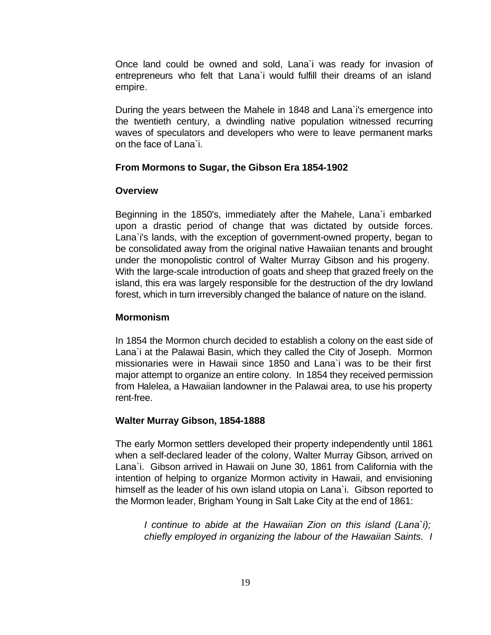Once land could be owned and sold, Lana`i was ready for invasion of entrepreneurs who felt that Lana`i would fulfill their dreams of an island empire.

During the years between the Mahele in 1848 and Lana`i's emergence into the twentieth century, a dwindling native population witnessed recurring waves of speculators and developers who were to leave permanent marks on the face of Lana`i.

#### **From Mormons to Sugar, the Gibson Era 1854-1902**

#### **Overview**

Beginning in the 1850's, immediately after the Mahele, Lana`i embarked upon a drastic period of change that was dictated by outside forces. Lana`i's lands, with the exception of government-owned property, began to be consolidated away from the original native Hawaiian tenants and brought under the monopolistic control of Walter Murray Gibson and his progeny. With the large-scale introduction of goats and sheep that grazed freely on the island, this era was largely responsible for the destruction of the dry lowland forest, which in turn irreversibly changed the balance of nature on the island.

#### **Mormonism**

In 1854 the Mormon church decided to establish a colony on the east side of Lana`i at the Palawai Basin, which they called the City of Joseph. Mormon missionaries were in Hawaii since 1850 and Lana`i was to be their first major attempt to organize an entire colony. In 1854 they received permission from Halelea, a Hawaiian landowner in the Palawai area, to use his property rent-free.

#### **Walter Murray Gibson, 1854-1888**

The early Mormon settlers developed their property independently until 1861 when a self-declared leader of the colony, Walter Murray Gibson, arrived on Lana`i. Gibson arrived in Hawaii on June 30, 1861 from California with the intention of helping to organize Mormon activity in Hawaii, and envisioning himself as the leader of his own island utopia on Lana`i. Gibson reported to the Mormon leader, Brigham Young in Salt Lake City at the end of 1861:

*I continue to abide at the Hawaiian Zion on this island (Lana`i); chiefly employed in organizing the labour of the Hawaiian Saints. I*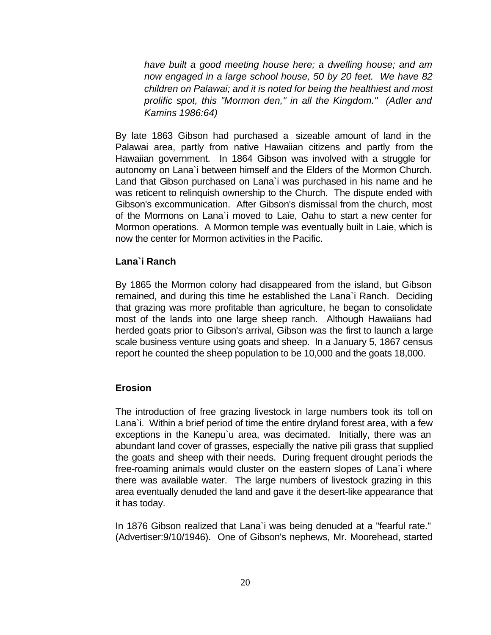*have built a good meeting house here; a dwelling house; and am now engaged in a large school house, 50 by 20 feet. We have 82 children on Palawai; and it is noted for being the healthiest and most prolific spot, this "Mormon den," in all the Kingdom." (Adler and Kamins 1986:64)*

By late 1863 Gibson had purchased a sizeable amount of land in the Palawai area, partly from native Hawaiian citizens and partly from the Hawaiian government. In 1864 Gibson was involved with a struggle for autonomy on Lana`i between himself and the Elders of the Mormon Church. Land that Gibson purchased on Lana`i was purchased in his name and he was reticent to relinquish ownership to the Church. The dispute ended with Gibson's excommunication. After Gibson's dismissal from the church, most of the Mormons on Lana`i moved to Laie, Oahu to start a new center for Mormon operations. A Mormon temple was eventually built in Laie, which is now the center for Mormon activities in the Pacific.

#### **Lana`i Ranch**

By 1865 the Mormon colony had disappeared from the island, but Gibson remained, and during this time he established the Lana`i Ranch. Deciding that grazing was more profitable than agriculture, he began to consolidate most of the lands into one large sheep ranch. Although Hawaiians had herded goats prior to Gibson's arrival, Gibson was the first to launch a large scale business venture using goats and sheep. In a January 5, 1867 census report he counted the sheep population to be 10,000 and the goats 18,000.

#### **Erosion**

The introduction of free grazing livestock in large numbers took its toll on Lana`i. Within a brief period of time the entire dryland forest area, with a few exceptions in the Kanepu`u area, was decimated. Initially, there was an abundant land cover of grasses, especially the native pili grass that supplied the goats and sheep with their needs. During frequent drought periods the free-roaming animals would cluster on the eastern slopes of Lana`i where there was available water. The large numbers of livestock grazing in this area eventually denuded the land and gave it the desert-like appearance that it has today.

In 1876 Gibson realized that Lana`i was being denuded at a "fearful rate." (Advertiser:9/10/1946). One of Gibson's nephews, Mr. Moorehead, started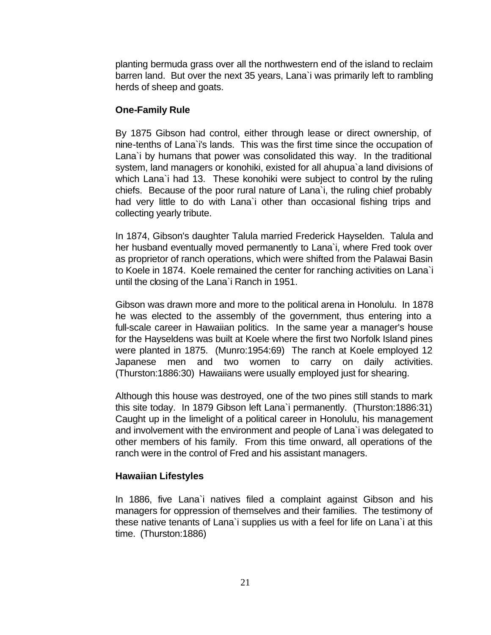planting bermuda grass over all the northwestern end of the island to reclaim barren land. But over the next 35 years, Lana`i was primarily left to rambling herds of sheep and goats.

#### **One-Family Rule**

By 1875 Gibson had control, either through lease or direct ownership, of nine-tenths of Lana`i's lands. This was the first time since the occupation of Lana`i by humans that power was consolidated this way. In the traditional system, land managers or konohiki, existed for all ahupua`a land divisions of which Lana`i had 13. These konohiki were subject to control by the ruling chiefs. Because of the poor rural nature of Lana`i, the ruling chief probably had very little to do with Lana`i other than occasional fishing trips and collecting yearly tribute.

In 1874, Gibson's daughter Talula married Frederick Hayselden. Talula and her husband eventually moved permanently to Lana`i, where Fred took over as proprietor of ranch operations, which were shifted from the Palawai Basin to Koele in 1874. Koele remained the center for ranching activities on Lana`i until the closing of the Lana`i Ranch in 1951.

Gibson was drawn more and more to the political arena in Honolulu. In 1878 he was elected to the assembly of the government, thus entering into a full-scale career in Hawaiian politics. In the same year a manager's house for the Hayseldens was built at Koele where the first two Norfolk Island pines were planted in 1875. (Munro:1954:69) The ranch at Koele employed 12 Japanese men and two women to carry on daily activities. (Thurston:1886:30) Hawaiians were usually employed just for shearing.

Although this house was destroyed, one of the two pines still stands to mark this site today. In 1879 Gibson left Lana`i permanently. (Thurston:1886:31) Caught up in the limelight of a political career in Honolulu, his management and involvement with the environment and people of Lana`i was delegated to other members of his family. From this time onward, all operations of the ranch were in the control of Fred and his assistant managers.

#### **Hawaiian Lifestyles**

In 1886, five Lana`i natives filed a complaint against Gibson and his managers for oppression of themselves and their families. The testimony of these native tenants of Lana`i supplies us with a feel for life on Lana`i at this time. (Thurston:1886)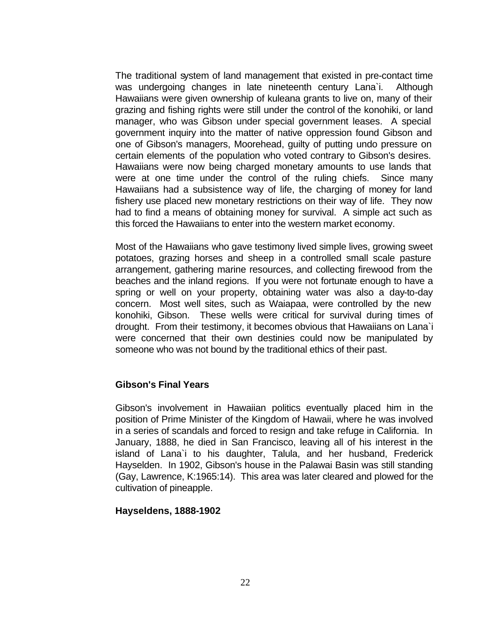The traditional system of land management that existed in pre-contact time was undergoing changes in late nineteenth century Lana`i. Although Hawaiians were given ownership of kuleana grants to live on, many of their grazing and fishing rights were still under the control of the konohiki, or land manager, who was Gibson under special government leases. A special government inquiry into the matter of native oppression found Gibson and one of Gibson's managers, Moorehead, guilty of putting undo pressure on certain elements of the population who voted contrary to Gibson's desires. Hawaiians were now being charged monetary amounts to use lands that were at one time under the control of the ruling chiefs. Since many Hawaiians had a subsistence way of life, the charging of money for land fishery use placed new monetary restrictions on their way of life. They now had to find a means of obtaining money for survival. A simple act such as this forced the Hawaiians to enter into the western market economy.

Most of the Hawaiians who gave testimony lived simple lives, growing sweet potatoes, grazing horses and sheep in a controlled small scale pasture arrangement, gathering marine resources, and collecting firewood from the beaches and the inland regions. If you were not fortunate enough to have a spring or well on your property, obtaining water was also a day-to-day concern. Most well sites, such as Waiapaa, were controlled by the new konohiki, Gibson. These wells were critical for survival during times of drought. From their testimony, it becomes obvious that Hawaiians on Lana`i were concerned that their own destinies could now be manipulated by someone who was not bound by the traditional ethics of their past.

#### **Gibson's Final Years**

Gibson's involvement in Hawaiian politics eventually placed him in the position of Prime Minister of the Kingdom of Hawaii, where he was involved in a series of scandals and forced to resign and take refuge in California. In January, 1888, he died in San Francisco, leaving all of his interest in the island of Lana`i to his daughter, Talula, and her husband, Frederick Hayselden. In 1902, Gibson's house in the Palawai Basin was still standing (Gay, Lawrence, K:1965:14). This area was later cleared and plowed for the cultivation of pineapple.

#### **Hayseldens, 1888-1902**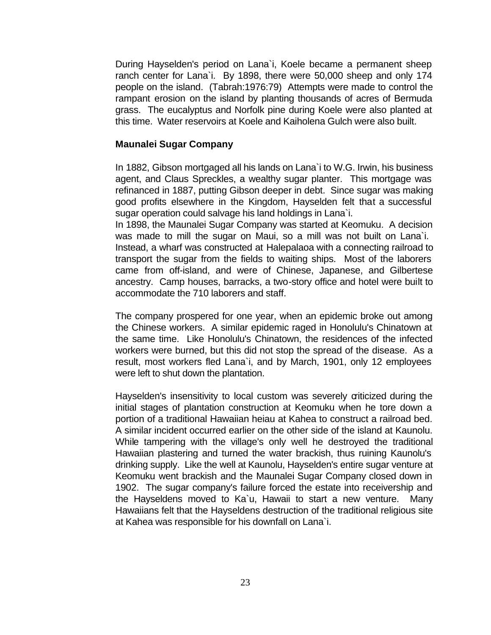During Hayselden's period on Lana`i, Koele became a permanent sheep ranch center for Lana`i. By 1898, there were 50,000 sheep and only 174 people on the island. (Tabrah:1976:79) Attempts were made to control the rampant erosion on the island by planting thousands of acres of Bermuda grass. The eucalyptus and Norfolk pine during Koele were also planted at this time. Water reservoirs at Koele and Kaiholena Gulch were also built.

#### **Maunalei Sugar Company**

In 1882, Gibson mortgaged all his lands on Lana`i to W.G. Irwin, his business agent, and Claus Spreckles, a wealthy sugar planter. This mortgage was refinanced in 1887, putting Gibson deeper in debt. Since sugar was making good profits elsewhere in the Kingdom, Hayselden felt that a successful sugar operation could salvage his land holdings in Lana`i.

In 1898, the Maunalei Sugar Company was started at Keomuku. A decision was made to mill the sugar on Maui, so a mill was not built on Lana`i. Instead, a wharf was constructed at Halepalaoa with a connecting railroad to transport the sugar from the fields to waiting ships. Most of the laborers came from off-island, and were of Chinese, Japanese, and Gilbertese ancestry. Camp houses, barracks, a two-story office and hotel were built to accommodate the 710 laborers and staff.

The company prospered for one year, when an epidemic broke out among the Chinese workers. A similar epidemic raged in Honolulu's Chinatown at the same time. Like Honolulu's Chinatown, the residences of the infected workers were burned, but this did not stop the spread of the disease. As a result, most workers fled Lana`i, and by March, 1901, only 12 employees were left to shut down the plantation.

Hayselden's insensitivity to local custom was severely criticized during the initial stages of plantation construction at Keomuku when he tore down a portion of a traditional Hawaiian heiau at Kahea to construct a railroad bed. A similar incident occurred earlier on the other side of the island at Kaunolu. While tampering with the village's only well he destroyed the traditional Hawaiian plastering and turned the water brackish, thus ruining Kaunolu's drinking supply. Like the well at Kaunolu, Hayselden's entire sugar venture at Keomuku went brackish and the Maunalei Sugar Company closed down in 1902. The sugar company's failure forced the estate into receivership and the Hayseldens moved to Ka`u, Hawaii to start a new venture. Many Hawaiians felt that the Hayseldens destruction of the traditional religious site at Kahea was responsible for his downfall on Lana`i.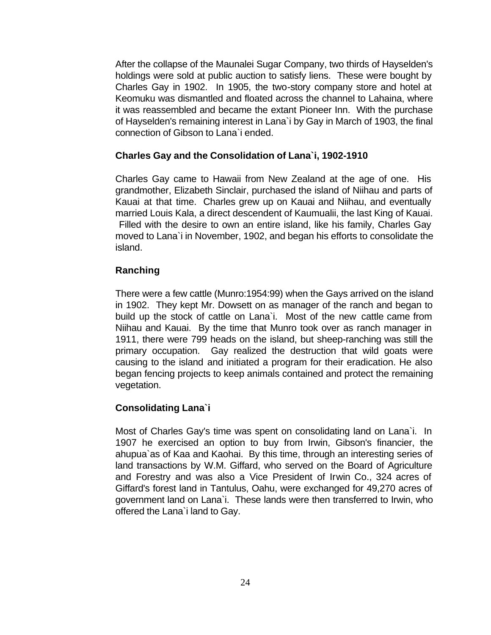After the collapse of the Maunalei Sugar Company, two thirds of Hayselden's holdings were sold at public auction to satisfy liens. These were bought by Charles Gay in 1902. In 1905, the two-story company store and hotel at Keomuku was dismantled and floated across the channel to Lahaina, where it was reassembled and became the extant Pioneer Inn. With the purchase of Hayselden's remaining interest in Lana`i by Gay in March of 1903, the final connection of Gibson to Lana`i ended.

#### **Charles Gay and the Consolidation of Lana`i, 1902-1910**

Charles Gay came to Hawaii from New Zealand at the age of one. His grandmother, Elizabeth Sinclair, purchased the island of Niihau and parts of Kauai at that time. Charles grew up on Kauai and Niihau, and eventually married Louis Kala, a direct descendent of Kaumualii, the last King of Kauai. Filled with the desire to own an entire island, like his family, Charles Gay moved to Lana`i in November, 1902, and began his efforts to consolidate the island.

#### **Ranching**

There were a few cattle (Munro:1954:99) when the Gays arrived on the island in 1902. They kept Mr. Dowsett on as manager of the ranch and began to build up the stock of cattle on Lana`i. Most of the new cattle came from Niihau and Kauai. By the time that Munro took over as ranch manager in 1911, there were 799 heads on the island, but sheep-ranching was still the primary occupation. Gay realized the destruction that wild goats were causing to the island and initiated a program for their eradication. He also began fencing projects to keep animals contained and protect the remaining vegetation.

#### **Consolidating Lana`i**

Most of Charles Gay's time was spent on consolidating land on Lana`i. In 1907 he exercised an option to buy from Irwin, Gibson's financier, the ahupua`as of Kaa and Kaohai. By this time, through an interesting series of land transactions by W.M. Giffard, who served on the Board of Agriculture and Forestry and was also a Vice President of Irwin Co., 324 acres of Giffard's forest land in Tantulus, Oahu, were exchanged for 49,270 acres of government land on Lana`i. These lands were then transferred to Irwin, who offered the Lana`i land to Gay.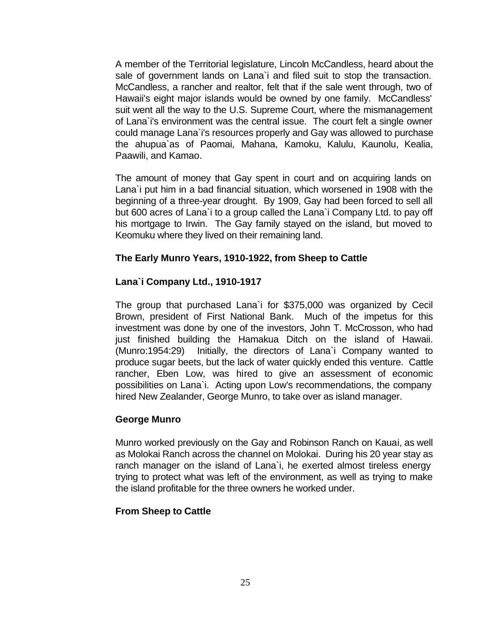A member of the Territorial legislature, Lincoln McCandless, heard about the sale of government lands on Lana`i and filed suit to stop the transaction. McCandless, a rancher and realtor, felt that if the sale went through, two of Hawaii's eight major islands would be owned by one family. McCandless' suit went all the way to the U.S. Supreme Court, where the mismanagement of Lana`i's environment was the central issue. The court felt a single owner could manage Lana`i's resources properly and Gay was allowed to purchase the ahupua`as of Paomai, Mahana, Kamoku, Kalulu, Kaunolu, Kealia, Paawili, and Kamao.

The amount of money that Gay spent in court and on acquiring lands on Lana`i put him in a bad financial situation, which worsened in 1908 with the beginning of a three-year drought. By 1909, Gay had been forced to sell all but 600 acres of Lana`i to a group called the Lana`i Company Ltd. to pay off his mortgage to Irwin. The Gay family stayed on the island, but moved to Keomuku where they lived on their remaining land.

#### **The Early Munro Years, 1910-1922, from Sheep to Cattle**

#### **Lana`i Company Ltd., 1910-1917**

The group that purchased Lana`i for \$375,000 was organized by Cecil Brown, president of First National Bank. Much of the impetus for this investment was done by one of the investors, John T. McCrosson, who had just finished building the Hamakua Ditch on the island of Hawaii. (Munro:1954:29) Initially, the directors of Lana`i Company wanted to produce sugar beets, but the lack of water quickly ended this venture. Cattle rancher, Eben Low, was hired to give an assessment of economic possibilities on Lana`i. Acting upon Low's recommendations, the company hired New Zealander, George Munro, to take over as island manager.

#### **George Munro**

Munro worked previously on the Gay and Robinson Ranch on Kauai, as well as Molokai Ranch across the channel on Molokai. During his 20 year stay as ranch manager on the island of Lana`i, he exerted almost tireless energy trying to protect what was left of the environment, as well as trying to make the island profitable for the three owners he worked under.

#### **From Sheep to Cattle**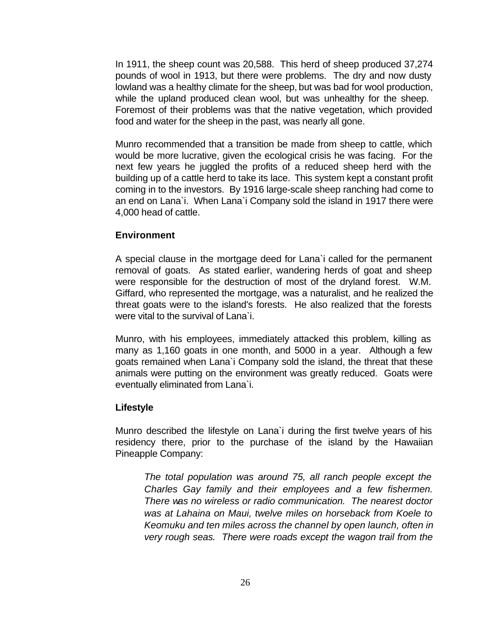In 1911, the sheep count was 20,588. This herd of sheep produced 37,274 pounds of wool in 1913, but there were problems. The dry and now dusty lowland was a healthy climate for the sheep, but was bad for wool production, while the upland produced clean wool, but was unhealthy for the sheep. Foremost of their problems was that the native vegetation, which provided food and water for the sheep in the past, was nearly all gone.

Munro recommended that a transition be made from sheep to cattle, which would be more lucrative, given the ecological crisis he was facing. For the next few years he juggled the profits of a reduced sheep herd with the building up of a cattle herd to take its lace. This system kept a constant profit coming in to the investors. By 1916 large-scale sheep ranching had come to an end on Lana`i. When Lana`i Company sold the island in 1917 there were 4,000 head of cattle.

#### **Environment**

A special clause in the mortgage deed for Lana`i called for the permanent removal of goats. As stated earlier, wandering herds of goat and sheep were responsible for the destruction of most of the dryland forest. W.M. Giffard, who represented the mortgage, was a naturalist, and he realized the threat goats were to the island's forests. He also realized that the forests were vital to the survival of Lana`i.

Munro, with his employees, immediately attacked this problem, killing as many as 1,160 goats in one month, and 5000 in a year. Although a few goats remained when Lana`i Company sold the island, the threat that these animals were putting on the environment was greatly reduced. Goats were eventually eliminated from Lana`i.

#### **Lifestyle**

Munro described the lifestyle on Lana`i during the first twelve years of his residency there, prior to the purchase of the island by the Hawaiian Pineapple Company:

*The total population was around 75, all ranch people except the Charles Gay family and their employees and a few fishermen. There was no wireless or radio communication. The nearest doctor was at Lahaina on Maui, twelve miles on horseback from Koele to Keomuku and ten miles across the channel by open launch, often in very rough seas. There were roads except the wagon trail from the*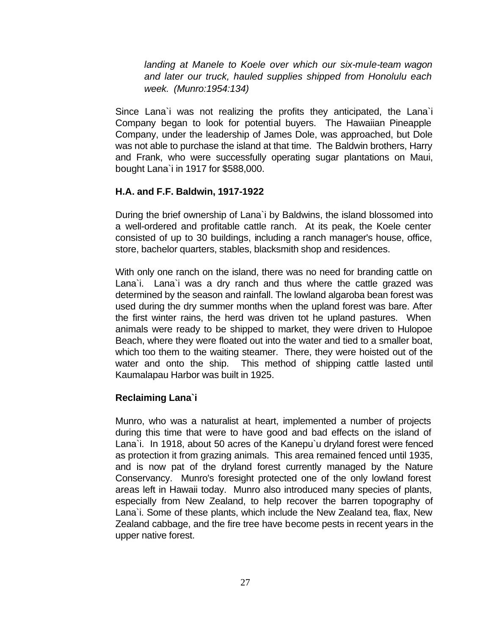*landing at Manele to Koele over which our six-mule-team wagon and later our truck, hauled supplies shipped from Honolulu each week. (Munro:1954:134)*

Since Lana`i was not realizing the profits they anticipated, the Lana`i Company began to look for potential buyers. The Hawaiian Pineapple Company, under the leadership of James Dole, was approached, but Dole was not able to purchase the island at that time. The Baldwin brothers, Harry and Frank, who were successfully operating sugar plantations on Maui, bought Lana`i in 1917 for \$588,000.

#### **H.A. and F.F. Baldwin, 1917-1922**

During the brief ownership of Lana`i by Baldwins, the island blossomed into a well-ordered and profitable cattle ranch. At its peak, the Koele center consisted of up to 30 buildings, including a ranch manager's house, office, store, bachelor quarters, stables, blacksmith shop and residences.

With only one ranch on the island, there was no need for branding cattle on Lana`i. Lana`i was a dry ranch and thus where the cattle grazed was determined by the season and rainfall. The lowland algaroba bean forest was used during the dry summer months when the upland forest was bare. After the first winter rains, the herd was driven tot he upland pastures. When animals were ready to be shipped to market, they were driven to Hulopoe Beach, where they were floated out into the water and tied to a smaller boat, which too them to the waiting steamer. There, they were hoisted out of the water and onto the ship. This method of shipping cattle lasted until Kaumalapau Harbor was built in 1925.

#### **Reclaiming Lana`i**

Munro, who was a naturalist at heart, implemented a number of projects during this time that were to have good and bad effects on the island of Lana`i. In 1918, about 50 acres of the Kanepu`u dryland forest were fenced as protection it from grazing animals. This area remained fenced until 1935, and is now pat of the dryland forest currently managed by the Nature Conservancy. Munro's foresight protected one of the only lowland forest areas left in Hawaii today. Munro also introduced many species of plants, especially from New Zealand, to help recover the barren topography of Lana`i. Some of these plants, which include the New Zealand tea, flax, New Zealand cabbage, and the fire tree have become pests in recent years in the upper native forest.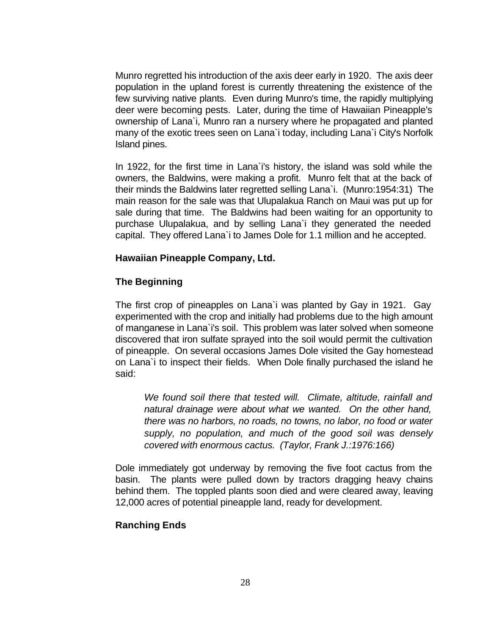Munro regretted his introduction of the axis deer early in 1920. The axis deer population in the upland forest is currently threatening the existence of the few surviving native plants. Even during Munro's time, the rapidly multiplying deer were becoming pests. Later, during the time of Hawaiian Pineapple's ownership of Lana`i, Munro ran a nursery where he propagated and planted many of the exotic trees seen on Lana`i today, including Lana`i City's Norfolk Island pines.

In 1922, for the first time in Lana`i's history, the island was sold while the owners, the Baldwins, were making a profit. Munro felt that at the back of their minds the Baldwins later regretted selling Lana`i. (Munro:1954:31) The main reason for the sale was that Ulupalakua Ranch on Maui was put up for sale during that time. The Baldwins had been waiting for an opportunity to purchase Ulupalakua, and by selling Lana`i they generated the needed capital. They offered Lana`i to James Dole for 1.1 million and he accepted.

#### **Hawaiian Pineapple Company, Ltd.**

#### **The Beginning**

The first crop of pineapples on Lana`i was planted by Gay in 1921. Gay experimented with the crop and initially had problems due to the high amount of manganese in Lana`i's soil. This problem was later solved when someone discovered that iron sulfate sprayed into the soil would permit the cultivation of pineapple. On several occasions James Dole visited the Gay homestead on Lana`i to inspect their fields. When Dole finally purchased the island he said:

*We found soil there that tested will. Climate, altitude, rainfall and natural drainage were about what we wanted. On the other hand, there was no harbors, no roads, no towns, no labor, no food or water supply, no population, and much of the good soil was densely covered with enormous cactus. (Taylor, Frank J.:1976:166)*

Dole immediately got underway by removing the five foot cactus from the basin. The plants were pulled down by tractors dragging heavy chains behind them. The toppled plants soon died and were cleared away, leaving 12,000 acres of potential pineapple land, ready for development.

#### **Ranching Ends**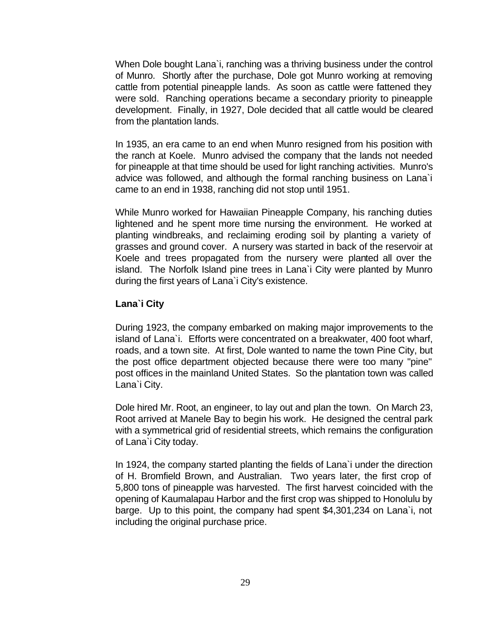When Dole bought Lana`i, ranching was a thriving business under the control of Munro. Shortly after the purchase, Dole got Munro working at removing cattle from potential pineapple lands. As soon as cattle were fattened they were sold. Ranching operations became a secondary priority to pineapple development. Finally, in 1927, Dole decided that all cattle would be cleared from the plantation lands.

In 1935, an era came to an end when Munro resigned from his position with the ranch at Koele. Munro advised the company that the lands not needed for pineapple at that time should be used for light ranching activities. Munro's advice was followed, and although the formal ranching business on Lana`i came to an end in 1938, ranching did not stop until 1951.

While Munro worked for Hawaiian Pineapple Company, his ranching duties lightened and he spent more time nursing the environment. He worked at planting windbreaks, and reclaiming eroding soil by planting a variety of grasses and ground cover. A nursery was started in back of the reservoir at Koele and trees propagated from the nursery were planted all over the island. The Norfolk Island pine trees in Lana`i City were planted by Munro during the first years of Lana`i City's existence.

#### **Lana`i City**

During 1923, the company embarked on making major improvements to the island of Lana`i. Efforts were concentrated on a breakwater, 400 foot wharf, roads, and a town site. At first, Dole wanted to name the town Pine City, but the post office department objected because there were too many "pine" post offices in the mainland United States. So the plantation town was called Lana`i City.

Dole hired Mr. Root, an engineer, to lay out and plan the town. On March 23, Root arrived at Manele Bay to begin his work. He designed the central park with a symmetrical grid of residential streets, which remains the configuration of Lana`i City today.

In 1924, the company started planting the fields of Lana`i under the direction of H. Bromfield Brown, and Australian. Two years later, the first crop of 5,800 tons of pineapple was harvested. The first harvest coincided with the opening of Kaumalapau Harbor and the first crop was shipped to Honolulu by barge. Up to this point, the company had spent \$4,301,234 on Lana`i, not including the original purchase price.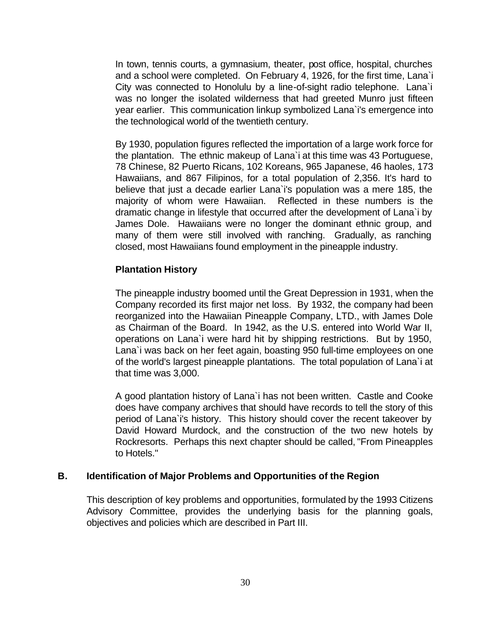In town, tennis courts, a gymnasium, theater, post office, hospital, churches and a school were completed. On February 4, 1926, for the first time, Lana`i City was connected to Honolulu by a line-of-sight radio telephone. Lana`i was no longer the isolated wilderness that had greeted Munro just fifteen year earlier. This communication linkup symbolized Lana`i's emergence into the technological world of the twentieth century.

By 1930, population figures reflected the importation of a large work force for the plantation. The ethnic makeup of Lana`i at this time was 43 Portuguese, 78 Chinese, 82 Puerto Ricans, 102 Koreans, 965 Japanese, 46 haoles, 173 Hawaiians, and 867 Filipinos, for a total population of 2,356. It's hard to believe that just a decade earlier Lana`i's population was a mere 185, the majority of whom were Hawaiian. Reflected in these numbers is the dramatic change in lifestyle that occurred after the development of Lana`i by James Dole. Hawaiians were no longer the dominant ethnic group, and many of them were still involved with ranching. Gradually, as ranching closed, most Hawaiians found employment in the pineapple industry.

#### **Plantation History**

The pineapple industry boomed until the Great Depression in 1931, when the Company recorded its first major net loss. By 1932, the company had been reorganized into the Hawaiian Pineapple Company, LTD., with James Dole as Chairman of the Board. In 1942, as the U.S. entered into World War II, operations on Lana`i were hard hit by shipping restrictions. But by 1950, Lana`i was back on her feet again, boasting 950 full-time employees on one of the world's largest pineapple plantations. The total population of Lana`i at that time was 3,000.

A good plantation history of Lana`i has not been written. Castle and Cooke does have company archives that should have records to tell the story of this period of Lana`i's history. This history should cover the recent takeover by David Howard Murdock, and the construction of the two new hotels by Rockresorts. Perhaps this next chapter should be called, "From Pineapples to Hotels."

#### **B. Identification of Major Problems and Opportunities of the Region**

This description of key problems and opportunities, formulated by the 1993 Citizens Advisory Committee, provides the underlying basis for the planning goals, objectives and policies which are described in Part III.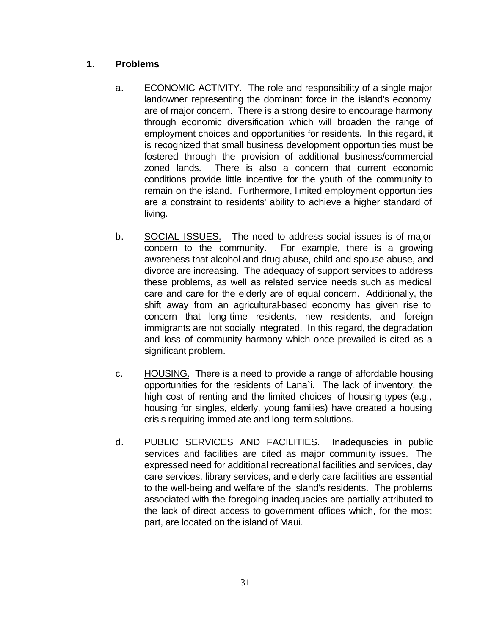#### **1. Problems**

- a. ECONOMIC ACTIVITY. The role and responsibility of a single major landowner representing the dominant force in the island's economy are of major concern. There is a strong desire to encourage harmony through economic diversification which will broaden the range of employment choices and opportunities for residents. In this regard, it is recognized that small business development opportunities must be fostered through the provision of additional business/commercial zoned lands. There is also a concern that current economic conditions provide little incentive for the youth of the community to remain on the island. Furthermore, limited employment opportunities are a constraint to residents' ability to achieve a higher standard of living.
- b. SOCIAL ISSUES. The need to address social issues is of major concern to the community. For example, there is a growing awareness that alcohol and drug abuse, child and spouse abuse, and divorce are increasing. The adequacy of support services to address these problems, as well as related service needs such as medical care and care for the elderly are of equal concern. Additionally, the shift away from an agricultural-based economy has given rise to concern that long-time residents, new residents, and foreign immigrants are not socially integrated. In this regard, the degradation and loss of community harmony which once prevailed is cited as a significant problem.
- c. HOUSING. There is a need to provide a range of affordable housing opportunities for the residents of Lana`i. The lack of inventory, the high cost of renting and the limited choices of housing types (e.g., housing for singles, elderly, young families) have created a housing crisis requiring immediate and long-term solutions.
- d. PUBLIC SERVICES AND FACILITIES. Inadequacies in public services and facilities are cited as major community issues. The expressed need for additional recreational facilities and services, day care services, library services, and elderly care facilities are essential to the well-being and welfare of the island's residents. The problems associated with the foregoing inadequacies are partially attributed to the lack of direct access to government offices which, for the most part, are located on the island of Maui.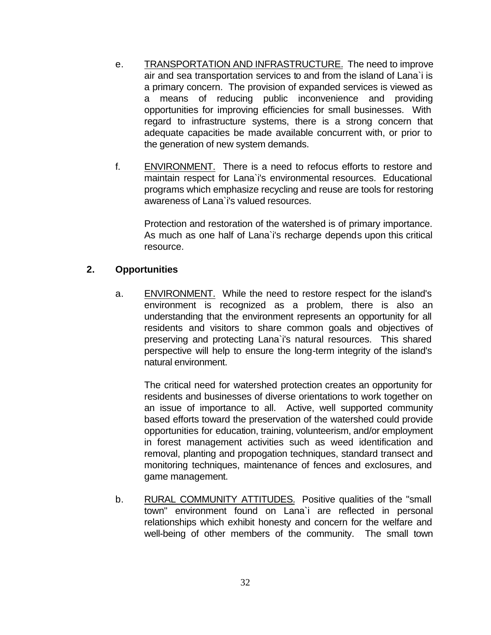- e. TRANSPORTATION AND INFRASTRUCTURE. The need to improve air and sea transportation services to and from the island of Lana`i is a primary concern. The provision of expanded services is viewed as a means of reducing public inconvenience and providing opportunities for improving efficiencies for small businesses. With regard to infrastructure systems, there is a strong concern that adequate capacities be made available concurrent with, or prior to the generation of new system demands.
- f. ENVIRONMENT. There is a need to refocus efforts to restore and maintain respect for Lana`i's environmental resources. Educational programs which emphasize recycling and reuse are tools for restoring awareness of Lana`i's valued resources.

Protection and restoration of the watershed is of primary importance. As much as one half of Lana`i's recharge depends upon this critical resource.

#### **2. Opportunities**

a. ENVIRONMENT. While the need to restore respect for the island's environment is recognized as a problem, there is also an understanding that the environment represents an opportunity for all residents and visitors to share common goals and objectives of preserving and protecting Lana`i's natural resources. This shared perspective will help to ensure the long-term integrity of the island's natural environment.

The critical need for watershed protection creates an opportunity for residents and businesses of diverse orientations to work together on an issue of importance to all. Active, well supported community based efforts toward the preservation of the watershed could provide opportunities for education, training, volunteerism, and/or employment in forest management activities such as weed identification and removal, planting and propogation techniques, standard transect and monitoring techniques, maintenance of fences and exclosures, and game management.

b. RURAL COMMUNITY ATTITUDES. Positive qualities of the "small town" environment found on Lana`i are reflected in personal relationships which exhibit honesty and concern for the welfare and well-being of other members of the community. The small town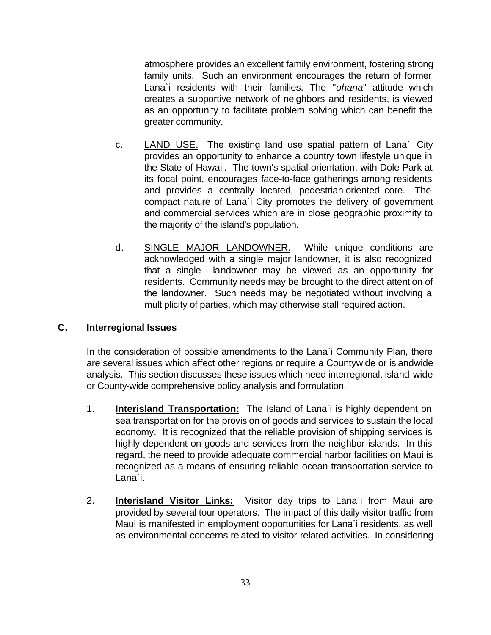atmosphere provides an excellent family environment, fostering strong family units. Such an environment encourages the return of former Lana`i residents with their families. The "*ohana*" attitude which creates a supportive network of neighbors and residents, is viewed as an opportunity to facilitate problem solving which can benefit the greater community.

- c. LAND USE. The existing land use spatial pattern of Lana`i City provides an opportunity to enhance a country town lifestyle unique in the State of Hawaii. The town's spatial orientation, with Dole Park at its focal point, encourages face-to-face gatherings among residents and provides a centrally located, pedestrian-oriented core. The compact nature of Lana`i City promotes the delivery of government and commercial services which are in close geographic proximity to the majority of the island's population.
- d. SINGLE MAJOR LANDOWNER. While unique conditions are acknowledged with a single major landowner, it is also recognized that a single landowner may be viewed as an opportunity for residents. Community needs may be brought to the direct attention of the landowner. Such needs may be negotiated without involving a multiplicity of parties, which may otherwise stall required action.

### **C. Interregional Issues**

In the consideration of possible amendments to the Lana`i Community Plan, there are several issues which affect other regions or require a Countywide or islandwide analysis. This section discusses these issues which need interregional, island-wide or County-wide comprehensive policy analysis and formulation.

- 1. **Interisland Transportation:** The Island of Lana`i is highly dependent on sea transportation for the provision of goods and services to sustain the local economy. It is recognized that the reliable provision of shipping services is highly dependent on goods and services from the neighbor islands. In this regard, the need to provide adequate commercial harbor facilities on Maui is recognized as a means of ensuring reliable ocean transportation service to Lana`i.
- 2. **Interisland Visitor Links:** Visitor day trips to Lana`i from Maui are provided by several tour operators. The impact of this daily visitor traffic from Maui is manifested in employment opportunities for Lana`i residents, as well as environmental concerns related to visitor-related activities. In considering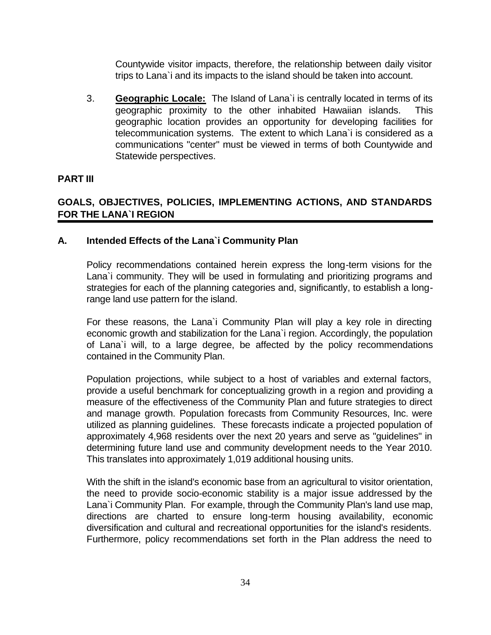Countywide visitor impacts, therefore, the relationship between daily visitor trips to Lana`i and its impacts to the island should be taken into account.

3. **Geographic Locale:** The Island of Lana`i is centrally located in terms of its geographic proximity to the other inhabited Hawaiian islands. This geographic location provides an opportunity for developing facilities for telecommunication systems. The extent to which Lana`i is considered as a communications "center" must be viewed in terms of both Countywide and Statewide perspectives.

#### **PART III**

# **GOALS, OBJECTIVES, POLICIES, IMPLEMENTING ACTIONS, AND STANDARDS FOR THE LANA`I REGION**

#### **A. Intended Effects of the Lana`i Community Plan**

Policy recommendations contained herein express the long-term visions for the Lana`i community. They will be used in formulating and prioritizing programs and strategies for each of the planning categories and, significantly, to establish a longrange land use pattern for the island.

For these reasons, the Lana`i Community Plan will play a key role in directing economic growth and stabilization for the Lana`i region. Accordingly, the population of Lana`i will, to a large degree, be affected by the policy recommendations contained in the Community Plan.

Population projections, while subject to a host of variables and external factors, provide a useful benchmark for conceptualizing growth in a region and providing a measure of the effectiveness of the Community Plan and future strategies to direct and manage growth. Population forecasts from Community Resources, Inc. were utilized as planning guidelines. These forecasts indicate a projected population of approximately 4,968 residents over the next 20 years and serve as "guidelines" in determining future land use and community development needs to the Year 2010. This translates into approximately 1,019 additional housing units.

With the shift in the island's economic base from an agricultural to visitor orientation, the need to provide socio-economic stability is a major issue addressed by the Lana`i Community Plan. For example, through the Community Plan's land use map, directions are charted to ensure long-term housing availability, economic diversification and cultural and recreational opportunities for the island's residents. Furthermore, policy recommendations set forth in the Plan address the need to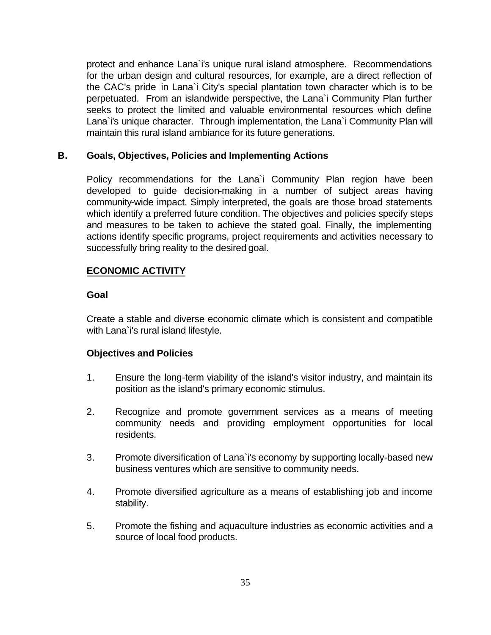protect and enhance Lana`i's unique rural island atmosphere. Recommendations for the urban design and cultural resources, for example, are a direct reflection of the CAC's pride in Lana`i City's special plantation town character which is to be perpetuated. From an islandwide perspective, the Lana`i Community Plan further seeks to protect the limited and valuable environmental resources which define Lana`i's unique character. Through implementation, the Lana`i Community Plan will maintain this rural island ambiance for its future generations.

# **B. Goals, Objectives, Policies and Implementing Actions**

Policy recommendations for the Lana`i Community Plan region have been developed to guide decision-making in a number of subject areas having community-wide impact. Simply interpreted, the goals are those broad statements which identify a preferred future condition. The objectives and policies specify steps and measures to be taken to achieve the stated goal. Finally, the implementing actions identify specific programs, project requirements and activities necessary to successfully bring reality to the desired goal.

# **ECONOMIC ACTIVITY**

# **Goal**

Create a stable and diverse economic climate which is consistent and compatible with Lana`i's rural island lifestyle.

- 1. Ensure the long-term viability of the island's visitor industry, and maintain its position as the island's primary economic stimulus.
- 2. Recognize and promote government services as a means of meeting community needs and providing employment opportunities for local residents.
- 3. Promote diversification of Lana`i's economy by supporting locally-based new business ventures which are sensitive to community needs.
- 4. Promote diversified agriculture as a means of establishing job and income stability.
- 5. Promote the fishing and aquaculture industries as economic activities and a source of local food products.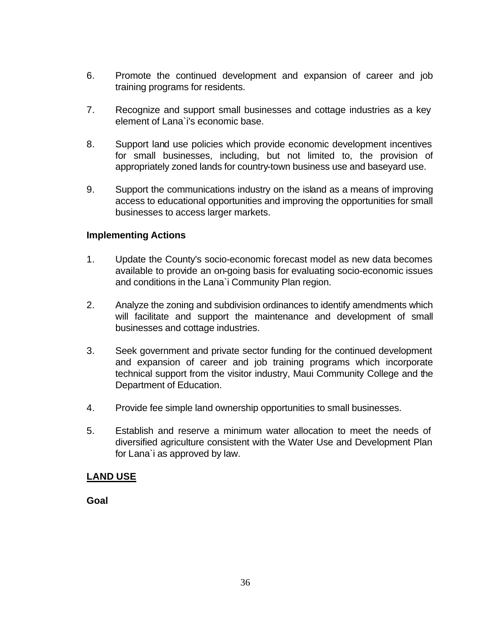- 6. Promote the continued development and expansion of career and job training programs for residents.
- 7. Recognize and support small businesses and cottage industries as a key element of Lana`i's economic base.
- 8. Support land use policies which provide economic development incentives for small businesses, including, but not limited to, the provision of appropriately zoned lands for country-town business use and baseyard use.
- 9. Support the communications industry on the island as a means of improving access to educational opportunities and improving the opportunities for small businesses to access larger markets.

- 1. Update the County's socio-economic forecast model as new data becomes available to provide an on-going basis for evaluating socio-economic issues and conditions in the Lana`i Community Plan region.
- 2. Analyze the zoning and subdivision ordinances to identify amendments which will facilitate and support the maintenance and development of small businesses and cottage industries.
- 3. Seek government and private sector funding for the continued development and expansion of career and job training programs which incorporate technical support from the visitor industry, Maui Community College and the Department of Education.
- 4. Provide fee simple land ownership opportunities to small businesses.
- 5. Establish and reserve a minimum water allocation to meet the needs of diversified agriculture consistent with the Water Use and Development Plan for Lana`i as approved by law.

# **LAND USE**

**Goal**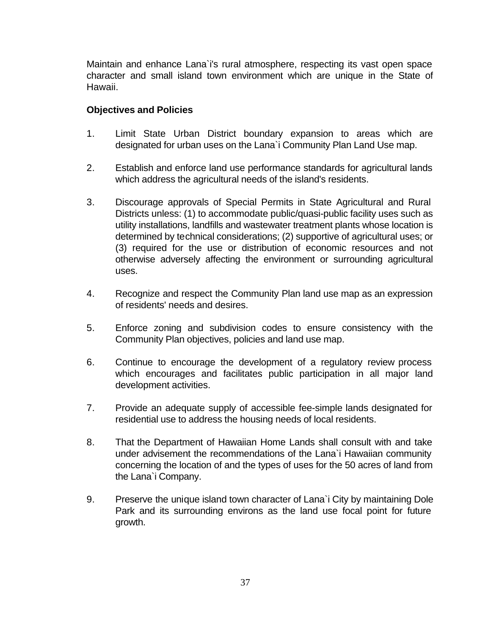Maintain and enhance Lana`i's rural atmosphere, respecting its vast open space character and small island town environment which are unique in the State of Hawaii.

- 1. Limit State Urban District boundary expansion to areas which are designated for urban uses on the Lana`i Community Plan Land Use map.
- 2. Establish and enforce land use performance standards for agricultural lands which address the agricultural needs of the island's residents.
- 3. Discourage approvals of Special Permits in State Agricultural and Rural Districts unless: (1) to accommodate public/quasi-public facility uses such as utility installations, landfills and wastewater treatment plants whose location is determined by technical considerations; (2) supportive of agricultural uses; or (3) required for the use or distribution of economic resources and not otherwise adversely affecting the environment or surrounding agricultural uses.
- 4. Recognize and respect the Community Plan land use map as an expression of residents' needs and desires.
- 5. Enforce zoning and subdivision codes to ensure consistency with the Community Plan objectives, policies and land use map.
- 6. Continue to encourage the development of a regulatory review process which encourages and facilitates public participation in all major land development activities.
- 7. Provide an adequate supply of accessible fee-simple lands designated for residential use to address the housing needs of local residents.
- 8. That the Department of Hawaiian Home Lands shall consult with and take under advisement the recommendations of the Lana`i Hawaiian community concerning the location of and the types of uses for the 50 acres of land from the Lana`i Company.
- 9. Preserve the unique island town character of Lana`i City by maintaining Dole Park and its surrounding environs as the land use focal point for future growth.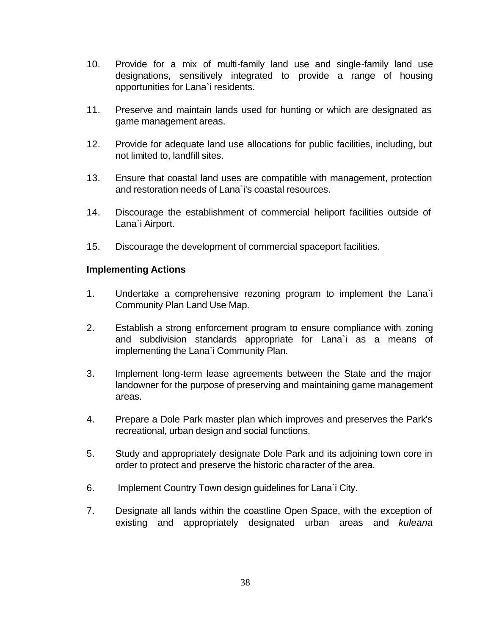- 10. Provide for a mix of multi-family land use and single-family land use designations, sensitively integrated to provide a range of housing opportunities for Lana`i residents.
- 11. Preserve and maintain lands used for hunting or which are designated as game management areas.
- 12. Provide for adequate land use allocations for public facilities, including, but not limited to, landfill sites.
- 13. Ensure that coastal land uses are compatible with management, protection and restoration needs of Lana`i's coastal resources.
- 14. Discourage the establishment of commercial heliport facilities outside of Lana`i Airport.
- 15. Discourage the development of commercial spaceport facilities.

- 1. Undertake a comprehensive rezoning program to implement the Lana`i Community Plan Land Use Map.
- 2. Establish a strong enforcement program to ensure compliance with zoning and subdivision standards appropriate for Lana`i as a means of implementing the Lana`i Community Plan.
- 3. Implement long-term lease agreements between the State and the major landowner for the purpose of preserving and maintaining game management areas.
- 4. Prepare a Dole Park master plan which improves and preserves the Park's recreational, urban design and social functions.
- 5. Study and appropriately designate Dole Park and its adjoining town core in order to protect and preserve the historic character of the area.
- 6. Implement Country Town design guidelines for Lana`i City.
- 7. Designate all lands within the coastline Open Space, with the exception of existing and appropriately designated urban areas and *kuleana*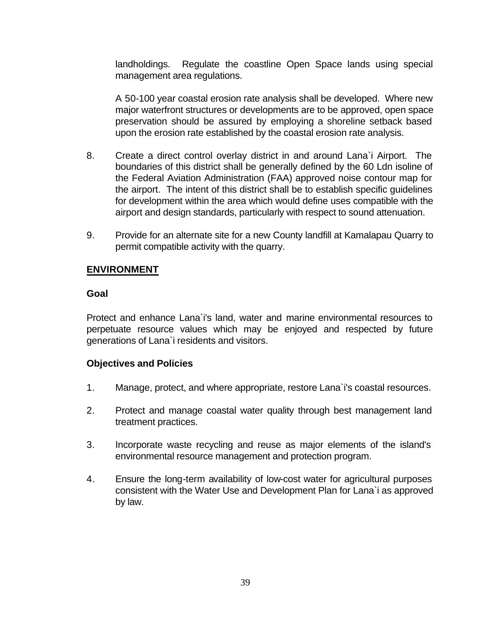landholdings. Regulate the coastline Open Space lands using special management area regulations.

A 50-100 year coastal erosion rate analysis shall be developed. Where new major waterfront structures or developments are to be approved, open space preservation should be assured by employing a shoreline setback based upon the erosion rate established by the coastal erosion rate analysis.

- 8. Create a direct control overlay district in and around Lana`i Airport. The boundaries of this district shall be generally defined by the 60 Ldn isoline of the Federal Aviation Administration (FAA) approved noise contour map for the airport. The intent of this district shall be to establish specific guidelines for development within the area which would define uses compatible with the airport and design standards, particularly with respect to sound attenuation.
- 9. Provide for an alternate site for a new County landfill at Kamalapau Quarry to permit compatible activity with the quarry.

# **ENVIRONMENT**

# **Goal**

Protect and enhance Lana`i's land, water and marine environmental resources to perpetuate resource values which may be enjoyed and respected by future generations of Lana`i residents and visitors.

- 1. Manage, protect, and where appropriate, restore Lana`i's coastal resources.
- 2. Protect and manage coastal water quality through best management land treatment practices.
- 3. Incorporate waste recycling and reuse as major elements of the island's environmental resource management and protection program.
- 4. Ensure the long-term availability of low-cost water for agricultural purposes consistent with the Water Use and Development Plan for Lana`i as approved by law.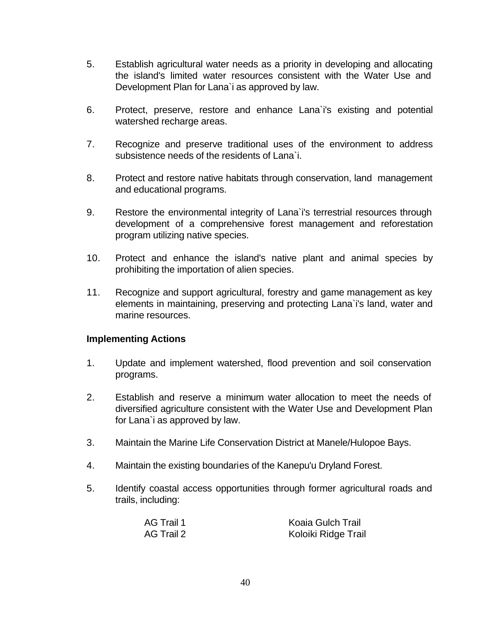- 5. Establish agricultural water needs as a priority in developing and allocating the island's limited water resources consistent with the Water Use and Development Plan for Lana`i as approved by law.
- 6. Protect, preserve, restore and enhance Lana`i's existing and potential watershed recharge areas.
- 7. Recognize and preserve traditional uses of the environment to address subsistence needs of the residents of Lana`i.
- 8. Protect and restore native habitats through conservation, land management and educational programs.
- 9. Restore the environmental integrity of Lana`i's terrestrial resources through development of a comprehensive forest management and reforestation program utilizing native species.
- 10. Protect and enhance the island's native plant and animal species by prohibiting the importation of alien species.
- 11. Recognize and support agricultural, forestry and game management as key elements in maintaining, preserving and protecting Lana`i's land, water and marine resources.

- 1. Update and implement watershed, flood prevention and soil conservation programs.
- 2. Establish and reserve a minimum water allocation to meet the needs of diversified agriculture consistent with the Water Use and Development Plan for Lana`i as approved by law.
- 3. Maintain the Marine Life Conservation District at Manele/Hulopoe Bays.
- 4. Maintain the existing boundaries of the Kanepu'u Dryland Forest.
- 5. Identify coastal access opportunities through former agricultural roads and trails, including:

| AG Trail 1 | <b>Koaia Gulch Trail</b> |
|------------|--------------------------|
| AG Trail 2 | Koloiki Ridge Trail      |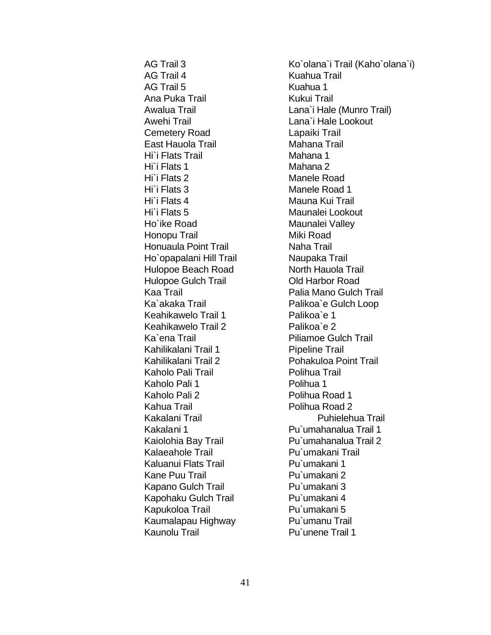AG Trail 4 Kuahua Trail AG Trail 5 Kuahua 1 Ana Puka Trail **Kukui Trail** Awehi Trail **Lana** Lana i Hale Lookout Cemetery Road Lapaiki Trail East Hauola Trail **Mahana Trail** Mahana Trail Hi`i Flats Trail Mahana 1 Hi`i Flats 1 Mahana 2 Hi`i Flats 2 Manele Road Hi`i Flats 3 Manele Road 1 Hi`i Flats 4 Mauna Kui Trail Hi`i Flats 5 Maunalei Lookout Ho`ike Road Maunalei Valley Honopu Trail Miki Road Honuaula Point Trail Naha Trail Ho`opapalani Hill Trail Naupaka Trail Hulopoe Beach Road North Hauola Trail Hulopoe Gulch Trail **Old Harbor Road** Ka`akaka Trail Palikoa`e Gulch Loop Keahikawelo Trail 1 Palikoa`e 1 Keahikawelo Trail 2 Palikoa`e 2 Ka`ena Trail **Access** Piliamoe Gulch Trail Kahilikalani Trail 1 Pipeline Trail Kahilikalani Trail 2 Pohakuloa Point Trail Kaholo Pali Trail **Example 20 Folihua Trail** Kaholo Pali 1 Polihua 1 Kaholo Pali 2 Polihua Road 1 Kahua Trail **Example 2** Polihua Road 2 Kakalani 1 Pu`umahanalua Trail 1 Kalaeahole Trail **Pu**`umakani Trail Kaluanui Flats Trail **Pu**`umakani 1 Kane Puu Trail Pu`umakani 2 Kapano Gulch Trail Pu`umakani 3 Kapohaku Gulch Trail Pu`umakani 4 Kapukoloa Trail Pu`umakani 5 Kaumalapau Highway Pu`umanu Trail Kaunolu Trail **Pu**`unene Trail 1

AG Trail 3 Ko`olana`i Trail (Kaho`olana`i) Awalua Trail **Lana** Lana i Hale (Munro Trail) Kaa Trail **Palia Mano Gulch Trail** Kakalani Trail **Puhielehua Trail** Kaiolohia Bay Trail Pu`umahanalua Trail 2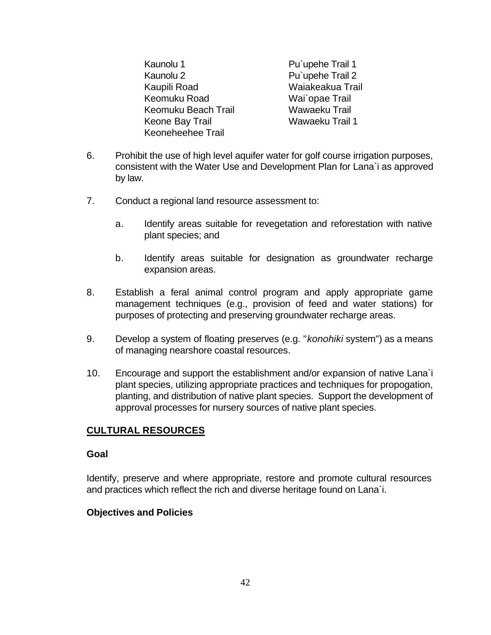Kaunolu 1 Pu`upehe Trail 1 Kaunolu 2 Pu`upehe Trail 2 Kaupili Road Waiakeakua Trail Keomuku Road Wai`opae Trail Keomuku Beach Trail Wawaeku Trail Keone Bay Trail Wawaeku Trail 1 Keoneheehee Trail

- 6. Prohibit the use of high level aquifer water for golf course irrigation purposes, consistent with the Water Use and Development Plan for Lana`i as approved by law.
- 7. Conduct a regional land resource assessment to:
	- a. Identify areas suitable for revegetation and reforestation with native plant species; and
	- b. Identify areas suitable for designation as groundwater recharge expansion areas.
- 8. Establish a feral animal control program and apply appropriate game management techniques (e.g., provision of feed and water stations) for purposes of protecting and preserving groundwater recharge areas.
- 9. Develop a system of floating preserves (e.g. "*konohiki* system") as a means of managing nearshore coastal resources.
- 10. Encourage and support the establishment and/or expansion of native Lana`i plant species, utilizing appropriate practices and techniques for propogation, planting, and distribution of native plant species. Support the development of approval processes for nursery sources of native plant species.

# **CULTURAL RESOURCES**

# **Goal**

Identify, preserve and where appropriate, restore and promote cultural resources and practices which reflect the rich and diverse heritage found on Lana`i.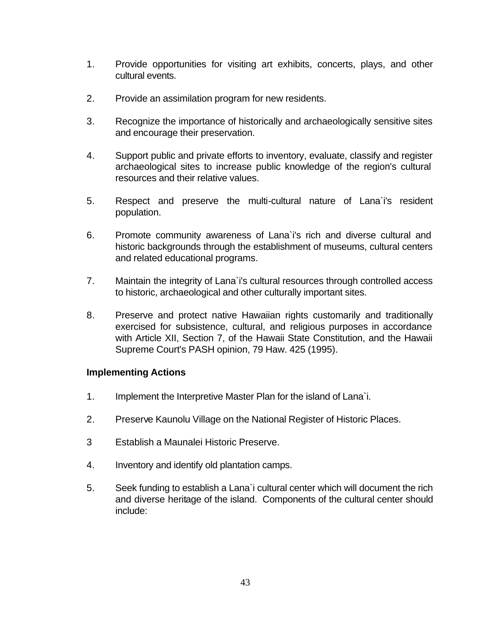- 1. Provide opportunities for visiting art exhibits, concerts, plays, and other cultural events.
- 2. Provide an assimilation program for new residents.
- 3. Recognize the importance of historically and archaeologically sensitive sites and encourage their preservation.
- 4. Support public and private efforts to inventory, evaluate, classify and register archaeological sites to increase public knowledge of the region's cultural resources and their relative values.
- 5. Respect and preserve the multi-cultural nature of Lana`i's resident population.
- 6. Promote community awareness of Lana`i's rich and diverse cultural and historic backgrounds through the establishment of museums, cultural centers and related educational programs.
- 7. Maintain the integrity of Lana`i's cultural resources through controlled access to historic, archaeological and other culturally important sites.
- 8. Preserve and protect native Hawaiian rights customarily and traditionally exercised for subsistence, cultural, and religious purposes in accordance with Article XII, Section 7, of the Hawaii State Constitution, and the Hawaii Supreme Court's PASH opinion, 79 Haw. 425 (1995).

- 1. Implement the Interpretive Master Plan for the island of Lana`i.
- 2. Preserve Kaunolu Village on the National Register of Historic Places.
- 3 Establish a Maunalei Historic Preserve.
- 4. Inventory and identify old plantation camps.
- 5. Seek funding to establish a Lana`i cultural center which will document the rich and diverse heritage of the island. Components of the cultural center should include: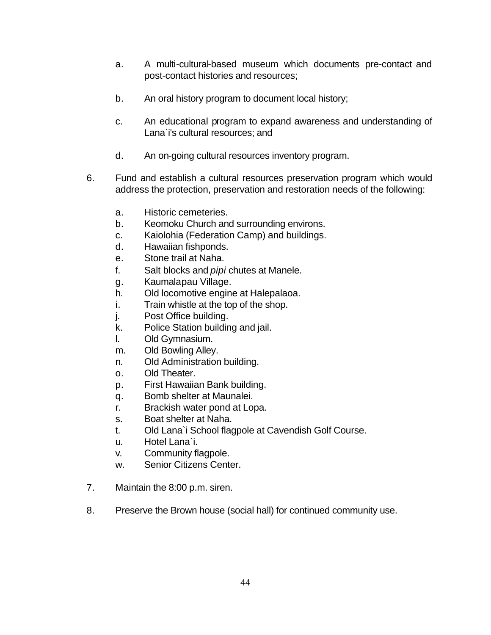- a. A multi-cultural-based museum which documents pre-contact and post-contact histories and resources;
- b. An oral history program to document local history;
- c. An educational program to expand awareness and understanding of Lana`i's cultural resources; and
- d. An on-going cultural resources inventory program.
- 6. Fund and establish a cultural resources preservation program which would address the protection, preservation and restoration needs of the following:
	- a. Historic cemeteries.
	- b. Keomoku Church and surrounding environs.
	- c. Kaiolohia (Federation Camp) and buildings.
	- d. Hawaiian fishponds.
	- e. Stone trail at Naha.
	- f. Salt blocks and *pipi* chutes at Manele.
	- g. Kaumalapau Village.
	- h. Old locomotive engine at Halepalaoa.
	- i. Train whistle at the top of the shop.
	- j. Post Office building.
	- k. Police Station building and jail.
	- l. Old Gymnasium.
	- m. Old Bowling Alley.
	- n. Old Administration building.
	- o. Old Theater.
	- p. First Hawaiian Bank building.
	- q. Bomb shelter at Maunalei.
	- r. Brackish water pond at Lopa.
	- s. Boat shelter at Naha.
	- t. Old Lana`i School flagpole at Cavendish Golf Course.
	- u. Hotel Lana`i.
	- v. Community flagpole.
	- w. Senior Citizens Center.
- 7. Maintain the 8:00 p.m. siren.
- 8. Preserve the Brown house (social hall) for continued community use.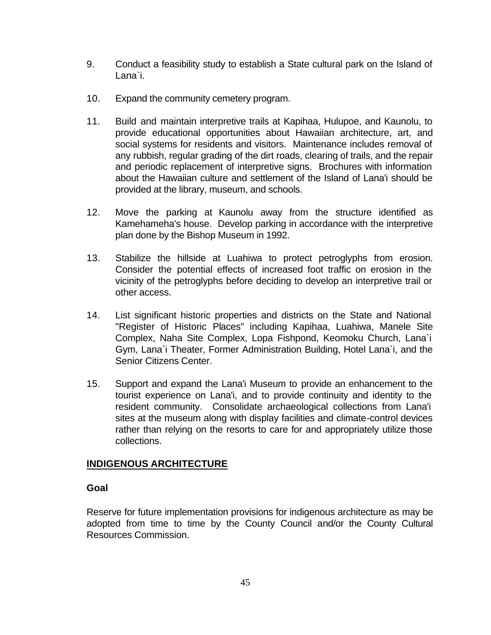- 9. Conduct a feasibility study to establish a State cultural park on the Island of Lana`i.
- 10. Expand the community cemetery program.
- 11. Build and maintain interpretive trails at Kapihaa, Hulupoe, and Kaunolu, to provide educational opportunities about Hawaiian architecture, art, and social systems for residents and visitors. Maintenance includes removal of any rubbish, regular grading of the dirt roads, clearing of trails, and the repair and periodic replacement of interpretive signs. Brochures with information about the Hawaiian culture and settlement of the Island of Lana'i should be provided at the library, museum, and schools.
- 12. Move the parking at Kaunolu away from the structure identified as Kamehameha's house. Develop parking in accordance with the interpretive plan done by the Bishop Museum in 1992.
- 13. Stabilize the hillside at Luahiwa to protect petroglyphs from erosion. Consider the potential effects of increased foot traffic on erosion in the vicinity of the petroglyphs before deciding to develop an interpretive trail or other access.
- 14. List significant historic properties and districts on the State and National "Register of Historic Places" including Kapihaa, Luahiwa, Manele Site Complex, Naha Site Complex, Lopa Fishpond, Keomoku Church, Lana`i Gym, Lana`i Theater, Former Administration Building, Hotel Lana`i, and the Senior Citizens Center.
- 15. Support and expand the Lana'i Museum to provide an enhancement to the tourist experience on Lana'i, and to provide continuity and identity to the resident community. Consolidate archaeological collections from Lana'i sites at the museum along with display facilities and climate-control devices rather than relying on the resorts to care for and appropriately utilize those collections.

# **INDIGENOUS ARCHITECTURE**

# **Goal**

Reserve for future implementation provisions for indigenous architecture as may be adopted from time to time by the County Council and/or the County Cultural Resources Commission.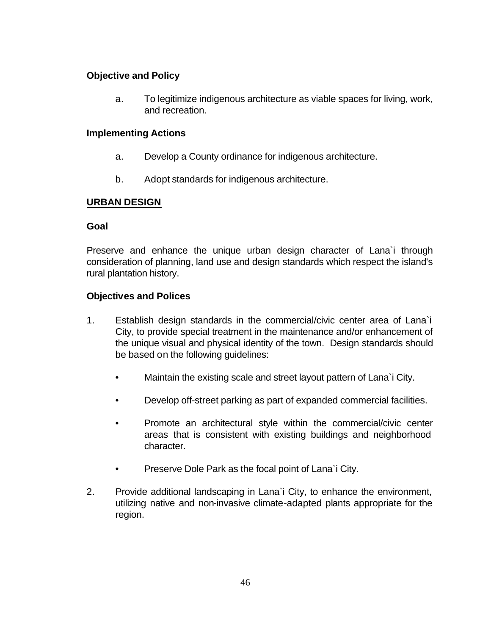# **Objective and Policy**

a. To legitimize indigenous architecture as viable spaces for living, work, and recreation.

### **Implementing Actions**

- a. Develop a County ordinance for indigenous architecture.
- b. Adopt standards for indigenous architecture.

# **URBAN DESIGN**

# **Goal**

Preserve and enhance the unique urban design character of Lana`i through consideration of planning, land use and design standards which respect the island's rural plantation history.

- 1. Establish design standards in the commercial/civic center area of Lana`i City, to provide special treatment in the maintenance and/or enhancement of the unique visual and physical identity of the town. Design standards should be based on the following guidelines:
	- Maintain the existing scale and street layout pattern of Lana`i City.
	- Develop off-street parking as part of expanded commercial facilities.
	- Promote an architectural style within the commercial/civic center areas that is consistent with existing buildings and neighborhood character.
	- Preserve Dole Park as the focal point of Lana`i City.
- 2. Provide additional landscaping in Lana`i City, to enhance the environment, utilizing native and non-invasive climate-adapted plants appropriate for the region.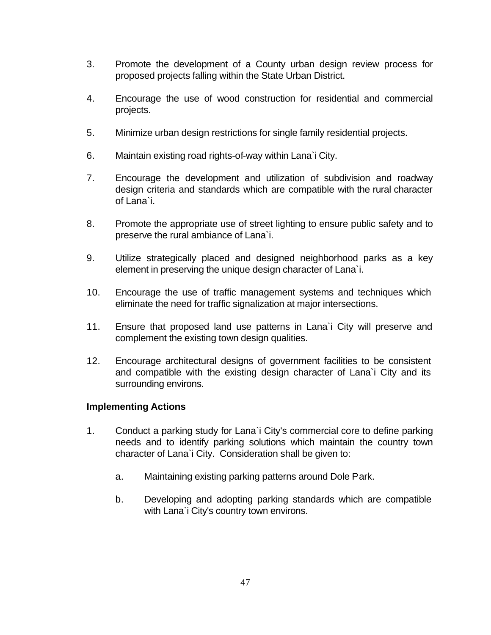- 3. Promote the development of a County urban design review process for proposed projects falling within the State Urban District.
- 4. Encourage the use of wood construction for residential and commercial projects.
- 5. Minimize urban design restrictions for single family residential projects.
- 6. Maintain existing road rights-of-way within Lana`i City.
- 7. Encourage the development and utilization of subdivision and roadway design criteria and standards which are compatible with the rural character of Lana`i.
- 8. Promote the appropriate use of street lighting to ensure public safety and to preserve the rural ambiance of Lana`i.
- 9. Utilize strategically placed and designed neighborhood parks as a key element in preserving the unique design character of Lana`i.
- 10. Encourage the use of traffic management systems and techniques which eliminate the need for traffic signalization at major intersections.
- 11. Ensure that proposed land use patterns in Lana`i City will preserve and complement the existing town design qualities.
- 12. Encourage architectural designs of government facilities to be consistent and compatible with the existing design character of Lana`i City and its surrounding environs.

- 1. Conduct a parking study for Lana`i City's commercial core to define parking needs and to identify parking solutions which maintain the country town character of Lana`i City. Consideration shall be given to:
	- a. Maintaining existing parking patterns around Dole Park.
	- b. Developing and adopting parking standards which are compatible with Lana`i City's country town environs.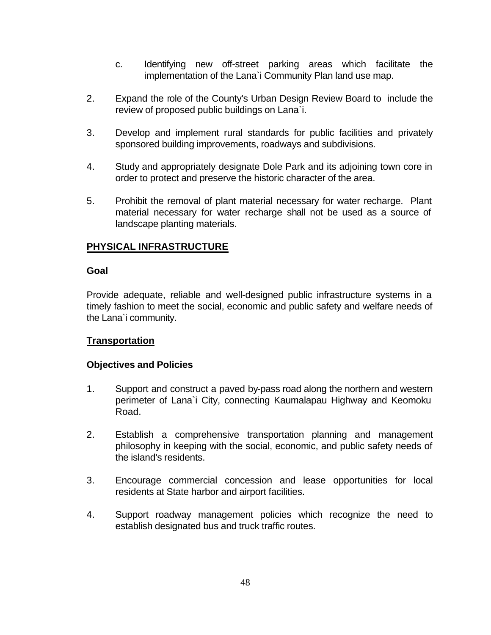- c. Identifying new off-street parking areas which facilitate the implementation of the Lana`i Community Plan land use map.
- 2. Expand the role of the County's Urban Design Review Board to include the review of proposed public buildings on Lana`i.
- 3. Develop and implement rural standards for public facilities and privately sponsored building improvements, roadways and subdivisions.
- 4. Study and appropriately designate Dole Park and its adjoining town core in order to protect and preserve the historic character of the area.
- 5. Prohibit the removal of plant material necessary for water recharge. Plant material necessary for water recharge shall not be used as a source of landscape planting materials.

# **PHYSICAL INFRASTRUCTURE**

### **Goal**

Provide adequate, reliable and well-designed public infrastructure systems in a timely fashion to meet the social, economic and public safety and welfare needs of the Lana`i community.

# **Transportation**

- 1. Support and construct a paved by-pass road along the northern and western perimeter of Lana`i City, connecting Kaumalapau Highway and Keomoku Road.
- 2. Establish a comprehensive transportation planning and management philosophy in keeping with the social, economic, and public safety needs of the island's residents.
- 3. Encourage commercial concession and lease opportunities for local residents at State harbor and airport facilities.
- 4. Support roadway management policies which recognize the need to establish designated bus and truck traffic routes.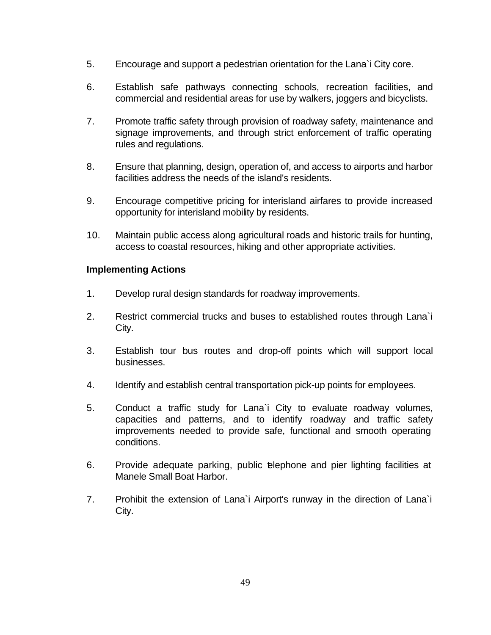- 5. Encourage and support a pedestrian orientation for the Lana`i City core.
- 6. Establish safe pathways connecting schools, recreation facilities, and commercial and residential areas for use by walkers, joggers and bicyclists.
- 7. Promote traffic safety through provision of roadway safety, maintenance and signage improvements, and through strict enforcement of traffic operating rules and regulations.
- 8. Ensure that planning, design, operation of, and access to airports and harbor facilities address the needs of the island's residents.
- 9. Encourage competitive pricing for interisland airfares to provide increased opportunity for interisland mobility by residents.
- 10. Maintain public access along agricultural roads and historic trails for hunting, access to coastal resources, hiking and other appropriate activities.

- 1. Develop rural design standards for roadway improvements.
- 2. Restrict commercial trucks and buses to established routes through Lana`i City.
- 3. Establish tour bus routes and drop-off points which will support local businesses.
- 4. Identify and establish central transportation pick-up points for employees.
- 5. Conduct a traffic study for Lana`i City to evaluate roadway volumes, capacities and patterns, and to identify roadway and traffic safety improvements needed to provide safe, functional and smooth operating conditions.
- 6. Provide adequate parking, public telephone and pier lighting facilities at Manele Small Boat Harbor.
- 7. Prohibit the extension of Lana`i Airport's runway in the direction of Lana`i City.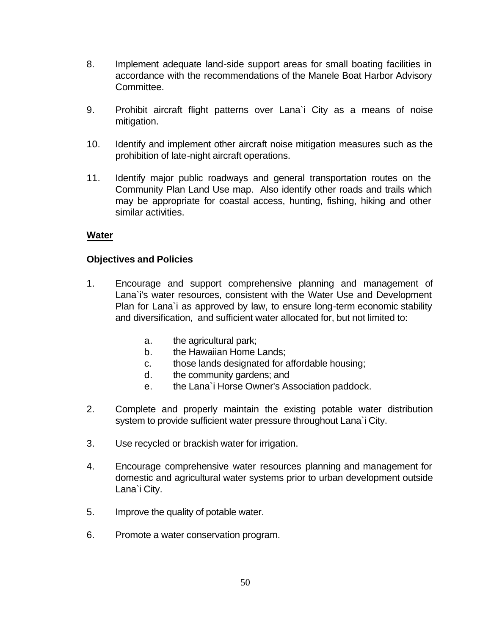- 8. Implement adequate land-side support areas for small boating facilities in accordance with the recommendations of the Manele Boat Harbor Advisory Committee.
- 9. Prohibit aircraft flight patterns over Lana`i City as a means of noise mitigation.
- 10. Identify and implement other aircraft noise mitigation measures such as the prohibition of late-night aircraft operations.
- 11. Identify major public roadways and general transportation routes on the Community Plan Land Use map. Also identify other roads and trails which may be appropriate for coastal access, hunting, fishing, hiking and other similar activities.

# **Water**

- 1. Encourage and support comprehensive planning and management of Lana`i's water resources, consistent with the Water Use and Development Plan for Lana`i as approved by law, to ensure long-term economic stability and diversification, and sufficient water allocated for, but not limited to:
	- a. the agricultural park;
	- b. the Hawaiian Home Lands;
	- c. those lands designated for affordable housing;
	- d. the community gardens; and
	- e. the Lana`i Horse Owner's Association paddock.
- 2. Complete and properly maintain the existing potable water distribution system to provide sufficient water pressure throughout Lana`i City.
- 3. Use recycled or brackish water for irrigation.
- 4. Encourage comprehensive water resources planning and management for domestic and agricultural water systems prior to urban development outside Lana`i City.
- 5. Improve the quality of potable water.
- 6. Promote a water conservation program.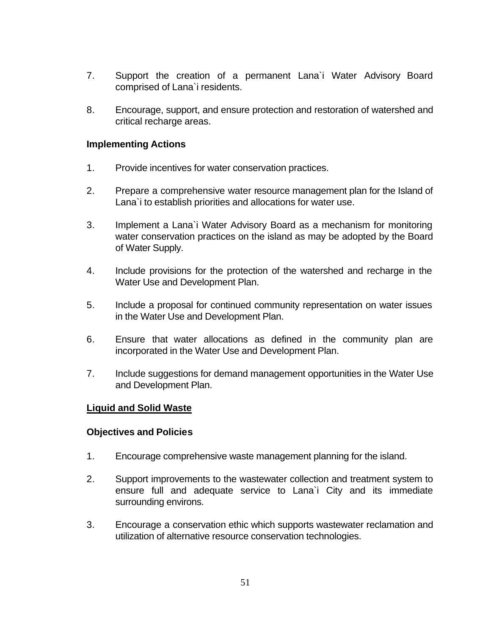- 7. Support the creation of a permanent Lana`i Water Advisory Board comprised of Lana`i residents.
- 8. Encourage, support, and ensure protection and restoration of watershed and critical recharge areas.

- 1. Provide incentives for water conservation practices.
- 2. Prepare a comprehensive water resource management plan for the Island of Lana`i to establish priorities and allocations for water use.
- 3. Implement a Lana`i Water Advisory Board as a mechanism for monitoring water conservation practices on the island as may be adopted by the Board of Water Supply.
- 4. Include provisions for the protection of the watershed and recharge in the Water Use and Development Plan.
- 5. Include a proposal for continued community representation on water issues in the Water Use and Development Plan.
- 6. Ensure that water allocations as defined in the community plan are incorporated in the Water Use and Development Plan.
- 7. Include suggestions for demand management opportunities in the Water Use and Development Plan.

# **Liquid and Solid Waste**

- 1. Encourage comprehensive waste management planning for the island.
- 2. Support improvements to the wastewater collection and treatment system to ensure full and adequate service to Lana`i City and its immediate surrounding environs.
- 3. Encourage a conservation ethic which supports wastewater reclamation and utilization of alternative resource conservation technologies.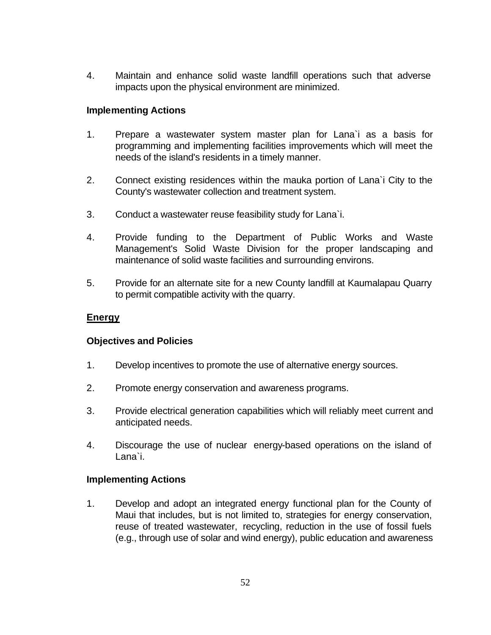4. Maintain and enhance solid waste landfill operations such that adverse impacts upon the physical environment are minimized.

### **Implementing Actions**

- 1. Prepare a wastewater system master plan for Lana`i as a basis for programming and implementing facilities improvements which will meet the needs of the island's residents in a timely manner.
- 2. Connect existing residences within the mauka portion of Lana`i City to the County's wastewater collection and treatment system.
- 3. Conduct a wastewater reuse feasibility study for Lana`i.
- 4. Provide funding to the Department of Public Works and Waste Management's Solid Waste Division for the proper landscaping and maintenance of solid waste facilities and surrounding environs.
- 5. Provide for an alternate site for a new County landfill at Kaumalapau Quarry to permit compatible activity with the quarry.

### **Energy**

### **Objectives and Policies**

- 1. Develop incentives to promote the use of alternative energy sources.
- 2. Promote energy conservation and awareness programs.
- 3. Provide electrical generation capabilities which will reliably meet current and anticipated needs.
- 4. Discourage the use of nuclear energy-based operations on the island of Lana`i.

### **Implementing Actions**

1. Develop and adopt an integrated energy functional plan for the County of Maui that includes, but is not limited to, strategies for energy conservation, reuse of treated wastewater, recycling, reduction in the use of fossil fuels (e.g., through use of solar and wind energy), public education and awareness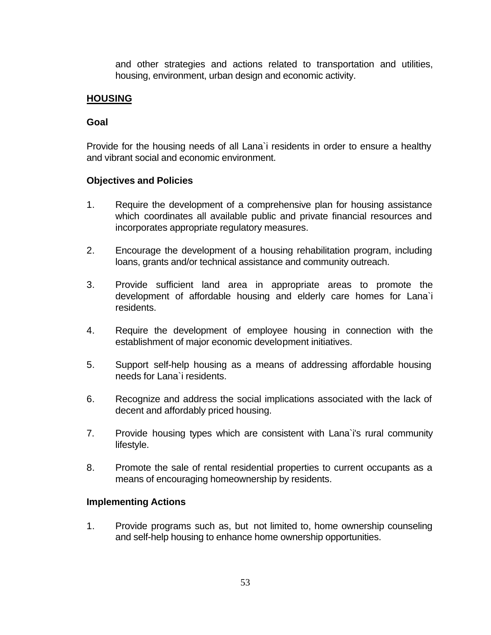and other strategies and actions related to transportation and utilities, housing, environment, urban design and economic activity.

# **HOUSING**

# **Goal**

Provide for the housing needs of all Lana`i residents in order to ensure a healthy and vibrant social and economic environment.

# **Objectives and Policies**

- 1. Require the development of a comprehensive plan for housing assistance which coordinates all available public and private financial resources and incorporates appropriate regulatory measures.
- 2. Encourage the development of a housing rehabilitation program, including loans, grants and/or technical assistance and community outreach.
- 3. Provide sufficient land area in appropriate areas to promote the development of affordable housing and elderly care homes for Lana`i residents.
- 4. Require the development of employee housing in connection with the establishment of major economic development initiatives.
- 5. Support self-help housing as a means of addressing affordable housing needs for Lana`i residents.
- 6. Recognize and address the social implications associated with the lack of decent and affordably priced housing.
- 7. Provide housing types which are consistent with Lana`i's rural community lifestyle.
- 8. Promote the sale of rental residential properties to current occupants as a means of encouraging homeownership by residents.

# **Implementing Actions**

1. Provide programs such as, but not limited to, home ownership counseling and self-help housing to enhance home ownership opportunities.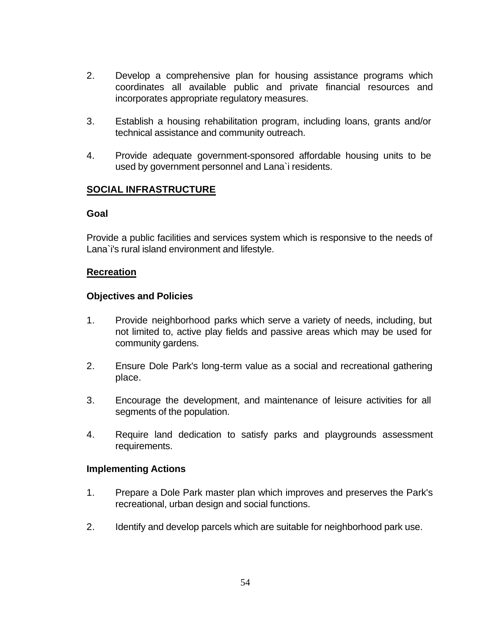- 2. Develop a comprehensive plan for housing assistance programs which coordinates all available public and private financial resources and incorporates appropriate regulatory measures.
- 3. Establish a housing rehabilitation program, including loans, grants and/or technical assistance and community outreach.
- 4. Provide adequate government-sponsored affordable housing units to be used by government personnel and Lana`i residents.

# **SOCIAL INFRASTRUCTURE**

### **Goal**

Provide a public facilities and services system which is responsive to the needs of Lana`i's rural island environment and lifestyle.

### **Recreation**

### **Objectives and Policies**

- 1. Provide neighborhood parks which serve a variety of needs, including, but not limited to, active play fields and passive areas which may be used for community gardens.
- 2. Ensure Dole Park's long-term value as a social and recreational gathering place.
- 3. Encourage the development, and maintenance of leisure activities for all segments of the population.
- 4. Require land dedication to satisfy parks and playgrounds assessment requirements.

- 1. Prepare a Dole Park master plan which improves and preserves the Park's recreational, urban design and social functions.
- 2. Identify and develop parcels which are suitable for neighborhood park use.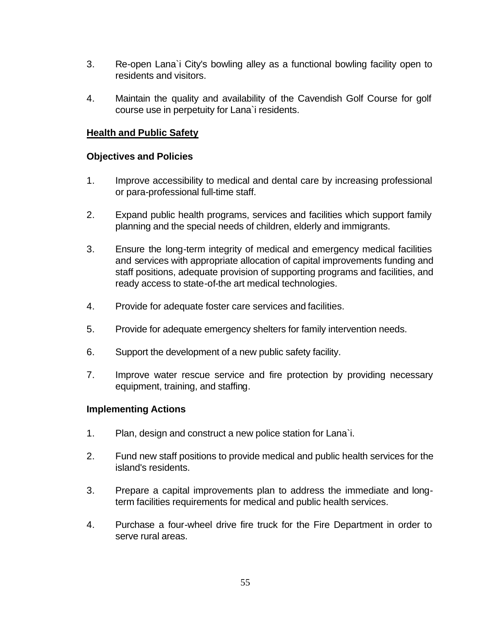- 3. Re-open Lana`i City's bowling alley as a functional bowling facility open to residents and visitors.
- 4. Maintain the quality and availability of the Cavendish Golf Course for golf course use in perpetuity for Lana`i residents.

# **Health and Public Safety**

# **Objectives and Policies**

- 1. Improve accessibility to medical and dental care by increasing professional or para-professional full-time staff.
- 2. Expand public health programs, services and facilities which support family planning and the special needs of children, elderly and immigrants.
- 3. Ensure the long-term integrity of medical and emergency medical facilities and services with appropriate allocation of capital improvements funding and staff positions, adequate provision of supporting programs and facilities, and ready access to state-of-the art medical technologies.
- 4. Provide for adequate foster care services and facilities.
- 5. Provide for adequate emergency shelters for family intervention needs.
- 6. Support the development of a new public safety facility.
- 7. Improve water rescue service and fire protection by providing necessary equipment, training, and staffing.

- 1. Plan, design and construct a new police station for Lana`i.
- 2. Fund new staff positions to provide medical and public health services for the island's residents.
- 3. Prepare a capital improvements plan to address the immediate and longterm facilities requirements for medical and public health services.
- 4. Purchase a four-wheel drive fire truck for the Fire Department in order to serve rural areas.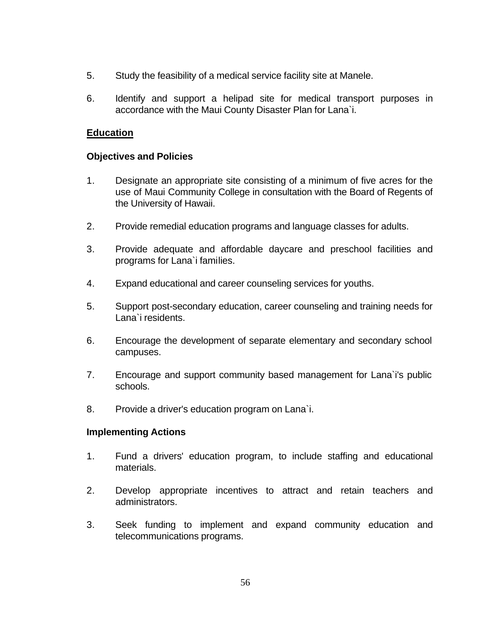- 5. Study the feasibility of a medical service facility site at Manele.
- 6. Identify and support a helipad site for medical transport purposes in accordance with the Maui County Disaster Plan for Lana`i.

# **Education**

# **Objectives and Policies**

- 1. Designate an appropriate site consisting of a minimum of five acres for the use of Maui Community College in consultation with the Board of Regents of the University of Hawaii.
- 2. Provide remedial education programs and language classes for adults.
- 3. Provide adequate and affordable daycare and preschool facilities and programs for Lana`i families.
- 4. Expand educational and career counseling services for youths.
- 5. Support post-secondary education, career counseling and training needs for Lana`i residents.
- 6. Encourage the development of separate elementary and secondary school campuses.
- 7. Encourage and support community based management for Lana`i's public schools.
- 8. Provide a driver's education program on Lana`i.

- 1. Fund a drivers' education program, to include staffing and educational materials.
- 2. Develop appropriate incentives to attract and retain teachers and administrators.
- 3. Seek funding to implement and expand community education and telecommunications programs.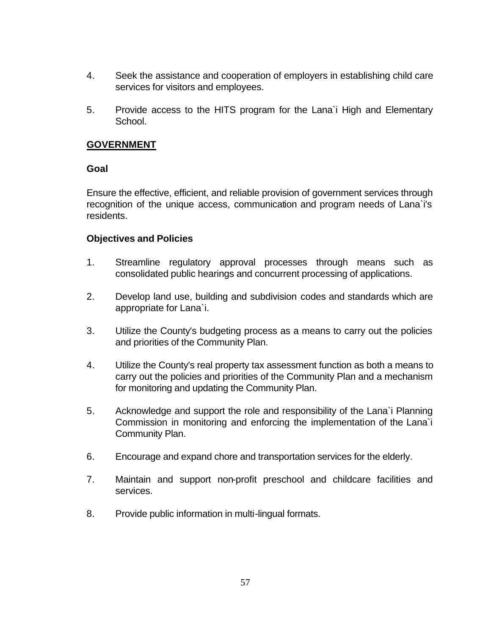- 4. Seek the assistance and cooperation of employers in establishing child care services for visitors and employees.
- 5. Provide access to the HITS program for the Lana`i High and Elementary School.

# **GOVERNMENT**

### **Goal**

Ensure the effective, efficient, and reliable provision of government services through recognition of the unique access, communication and program needs of Lana`i's residents.

- 1. Streamline regulatory approval processes through means such as consolidated public hearings and concurrent processing of applications.
- 2. Develop land use, building and subdivision codes and standards which are appropriate for Lana`i.
- 3. Utilize the County's budgeting process as a means to carry out the policies and priorities of the Community Plan.
- 4. Utilize the County's real property tax assessment function as both a means to carry out the policies and priorities of the Community Plan and a mechanism for monitoring and updating the Community Plan.
- 5. Acknowledge and support the role and responsibility of the Lana`i Planning Commission in monitoring and enforcing the implementation of the Lana`i Community Plan.
- 6. Encourage and expand chore and transportation services for the elderly.
- 7. Maintain and support non-profit preschool and childcare facilities and services.
- 8. Provide public information in multi-lingual formats.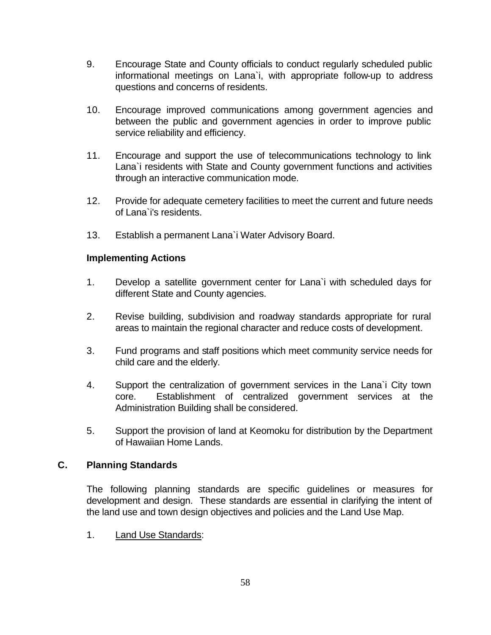- 9. Encourage State and County officials to conduct regularly scheduled public informational meetings on Lana`i, with appropriate follow-up to address questions and concerns of residents.
- 10. Encourage improved communications among government agencies and between the public and government agencies in order to improve public service reliability and efficiency.
- 11. Encourage and support the use of telecommunications technology to link Lana`i residents with State and County government functions and activities through an interactive communication mode.
- 12. Provide for adequate cemetery facilities to meet the current and future needs of Lana`i's residents.
- 13. Establish a permanent Lana`i Water Advisory Board.

- 1. Develop a satellite government center for Lana`i with scheduled days for different State and County agencies.
- 2. Revise building, subdivision and roadway standards appropriate for rural areas to maintain the regional character and reduce costs of development.
- 3. Fund programs and staff positions which meet community service needs for child care and the elderly.
- 4. Support the centralization of government services in the Lana`i City town core. Establishment of centralized government services at the Administration Building shall be considered.
- 5. Support the provision of land at Keomoku for distribution by the Department of Hawaiian Home Lands.

# **C. Planning Standards**

The following planning standards are specific guidelines or measures for development and design. These standards are essential in clarifying the intent of the land use and town design objectives and policies and the Land Use Map.

1. Land Use Standards: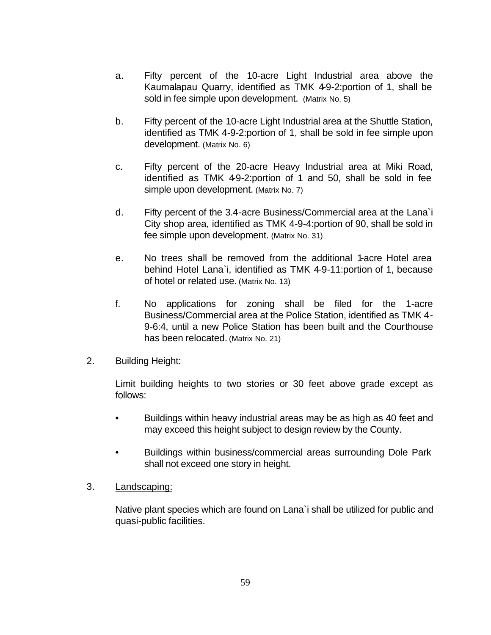- a. Fifty percent of the 10-acre Light Industrial area above the Kaumalapau Quarry, identified as TMK 4-9-2:portion of 1, shall be sold in fee simple upon development. (Matrix No. 5)
- b. Fifty percent of the 10-acre Light Industrial area at the Shuttle Station, identified as TMK 4-9-2:portion of 1, shall be sold in fee simple upon development. (Matrix No. 6)
- c. Fifty percent of the 20-acre Heavy Industrial area at Miki Road, identified as TMK 49-2:portion of 1 and 50, shall be sold in fee simple upon development. (Matrix No. 7)
- d. Fifty percent of the 3.4-acre Business/Commercial area at the Lana`i City shop area, identified as TMK 4-9-4:portion of 90, shall be sold in fee simple upon development. (Matrix No. 31)
- e. No trees shall be removed from the additional 1-acre Hotel area behind Hotel Lana`i, identified as TMK 4-9-11:portion of 1, because of hotel or related use. (Matrix No. 13)
- f. No applications for zoning shall be filed for the 1-acre Business/Commercial area at the Police Station, identified as TMK 4- 9-6:4, until a new Police Station has been built and the Courthouse has been relocated. (Matrix No. 21)

# 2. Building Height:

Limit building heights to two stories or 30 feet above grade except as follows:

- Buildings within heavy industrial areas may be as high as 40 feet and may exceed this height subject to design review by the County.
- Buildings within business/commercial areas surrounding Dole Park shall not exceed one story in height.

# 3. Landscaping:

Native plant species which are found on Lana`i shall be utilized for public and quasi-public facilities.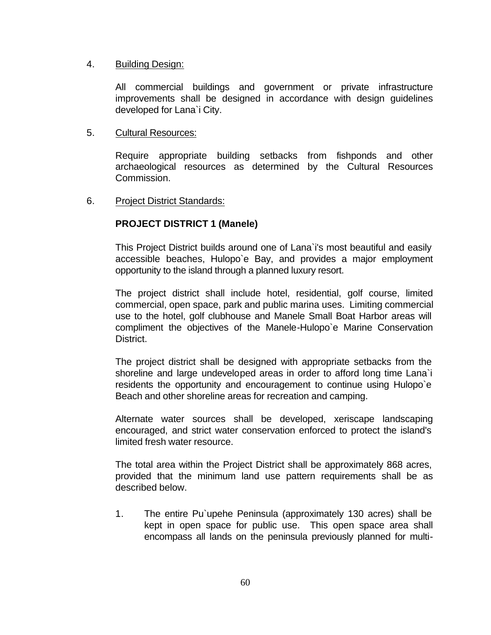### 4. Building Design:

All commercial buildings and government or private infrastructure improvements shall be designed in accordance with design guidelines developed for Lana`i City.

# 5. Cultural Resources:

Require appropriate building setbacks from fishponds and other archaeological resources as determined by the Cultural Resources Commission.

# 6. Project District Standards:

# **PROJECT DISTRICT 1 (Manele)**

This Project District builds around one of Lana`i's most beautiful and easily accessible beaches, Hulopo`e Bay, and provides a major employment opportunity to the island through a planned luxury resort.

The project district shall include hotel, residential, golf course, limited commercial, open space, park and public marina uses. Limiting commercial use to the hotel, golf clubhouse and Manele Small Boat Harbor areas will compliment the objectives of the Manele-Hulopo`e Marine Conservation District.

The project district shall be designed with appropriate setbacks from the shoreline and large undeveloped areas in order to afford long time Lana`i residents the opportunity and encouragement to continue using Hulopo`e Beach and other shoreline areas for recreation and camping.

Alternate water sources shall be developed, xeriscape landscaping encouraged, and strict water conservation enforced to protect the island's limited fresh water resource.

The total area within the Project District shall be approximately 868 acres, provided that the minimum land use pattern requirements shall be as described below.

1. The entire Pu`upehe Peninsula (approximately 130 acres) shall be kept in open space for public use. This open space area shall encompass all lands on the peninsula previously planned for multi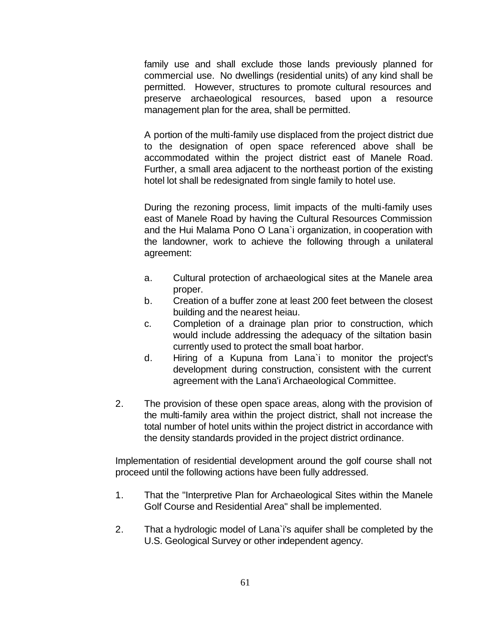family use and shall exclude those lands previously planned for commercial use. No dwellings (residential units) of any kind shall be permitted. However, structures to promote cultural resources and preserve archaeological resources, based upon a resource management plan for the area, shall be permitted.

A portion of the multi-family use displaced from the project district due to the designation of open space referenced above shall be accommodated within the project district east of Manele Road. Further, a small area adjacent to the northeast portion of the existing hotel lot shall be redesignated from single family to hotel use.

During the rezoning process, limit impacts of the multi-family uses east of Manele Road by having the Cultural Resources Commission and the Hui Malama Pono O Lana`i organization, in cooperation with the landowner, work to achieve the following through a unilateral agreement:

- a. Cultural protection of archaeological sites at the Manele area proper.
- b. Creation of a buffer zone at least 200 feet between the closest building and the nearest heiau.
- c. Completion of a drainage plan prior to construction, which would include addressing the adequacy of the siltation basin currently used to protect the small boat harbor.
- d. Hiring of a Kupuna from Lana`i to monitor the project's development during construction, consistent with the current agreement with the Lana'i Archaeological Committee.
- 2. The provision of these open space areas, along with the provision of the multi-family area within the project district, shall not increase the total number of hotel units within the project district in accordance with the density standards provided in the project district ordinance.

Implementation of residential development around the golf course shall not proceed until the following actions have been fully addressed.

- 1. That the "Interpretive Plan for Archaeological Sites within the Manele Golf Course and Residential Area" shall be implemented.
- 2. That a hydrologic model of Lana`i's aquifer shall be completed by the U.S. Geological Survey or other independent agency.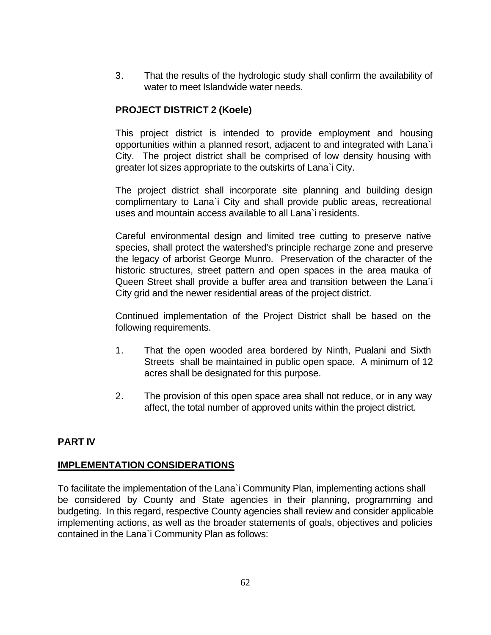3. That the results of the hydrologic study shall confirm the availability of water to meet Islandwide water needs.

# **PROJECT DISTRICT 2 (Koele)**

This project district is intended to provide employment and housing opportunities within a planned resort, adjacent to and integrated with Lana`i City. The project district shall be comprised of low density housing with greater lot sizes appropriate to the outskirts of Lana`i City.

The project district shall incorporate site planning and building design complimentary to Lana`i City and shall provide public areas, recreational uses and mountain access available to all Lana`i residents.

Careful environmental design and limited tree cutting to preserve native species, shall protect the watershed's principle recharge zone and preserve the legacy of arborist George Munro. Preservation of the character of the historic structures, street pattern and open spaces in the area mauka of Queen Street shall provide a buffer area and transition between the Lana`i City grid and the newer residential areas of the project district.

Continued implementation of the Project District shall be based on the following requirements.

- 1. That the open wooded area bordered by Ninth, Pualani and Sixth Streets shall be maintained in public open space. A minimum of 12 acres shall be designated for this purpose.
- 2. The provision of this open space area shall not reduce, or in any way affect, the total number of approved units within the project district.

# **PART IV**

# **IMPLEMENTATION CONSIDERATIONS**

To facilitate the implementation of the Lana`i Community Plan, implementing actions shall be considered by County and State agencies in their planning, programming and budgeting. In this regard, respective County agencies shall review and consider applicable implementing actions, as well as the broader statements of goals, objectives and policies contained in the Lana`i Community Plan as follows: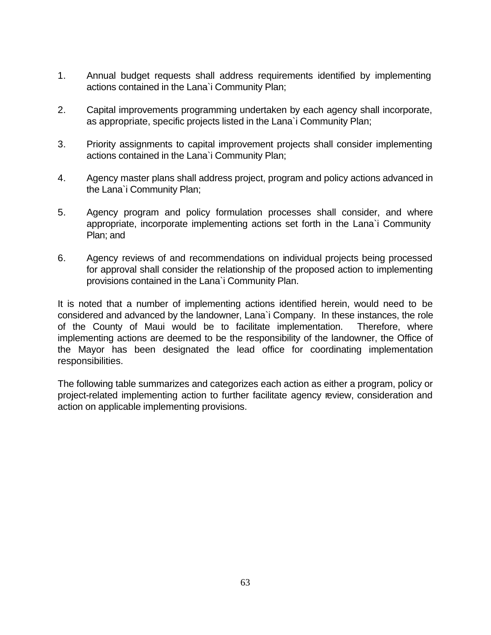- 1. Annual budget requests shall address requirements identified by implementing actions contained in the Lana`i Community Plan;
- 2. Capital improvements programming undertaken by each agency shall incorporate, as appropriate, specific projects listed in the Lana`i Community Plan;
- 3. Priority assignments to capital improvement projects shall consider implementing actions contained in the Lana`i Community Plan;
- 4. Agency master plans shall address project, program and policy actions advanced in the Lana`i Community Plan;
- 5. Agency program and policy formulation processes shall consider, and where appropriate, incorporate implementing actions set forth in the Lana`i Community Plan; and
- 6. Agency reviews of and recommendations on individual projects being processed for approval shall consider the relationship of the proposed action to implementing provisions contained in the Lana`i Community Plan.

It is noted that a number of implementing actions identified herein, would need to be considered and advanced by the landowner, Lana`i Company. In these instances, the role of the County of Maui would be to facilitate implementation. Therefore, where implementing actions are deemed to be the responsibility of the landowner, the Office of the Mayor has been designated the lead office for coordinating implementation responsibilities.

The following table summarizes and categorizes each action as either a program, policy or project-related implementing action to further facilitate agency review, consideration and action on applicable implementing provisions.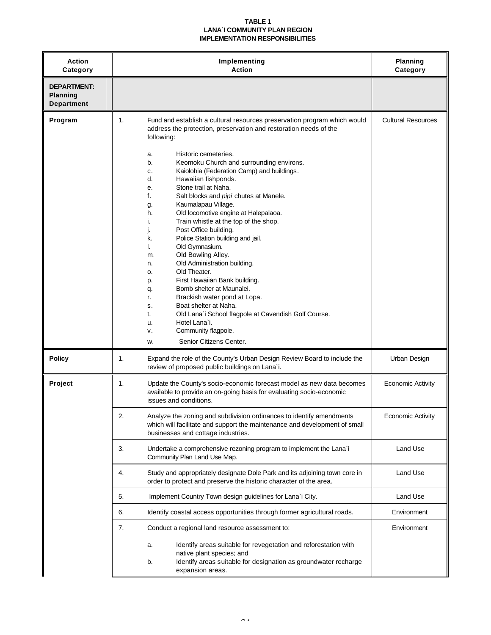#### **TABLE 1 LANA`I COMMUNITY PLAN REGION IMPLEMENTATION RESPONSIBILITIES**

| <b>Action</b><br>Category                                  | Implementing<br><b>Action</b>                                                                                                                                                                                                                                                                                                                                                                                                                                                                                                                                                                                                                                                                                                                                                                                                                                                                                                                                                                                                    | Planning<br>Category      |
|------------------------------------------------------------|----------------------------------------------------------------------------------------------------------------------------------------------------------------------------------------------------------------------------------------------------------------------------------------------------------------------------------------------------------------------------------------------------------------------------------------------------------------------------------------------------------------------------------------------------------------------------------------------------------------------------------------------------------------------------------------------------------------------------------------------------------------------------------------------------------------------------------------------------------------------------------------------------------------------------------------------------------------------------------------------------------------------------------|---------------------------|
| <b>DEPARTMENT:</b><br><b>Planning</b><br><b>Department</b> |                                                                                                                                                                                                                                                                                                                                                                                                                                                                                                                                                                                                                                                                                                                                                                                                                                                                                                                                                                                                                                  |                           |
| Program                                                    | 1.<br>Fund and establish a cultural resources preservation program which would<br>address the protection, preservation and restoration needs of the<br>following:<br>Historic cemeteries.<br>a.<br>Keomoku Church and surrounding environs.<br>b.<br>Kaiolohia (Federation Camp) and buildings.<br>c.<br>d.<br>Hawaiian fishponds.<br>Stone trail at Naha.<br>е.<br>f.<br>Salt blocks and pipi chutes at Manele.<br>Kaumalapau Village.<br>g.<br>Old locomotive engine at Halepalaoa.<br>h.<br>Train whistle at the top of the shop.<br>i.<br>Post Office building.<br>Police Station building and jail.<br>k.<br>Old Gymnasium.<br>I.<br>Old Bowling Alley.<br>m.<br>Old Administration building.<br>n.<br>Old Theater.<br>o.<br>First Hawaiian Bank building.<br>p.<br>Bomb shelter at Maunalei.<br>q.<br>Brackish water pond at Lopa.<br>r.<br>Boat shelter at Naha.<br>s.<br>Old Lana'i School flagpole at Cavendish Golf Course.<br>t.<br>Hotel Lana'i.<br>u.<br>Community flagpole.<br>v.<br>Senior Citizens Center.<br>w. | <b>Cultural Resources</b> |
| <b>Policy</b>                                              | 1.<br>Expand the role of the County's Urban Design Review Board to include the<br>review of proposed public buildings on Lana`i.                                                                                                                                                                                                                                                                                                                                                                                                                                                                                                                                                                                                                                                                                                                                                                                                                                                                                                 | Urban Design              |
| Project                                                    | 1.<br>Update the County's socio-economic forecast model as new data becomes<br>available to provide an on-going basis for evaluating socio-economic<br>issues and conditions.                                                                                                                                                                                                                                                                                                                                                                                                                                                                                                                                                                                                                                                                                                                                                                                                                                                    | <b>Economic Activity</b>  |
|                                                            | 2.<br>Analyze the zoning and subdivision ordinances to identify amendments<br>which will facilitate and support the maintenance and development of small<br>businesses and cottage industries.                                                                                                                                                                                                                                                                                                                                                                                                                                                                                                                                                                                                                                                                                                                                                                                                                                   | <b>Economic Activity</b>  |
|                                                            | 3.<br>Undertake a comprehensive rezoning program to implement the Lana'i<br>Community Plan Land Use Map.                                                                                                                                                                                                                                                                                                                                                                                                                                                                                                                                                                                                                                                                                                                                                                                                                                                                                                                         | Land Use                  |
|                                                            | 4.<br>Study and appropriately designate Dole Park and its adjoining town core in<br>order to protect and preserve the historic character of the area.                                                                                                                                                                                                                                                                                                                                                                                                                                                                                                                                                                                                                                                                                                                                                                                                                                                                            | Land Use                  |
|                                                            | 5.<br>Implement Country Town design guidelines for Lana`i City.                                                                                                                                                                                                                                                                                                                                                                                                                                                                                                                                                                                                                                                                                                                                                                                                                                                                                                                                                                  | Land Use                  |
|                                                            | 6.<br>Identify coastal access opportunities through former agricultural roads.                                                                                                                                                                                                                                                                                                                                                                                                                                                                                                                                                                                                                                                                                                                                                                                                                                                                                                                                                   | Environment               |
|                                                            | 7.<br>Conduct a regional land resource assessment to:                                                                                                                                                                                                                                                                                                                                                                                                                                                                                                                                                                                                                                                                                                                                                                                                                                                                                                                                                                            | Environment               |
|                                                            | Identify areas suitable for revegetation and reforestation with<br>a.<br>native plant species; and<br>Identify areas suitable for designation as groundwater recharge<br>b.<br>expansion areas.                                                                                                                                                                                                                                                                                                                                                                                                                                                                                                                                                                                                                                                                                                                                                                                                                                  |                           |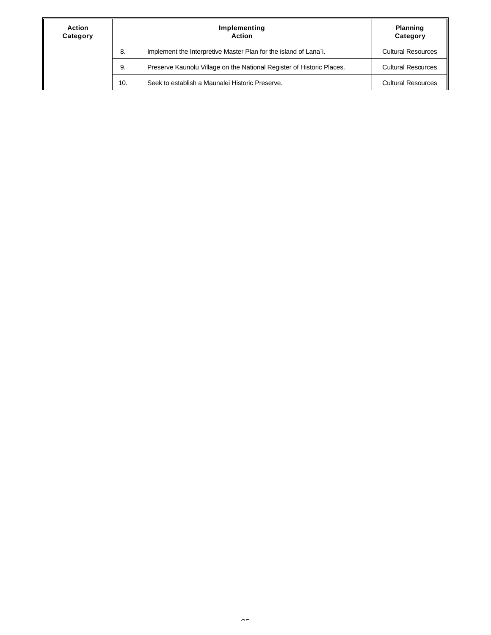| <b>Action</b><br>Category | Implementing<br><b>Action</b>                                               | <b>Planning</b><br>Category |
|---------------------------|-----------------------------------------------------------------------------|-----------------------------|
|                           | Implement the Interpretive Master Plan for the island of Lana`i.<br>8.      | <b>Cultural Resources</b>   |
|                           | Preserve Kaunolu Village on the National Register of Historic Places.<br>9. | <b>Cultural Resources</b>   |
|                           | Seek to establish a Maunalei Historic Preserve.<br>10.                      | <b>Cultural Resources</b>   |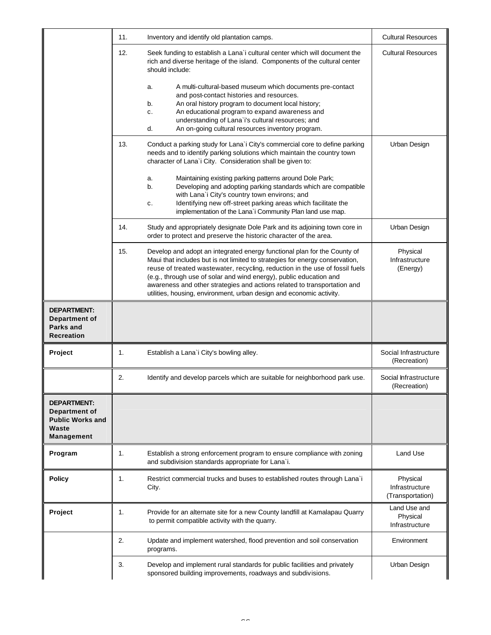|                                                                                              | 11. | Inventory and identify old plantation camps.                                                                                                                                                                                                                                                                                                                                                                                                                       | <b>Cultural Resources</b>                      |
|----------------------------------------------------------------------------------------------|-----|--------------------------------------------------------------------------------------------------------------------------------------------------------------------------------------------------------------------------------------------------------------------------------------------------------------------------------------------------------------------------------------------------------------------------------------------------------------------|------------------------------------------------|
|                                                                                              | 12. | Seek funding to establish a Lana'i cultural center which will document the<br>rich and diverse heritage of the island. Components of the cultural center<br>should include:                                                                                                                                                                                                                                                                                        | <b>Cultural Resources</b>                      |
|                                                                                              |     | A multi-cultural-based museum which documents pre-contact<br>a.<br>and post-contact histories and resources.<br>An oral history program to document local history;<br>b.<br>An educational program to expand awareness and<br>c.<br>understanding of Lana`i's cultural resources; and<br>d.<br>An on-going cultural resources inventory program.                                                                                                                   |                                                |
|                                                                                              | 13. | Conduct a parking study for Lana`i City's commercial core to define parking<br>needs and to identify parking solutions which maintain the country town<br>character of Lana'i City. Consideration shall be given to:                                                                                                                                                                                                                                               | Urban Design                                   |
|                                                                                              |     | Maintaining existing parking patterns around Dole Park;<br>a.<br>Developing and adopting parking standards which are compatible<br>b.<br>with Lana'i City's country town environs; and<br>Identifying new off-street parking areas which facilitate the<br>c.<br>implementation of the Lana'i Community Plan land use map.                                                                                                                                         |                                                |
|                                                                                              | 14. | Study and appropriately designate Dole Park and its adjoining town core in<br>order to protect and preserve the historic character of the area.                                                                                                                                                                                                                                                                                                                    | Urban Design                                   |
|                                                                                              | 15. | Develop and adopt an integrated energy functional plan for the County of<br>Maui that includes but is not limited to strategies for energy conservation,<br>reuse of treated wastewater, recycling, reduction in the use of fossil fuels<br>(e.g., through use of solar and wind energy), public education and<br>awareness and other strategies and actions related to transportation and<br>utilities, housing, environment, urban design and economic activity. | Physical<br>Infrastructure<br>(Energy)         |
| <b>DEPARTMENT:</b><br><b>Department of</b><br><b>Parks and</b><br><b>Recreation</b>          |     |                                                                                                                                                                                                                                                                                                                                                                                                                                                                    |                                                |
| Project                                                                                      | 1.  | Establish a Lana'i City's bowling alley.                                                                                                                                                                                                                                                                                                                                                                                                                           | Social Infrastructure<br>(Recreation)          |
|                                                                                              | 2.  | Identify and develop parcels which are suitable for neighborhood park use.                                                                                                                                                                                                                                                                                                                                                                                         | Social Infrastructure<br>(Recreation)          |
| <b>DEPARTMENT:</b><br><b>Department of</b><br><b>Public Works and</b><br>Waste<br>Management |     |                                                                                                                                                                                                                                                                                                                                                                                                                                                                    |                                                |
| Program                                                                                      | 1.  | Establish a strong enforcement program to ensure compliance with zoning<br>and subdivision standards appropriate for Lana`i.                                                                                                                                                                                                                                                                                                                                       | Land Use                                       |
| <b>Policy</b>                                                                                | 1.  | Restrict commercial trucks and buses to established routes through Lana`i<br>City.                                                                                                                                                                                                                                                                                                                                                                                 | Physical<br>Infrastructure<br>(Transportation) |
| Project                                                                                      | 1.  | Provide for an alternate site for a new County landfill at Kamalapau Quarry<br>to permit compatible activity with the quarry.                                                                                                                                                                                                                                                                                                                                      | Land Use and<br>Physical<br>Infrastructure     |
|                                                                                              | 2.  | Update and implement watershed, flood prevention and soil conservation<br>programs.                                                                                                                                                                                                                                                                                                                                                                                | Environment                                    |
|                                                                                              | 3.  | Develop and implement rural standards for public facilities and privately                                                                                                                                                                                                                                                                                                                                                                                          | Urban Design                                   |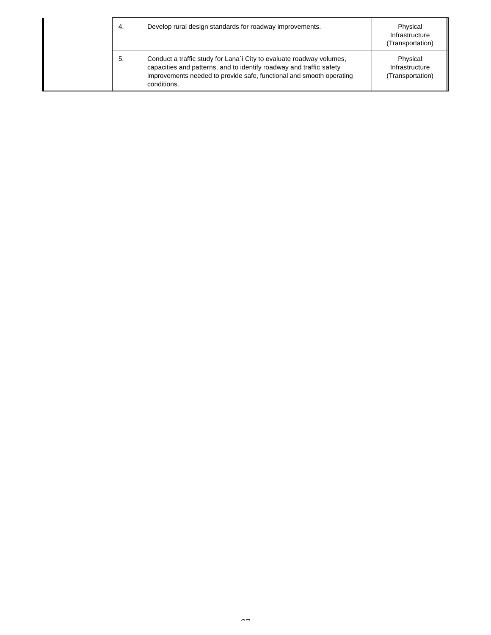| 4. | Develop rural design standards for roadway improvements.                                                                                                                                                                           | Physical<br>Infrastructure<br>(Transportation) |
|----|------------------------------------------------------------------------------------------------------------------------------------------------------------------------------------------------------------------------------------|------------------------------------------------|
| 5. | Conduct a traffic study for Lana`i City to evaluate roadway volumes,<br>capacities and patterns, and to identify roadway and traffic safety<br>improvements needed to provide safe, functional and smooth operating<br>conditions. | Physical<br>Infrastructure<br>(Transportation) |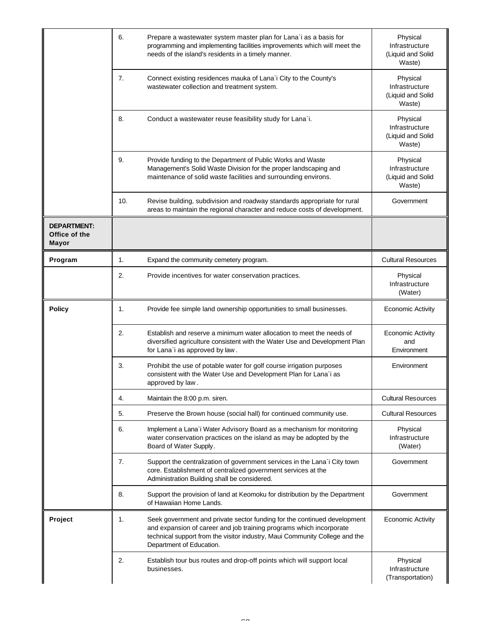|                                                     | 6.  | Prepare a wastewater system master plan for Lana'i as a basis for<br>programming and implementing facilities improvements which will meet the<br>needs of the island's residents in a timely manner.                                                       | Physical<br>Infrastructure<br>(Liquid and Solid<br>Waste) |
|-----------------------------------------------------|-----|------------------------------------------------------------------------------------------------------------------------------------------------------------------------------------------------------------------------------------------------------------|-----------------------------------------------------------|
|                                                     | 7.  | Connect existing residences mauka of Lana'i City to the County's<br>wastewater collection and treatment system.                                                                                                                                            | Physical<br>Infrastructure<br>(Liquid and Solid<br>Waste) |
|                                                     | 8.  | Conduct a wastewater reuse feasibility study for Lana`i.                                                                                                                                                                                                   | Physical<br>Infrastructure<br>(Liquid and Solid<br>Waste) |
|                                                     | 9.  | Provide funding to the Department of Public Works and Waste<br>Management's Solid Waste Division for the proper landscaping and<br>maintenance of solid waste facilities and surrounding environs.                                                         | Physical<br>Infrastructure<br>(Liquid and Solid<br>Waste) |
|                                                     | 10. | Revise building, subdivision and roadway standards appropriate for rural<br>areas to maintain the regional character and reduce costs of development.                                                                                                      | Government                                                |
| <b>DEPARTMENT:</b><br>Office of the<br><b>Mayor</b> |     |                                                                                                                                                                                                                                                            |                                                           |
| Program                                             | 1.  | Expand the community cemetery program.                                                                                                                                                                                                                     | <b>Cultural Resources</b>                                 |
|                                                     | 2.  | Provide incentives for water conservation practices.                                                                                                                                                                                                       | Physical<br>Infrastructure<br>(Water)                     |
| <b>Policy</b>                                       | 1.  | Provide fee simple land ownership opportunities to small businesses.                                                                                                                                                                                       | <b>Economic Activity</b>                                  |
|                                                     | 2.  | Establish and reserve a minimum water allocation to meet the needs of<br>diversified agriculture consistent with the Water Use and Development Plan<br>for Lana`i as approved by law.                                                                      | <b>Economic Activity</b><br>and<br>Environment            |
|                                                     | 3.  | Prohibit the use of potable water for golf course irrigation purposes<br>consistent with the Water Use and Development Plan for Lana'i as<br>approved by law.                                                                                              | Environment                                               |
|                                                     | 4.  | Maintain the 8:00 p.m. siren.                                                                                                                                                                                                                              | <b>Cultural Resources</b>                                 |
|                                                     | 5.  | Preserve the Brown house (social hall) for continued community use.                                                                                                                                                                                        | <b>Cultural Resources</b>                                 |
|                                                     | 6.  | Implement a Lana'i Water Advisory Board as a mechanism for monitoring<br>water conservation practices on the island as may be adopted by the<br>Board of Water Supply.                                                                                     | Physical<br>Infrastructure<br>(Water)                     |
|                                                     | 7.  | Support the centralization of government services in the Lana`i City town<br>core. Establishment of centralized government services at the<br>Administration Building shall be considered.                                                                 | Government                                                |
|                                                     | 8.  | Support the provision of land at Keomoku for distribution by the Department<br>of Hawaiian Home Lands.                                                                                                                                                     | Government                                                |
| Project                                             | 1.  | Seek government and private sector funding for the continued development<br>and expansion of career and job training programs which incorporate<br>technical support from the visitor industry, Maui Community College and the<br>Department of Education. | <b>Economic Activity</b>                                  |
|                                                     | 2.  | Establish tour bus routes and drop-off points which will support local<br>businesses.                                                                                                                                                                      | Physical<br>Infrastructure<br>(Transportation)            |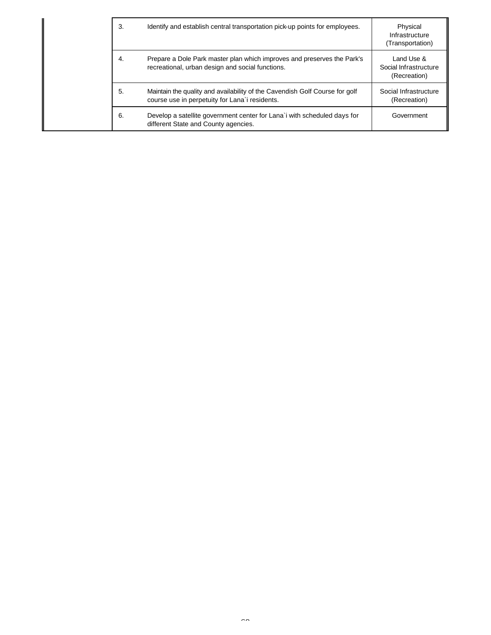|  | 3. | Identify and establish central transportation pick-up points for employees.                                                   | Physical<br>Infrastructure<br>(Transportation)      |
|--|----|-------------------------------------------------------------------------------------------------------------------------------|-----------------------------------------------------|
|  | 4. | Prepare a Dole Park master plan which improves and preserves the Park's<br>recreational, urban design and social functions.   | Land Use &<br>Social Infrastructure<br>(Recreation) |
|  | 5. | Maintain the quality and availability of the Cavendish Golf Course for golf<br>course use in perpetuity for Lana'i residents. | Social Infrastructure<br>(Recreation)               |
|  | 6. | Develop a satellite government center for Lana'i with scheduled days for<br>different State and County agencies.              | Government                                          |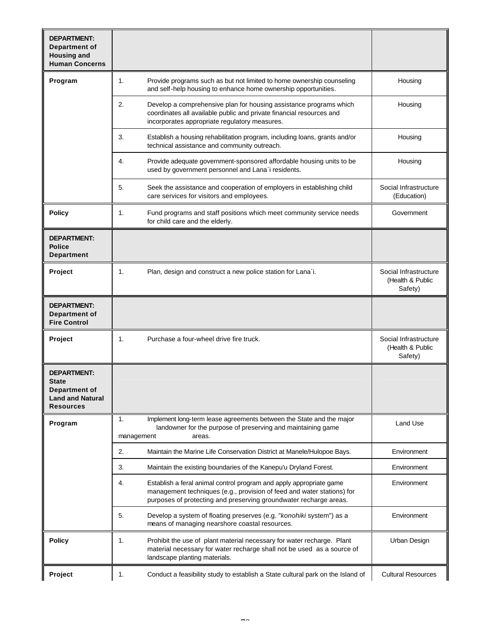| <b>DEPARTMENT:</b><br>Department of<br><b>Housing and</b><br><b>Human Concerns</b>                        |                                                                                                                                                                                                                          |                                                      |
|-----------------------------------------------------------------------------------------------------------|--------------------------------------------------------------------------------------------------------------------------------------------------------------------------------------------------------------------------|------------------------------------------------------|
| Program                                                                                                   | 1.<br>Provide programs such as but not limited to home ownership counseling<br>and self-help housing to enhance home ownership opportunities.                                                                            | Housing                                              |
|                                                                                                           | 2.<br>Develop a comprehensive plan for housing assistance programs which<br>coordinates all available public and private financial resources and<br>incorporates appropriate regulatory measures.                        | Housing                                              |
|                                                                                                           | 3.<br>Establish a housing rehabilitation program, including loans, grants and/or<br>technical assistance and community outreach.                                                                                         | Housing                                              |
|                                                                                                           | 4.<br>Provide adequate government-sponsored affordable housing units to be<br>used by government personnel and Lana'i residents.                                                                                         | Housing                                              |
|                                                                                                           | 5.<br>Seek the assistance and cooperation of employers in establishing child<br>care services for visitors and employees.                                                                                                | Social Infrastructure<br>(Education)                 |
| <b>Policy</b>                                                                                             | Fund programs and staff positions which meet community service needs<br>1.<br>for child care and the elderly.                                                                                                            | Government                                           |
| <b>DEPARTMENT:</b><br><b>Police</b><br><b>Department</b>                                                  |                                                                                                                                                                                                                          |                                                      |
| Project                                                                                                   | 1.<br>Plan, design and construct a new police station for Lana`i.                                                                                                                                                        | Social Infrastructure<br>(Health & Public<br>Safety) |
| <b>DEPARTMENT:</b><br>Department of<br><b>Fire Control</b>                                                |                                                                                                                                                                                                                          |                                                      |
| Project                                                                                                   | Purchase a four-wheel drive fire truck.<br>1.                                                                                                                                                                            | Social Infrastructure<br>(Health & Public<br>Safety) |
| <b>DEPARTMENT:</b><br><b>State</b><br><b>Department of</b><br><b>Land and Natural</b><br><b>Resources</b> |                                                                                                                                                                                                                          |                                                      |
| Program                                                                                                   | 1.<br>Implement long-term lease agreements between the State and the major<br>landowner for the purpose of preserving and maintaining game<br>management<br>areas.                                                       | Land Use                                             |
|                                                                                                           | 2.<br>Maintain the Marine Life Conservation District at Manele/Hulopoe Bays.                                                                                                                                             | Environment                                          |
|                                                                                                           | 3.<br>Maintain the existing boundaries of the Kanepu'u Dryland Forest.                                                                                                                                                   | Environment                                          |
|                                                                                                           | 4.<br>Establish a feral animal control program and apply appropriate game<br>management techniques (e.g., provision of feed and water stations) for<br>purposes of protecting and preserving groundwater recharge areas. | Environment                                          |
|                                                                                                           | 5.<br>Develop a system of floating preserves (e.g. "konohiki system") as a<br>means of managing nearshore coastal resources.                                                                                             | Environment                                          |
| <b>Policy</b>                                                                                             | Prohibit the use of plant material necessary for water recharge. Plant<br>1.<br>material necessary for water recharge shall not be used as a source of<br>landscape planting materials.                                  | Urban Design                                         |
| Project                                                                                                   | 1.<br>Conduct a feasibility study to establish a State cultural park on the Island of                                                                                                                                    | <b>Cultural Resources</b>                            |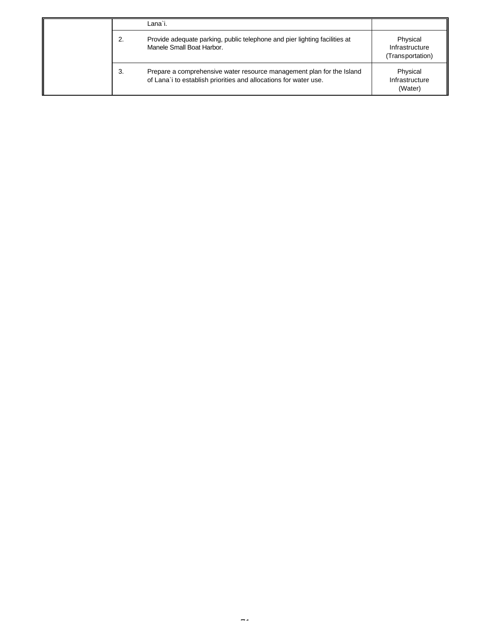|    | Lana`i.                                                                                                                                   |                                                |
|----|-------------------------------------------------------------------------------------------------------------------------------------------|------------------------------------------------|
| 2. | Provide adequate parking, public telephone and pier lighting facilities at<br>Manele Small Boat Harbor.                                   | Physical<br>Infrastructure<br>(Transportation) |
| 3. | Prepare a comprehensive water resource management plan for the Island<br>of Lana'i to establish priorities and allocations for water use. | Physical<br>Infrastructure<br>(Water)          |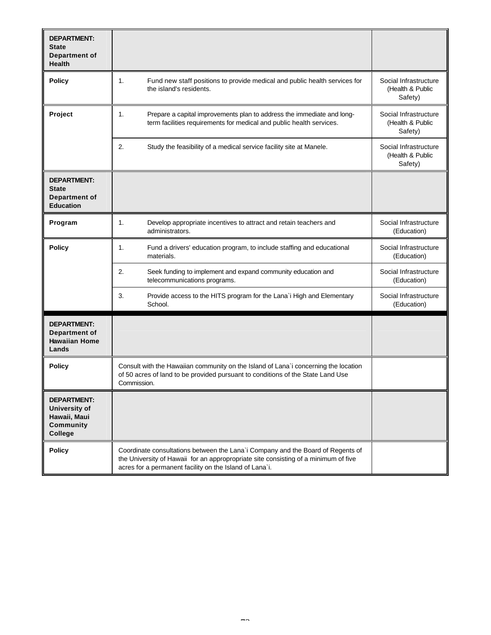| <b>DEPARTMENT:</b><br><b>State</b><br>Department of<br><b>Health</b>                      |                                                                                                                                                                                                                                   |                                                      |
|-------------------------------------------------------------------------------------------|-----------------------------------------------------------------------------------------------------------------------------------------------------------------------------------------------------------------------------------|------------------------------------------------------|
| <b>Policy</b>                                                                             | 1.<br>Fund new staff positions to provide medical and public health services for<br>the island's residents.                                                                                                                       | Social Infrastructure<br>(Health & Public<br>Safety) |
| Project                                                                                   | 1.<br>Prepare a capital improvements plan to address the immediate and long-<br>term facilities requirements for medical and public health services.                                                                              | Social Infrastructure<br>(Health & Public<br>Safety) |
|                                                                                           | 2.<br>Study the feasibility of a medical service facility site at Manele.                                                                                                                                                         | Social Infrastructure<br>(Health & Public<br>Safety) |
| <b>DEPARTMENT:</b><br><b>State</b><br>Department of<br><b>Education</b>                   |                                                                                                                                                                                                                                   |                                                      |
| Program                                                                                   | 1.<br>Develop appropriate incentives to attract and retain teachers and<br>administrators.                                                                                                                                        | Social Infrastructure<br>(Education)                 |
| <b>Policy</b>                                                                             | 1.<br>Fund a drivers' education program, to include staffing and educational<br>materials.                                                                                                                                        | Social Infrastructure<br>(Education)                 |
|                                                                                           | 2.<br>Seek funding to implement and expand community education and<br>telecommunications programs.                                                                                                                                | Social Infrastructure<br>(Education)                 |
|                                                                                           | 3.<br>Provide access to the HITS program for the Lana`i High and Elementary<br>School.                                                                                                                                            | Social Infrastructure<br>(Education)                 |
| <b>DEPARTMENT:</b><br>Department of<br><b>Hawaiian Home</b><br>Lands                      |                                                                                                                                                                                                                                   |                                                      |
| <b>Policy</b>                                                                             | Consult with the Hawaiian community on the Island of Lana'i concerning the location<br>of 50 acres of land to be provided pursuant to conditions of the State Land Use<br>Commission.                                             |                                                      |
| <b>DEPARTMENT:</b><br><b>University of</b><br>Hawaii, Maui<br><b>Community</b><br>College |                                                                                                                                                                                                                                   |                                                      |
| <b>Policy</b>                                                                             | Coordinate consultations between the Lana'i Company and the Board of Regents of<br>the University of Hawaii for an appropropriate site consisting of a minimum of five<br>acres for a permanent facility on the Island of Lana`i. |                                                      |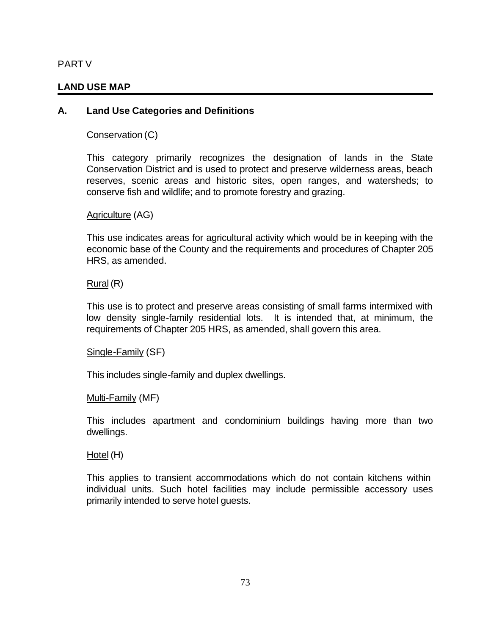# PART V

# **LAND USE MAP**

# **A. Land Use Categories and Definitions**

Conservation (C)

This category primarily recognizes the designation of lands in the State Conservation District and is used to protect and preserve wilderness areas, beach reserves, scenic areas and historic sites, open ranges, and watersheds; to conserve fish and wildlife; and to promote forestry and grazing.

Agriculture (AG)

This use indicates areas for agricultural activity which would be in keeping with the economic base of the County and the requirements and procedures of Chapter 205 HRS, as amended.

Rural (R)

This use is to protect and preserve areas consisting of small farms intermixed with low density single-family residential lots. It is intended that, at minimum, the requirements of Chapter 205 HRS, as amended, shall govern this area.

Single-Family (SF)

This includes single-family and duplex dwellings.

Multi-Family (MF)

This includes apartment and condominium buildings having more than two dwellings.

Hotel (H)

This applies to transient accommodations which do not contain kitchens within individual units. Such hotel facilities may include permissible accessory uses primarily intended to serve hotel guests.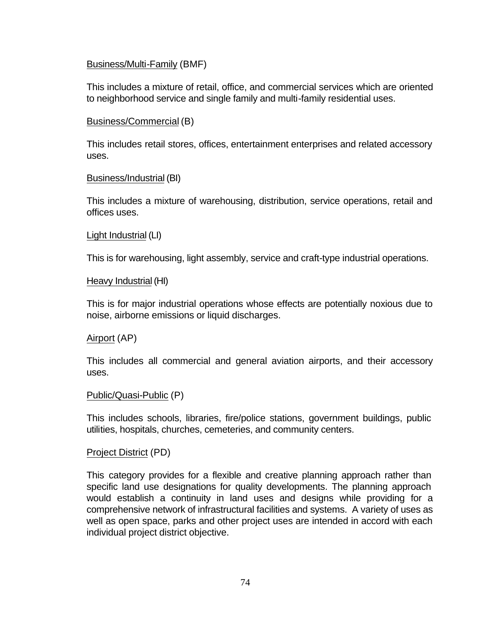#### Business/Multi-Family (BMF)

This includes a mixture of retail, office, and commercial services which are oriented to neighborhood service and single family and multi-family residential uses.

#### Business/Commercial (B)

This includes retail stores, offices, entertainment enterprises and related accessory uses.

#### Business/Industrial (BI)

This includes a mixture of warehousing, distribution, service operations, retail and offices uses.

#### Light Industrial (LI)

This is for warehousing, light assembly, service and craft-type industrial operations.

#### Heavy Industrial (HI)

This is for major industrial operations whose effects are potentially noxious due to noise, airborne emissions or liquid discharges.

# Airport (AP)

This includes all commercial and general aviation airports, and their accessory uses.

#### Public/Quasi-Public (P)

This includes schools, libraries, fire/police stations, government buildings, public utilities, hospitals, churches, cemeteries, and community centers.

# Project District (PD)

This category provides for a flexible and creative planning approach rather than specific land use designations for quality developments. The planning approach would establish a continuity in land uses and designs while providing for a comprehensive network of infrastructural facilities and systems. A variety of uses as well as open space, parks and other project uses are intended in accord with each individual project district objective.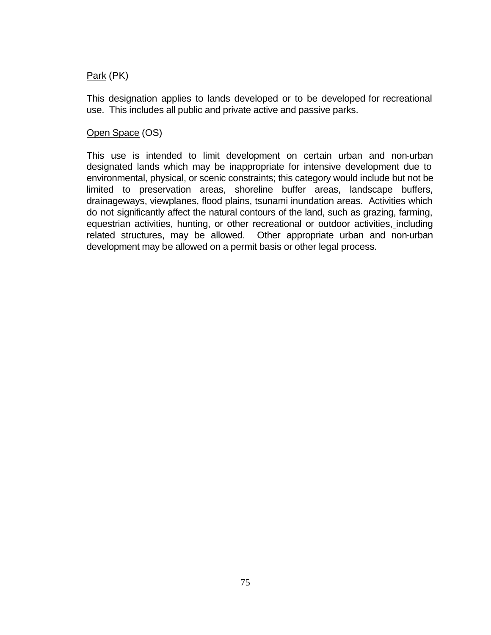# Park (PK)

This designation applies to lands developed or to be developed for recreational use. This includes all public and private active and passive parks.

# Open Space (OS)

This use is intended to limit development on certain urban and non-urban designated lands which may be inappropriate for intensive development due to environmental, physical, or scenic constraints; this category would include but not be limited to preservation areas, shoreline buffer areas, landscape buffers, drainageways, viewplanes, flood plains, tsunami inundation areas. Activities which do not significantly affect the natural contours of the land, such as grazing, farming, equestrian activities, hunting, or other recreational or outdoor activities, including related structures, may be allowed. Other appropriate urban and non-urban development may be allowed on a permit basis or other legal process.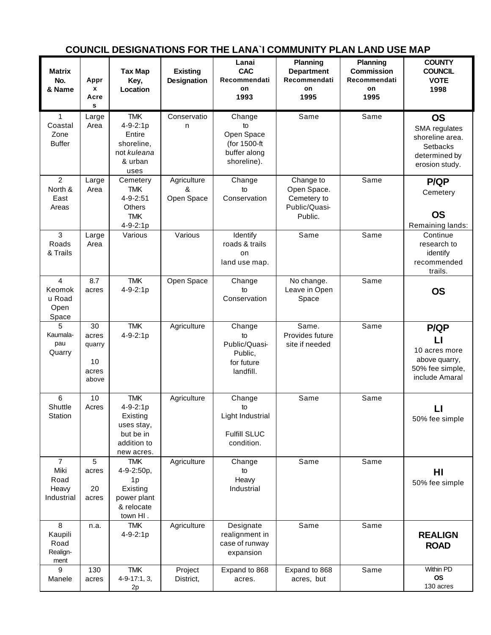| <b>Matrix</b><br>No.<br>& Name                        | Appr<br>$\mathbf{x}$<br>Acre<br>s             | <b>Tax Map</b><br>Key,<br>Location                                                         | <b>Existing</b><br><b>Designation</b> | Lanai<br><b>CAC</b><br>Recommendati<br>on<br>1993                         | <b>Planning</b><br><b>Department</b><br>Recommendati<br>on<br>1995  | <b>Planning</b><br><b>Commission</b><br>Recommendati<br>on<br>1995 | <b>COUNTY</b><br><b>COUNCIL</b><br><b>VOTE</b><br>1998                                              |
|-------------------------------------------------------|-----------------------------------------------|--------------------------------------------------------------------------------------------|---------------------------------------|---------------------------------------------------------------------------|---------------------------------------------------------------------|--------------------------------------------------------------------|-----------------------------------------------------------------------------------------------------|
| 1<br>Coastal<br>Zone<br><b>Buffer</b>                 | Large<br>Area                                 | <b>TMK</b><br>4-9-2:1p<br>Entire<br>shoreline,<br>not kuleana<br>& urban<br>uses           | Conservatio<br>n                      | Change<br>to<br>Open Space<br>(for 1500-ft<br>buffer along<br>shoreline). | Same                                                                | Same                                                               | <b>OS</b><br>SMA regulates<br>shoreline area.<br><b>Setbacks</b><br>determined by<br>erosion study. |
| $\overline{2}$<br>North &<br>East<br>Areas            | Large<br>Area                                 | Cemetery<br><b>TMK</b><br>$4 - 9 - 2:51$<br><b>Others</b><br><b>TMK</b><br>4-9-2:1p        | Agriculture<br>&<br>Open Space        | Change<br>to<br>Conservation                                              | Change to<br>Open Space.<br>Cemetery to<br>Public/Quasi-<br>Public. | Same                                                               | P/QP<br>Cemetery<br><b>OS</b><br>Remaining lands:                                                   |
| $\mathbf{3}$<br>Roads<br>& Trails                     | Large<br>Area                                 | Various                                                                                    | Various                               | Identify<br>roads & trails<br>on<br>land use map.                         | Same                                                                | Same                                                               | Continue<br>research to<br>identify<br>recommended<br>trails.                                       |
| 4<br>Keomok<br>u Road<br>Open<br>Space                | 8.7<br>acres                                  | <b>TMK</b><br>4-9-2:1p                                                                     | Open Space                            | Change<br>to<br>Conservation                                              | No change.<br>Leave in Open<br>Space                                | Same                                                               | <b>OS</b>                                                                                           |
| 5<br>Kaumala-<br>pau<br>Quarry                        | 30<br>acres<br>quarry<br>10<br>acres<br>above | <b>TMK</b><br>4-9-2:1p                                                                     | Agriculture                           | Change<br>to<br>Public/Quasi-<br>Public,<br>for future<br>landfill.       | Same.<br>Provides future<br>site if needed                          | Same                                                               | <b>P/QP</b><br>$\mathsf{L}$<br>10 acres more<br>above quarry,<br>50% fee simple,<br>include Amaral  |
| 6<br>Shuttle<br>Station                               | 10<br>Acres                                   | <b>TMK</b><br>4-9-2:1p<br>Existing<br>uses stay,<br>but be in<br>addition to<br>new acres. | Agriculture                           | Change<br>to<br>Light Industrial<br><b>Fulfill SLUC</b><br>condition.     | Same                                                                | Same                                                               | LI<br>50% fee simple                                                                                |
| $\overline{7}$<br>Miki<br>Road<br>Heavy<br>Industrial | 5<br>acres<br>20<br>acres                     | <b>TMK</b><br>4-9-2:50p,<br>1p<br>Existing<br>power plant<br>& relocate<br>town HI.        | Agriculture                           | Change<br>to<br>Heavy<br>Industrial                                       | Same                                                                | Same                                                               | HI<br>50% fee simple                                                                                |
| 8<br>Kaupili<br>Road<br>Realign-<br>ment              | n.a.                                          | <b>TMK</b><br>4-9-2:1p                                                                     | Agriculture                           | Designate<br>realignment in<br>case of runway<br>expansion                | Same                                                                | Same                                                               | <b>REALIGN</b><br><b>ROAD</b>                                                                       |
| 9<br>Manele                                           | 130<br>acres                                  | <b>TMK</b><br>4-9-17:1, 3,<br>2 <sub>p</sub>                                               | Project<br>District,                  | Expand to 868<br>acres.                                                   | Expand to 868<br>acres, but                                         | Same                                                               | Within PD<br><b>OS</b><br>130 acres                                                                 |

# **COUNCIL DESIGNATIONS FOR THE LANA`I COMMUNITY PLAN LAND USE MAP**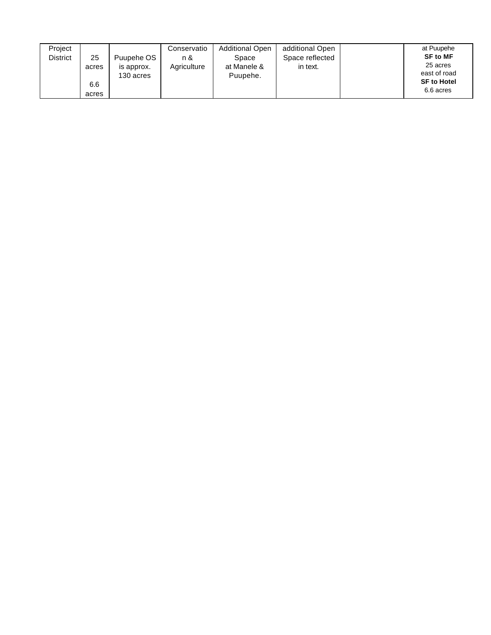| Project<br><b>District</b> | 25<br>acres  | Puupehe OS<br>is approx.<br>130 acres | Conservatio<br>n &<br>Agriculture | <b>Additional Open</b><br>Space<br>at Manele &<br>Puupehe. | additional Open<br>Space reflected<br>in text. | at Puupehe<br><b>SF to MF</b><br>25 acres<br>east of road |
|----------------------------|--------------|---------------------------------------|-----------------------------------|------------------------------------------------------------|------------------------------------------------|-----------------------------------------------------------|
|                            | 6.6<br>acres |                                       |                                   |                                                            |                                                | <b>SF to Hotel</b><br>6.6 acres                           |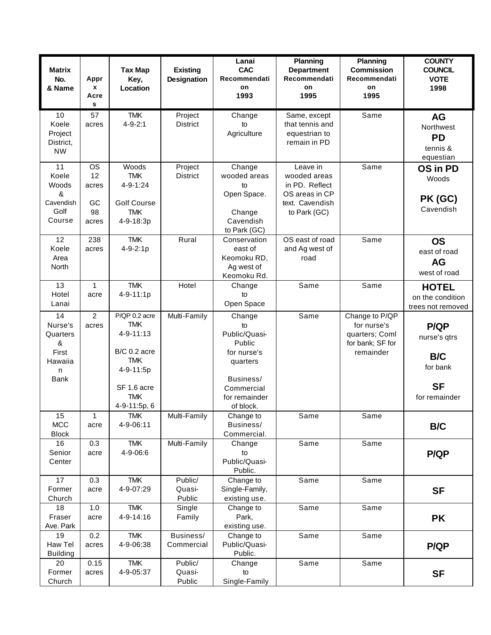| <b>Matrix</b><br>No.<br>& Name                                         | Appr<br>x<br>Acre<br>s                        | <b>Tax Map</b><br>Key,<br>Location                                                                                               | <b>Existing</b><br><b>Designation</b> | Lanai<br><b>CAC</b><br>Recommendati<br>on<br>1993                                                                           | <b>Planning</b><br><b>Department</b><br>Recommendati<br>on<br>1995                              | <b>Planning</b><br><b>Commission</b><br>Recommendati<br>on<br>1995               | <b>COUNTY</b><br><b>COUNCIL</b><br><b>VOTE</b><br>1998                              |
|------------------------------------------------------------------------|-----------------------------------------------|----------------------------------------------------------------------------------------------------------------------------------|---------------------------------------|-----------------------------------------------------------------------------------------------------------------------------|-------------------------------------------------------------------------------------------------|----------------------------------------------------------------------------------|-------------------------------------------------------------------------------------|
| 10<br>Koele<br>Project<br>District,<br><b>NW</b>                       | 57<br>acres                                   | <b>TMK</b><br>$4 - 9 - 2:1$                                                                                                      | Project<br><b>District</b>            | Change<br>to<br>Agriculture                                                                                                 | Same, except<br>that tennis and<br>equestrian to<br>remain in PD                                | Same                                                                             | <b>AG</b><br>Northwest<br><b>PD</b><br>tennis &<br>equestian                        |
| 11<br>Koele<br>Woods<br>&<br>Cavendish<br>Golf<br>Course               | <b>OS</b><br>12<br>acres<br>GC<br>98<br>acres | Woods<br><b>TMK</b><br>4-9-1:24<br><b>Golf Course</b><br><b>TMK</b><br>4-9-18:3p                                                 | Project<br><b>District</b>            | Change<br>wooded areas<br>to<br>Open Space.<br>Change<br>Cavendish<br>to Park (GC)                                          | Leave in<br>wooded areas<br>in PD. Reflect<br>OS areas in CP<br>text. Cavendish<br>to Park (GC) | Same                                                                             | OS in PD<br>Woods<br>PK (GC)<br>Cavendish                                           |
| 12<br>Koele<br>Area<br>North                                           | 238<br>acres                                  | <b>TMK</b><br>$4 - 9 - 2:1p$                                                                                                     | Rural                                 | Conservation<br>east of<br>Keomoku RD,<br>Ag west of<br>Keomoku Rd.                                                         | OS east of road<br>and Ag west of<br>road                                                       | Same                                                                             | <b>OS</b><br>east of road<br><b>AG</b><br>west of road                              |
| 13<br>Hotel<br>Lanai                                                   | $\mathbf{1}$<br>acre                          | <b>TMK</b><br>4-9-11:1p                                                                                                          | Hotel                                 | Change<br>to<br>Open Space                                                                                                  | Same                                                                                            | Same                                                                             | <b>HOTEL</b><br>on the condition<br>trees not removed                               |
| 14<br>Nurse's<br>Quarters<br>&<br>First<br>Hawaiia<br>n<br><b>Bank</b> | $\overline{2}$<br>acres                       | P/QP 0.2 acre<br><b>TMK</b><br>4-9-11:13<br>B/C 0.2 acre<br><b>TMK</b><br>4-9-11:5p<br>SF 1.6 acre<br><b>TMK</b><br>4-9-11:5p, 6 | Multi-Family                          | Change<br>to<br>Public/Quasi-<br>Public<br>for nurse's<br>quarters<br>Business/<br>Commercial<br>for remainder<br>of block. | Same                                                                                            | Change to P/QP<br>for nurse's<br>quarters; Coml<br>for bank; SF for<br>remainder | <b>P/QP</b><br>nurse's qtrs<br><b>B/C</b><br>for bank<br><b>SF</b><br>for remainder |
| 15<br><b>MCC</b><br><b>Block</b>                                       | 1<br>acre                                     | TMK.<br>4-9-06:11                                                                                                                | Multi-Family                          | Change to<br>Business/<br>Commercial.                                                                                       | Same                                                                                            | Same                                                                             | B/C                                                                                 |
| 16<br>Senior<br>Center                                                 | 0.3<br>acre                                   | <b>TMK</b><br>4-9-06:6                                                                                                           | Multi-Family                          | Change<br>to<br>Public/Quasi-<br>Public.                                                                                    | Same                                                                                            | Same                                                                             | <b>P/QP</b>                                                                         |
| 17<br>Former<br>Church                                                 | 0.3<br>acre                                   | <b>TMK</b><br>4-9-07:29                                                                                                          | Public/<br>Quasi-<br>Public           | Change to<br>Single-Family,<br>existing use.                                                                                | Same                                                                                            | Same                                                                             | <b>SF</b>                                                                           |
| 18<br>Fraser<br>Ave. Park                                              | 1.0<br>acre                                   | <b>TMK</b><br>4-9-14:16                                                                                                          | Single<br>Family                      | Change to<br>Park,<br>existing use.                                                                                         | Same                                                                                            | Same                                                                             | <b>PK</b>                                                                           |
| 19<br>Haw Tel<br><b>Building</b>                                       | 0.2<br>acres                                  | <b>TMK</b><br>4-9-06:38                                                                                                          | Business/<br>Commercial               | Change to<br>Public/Quasi-<br>Public.                                                                                       | Same                                                                                            | Same                                                                             | <b>P/QP</b>                                                                         |
| 20<br>Former<br>Church                                                 | 0.15<br>acres                                 | <b>TMK</b><br>4-9-05:37                                                                                                          | Public/<br>Quasi-<br>Public           | Change<br>to<br>Single-Family                                                                                               | Same                                                                                            | Same                                                                             | <b>SF</b>                                                                           |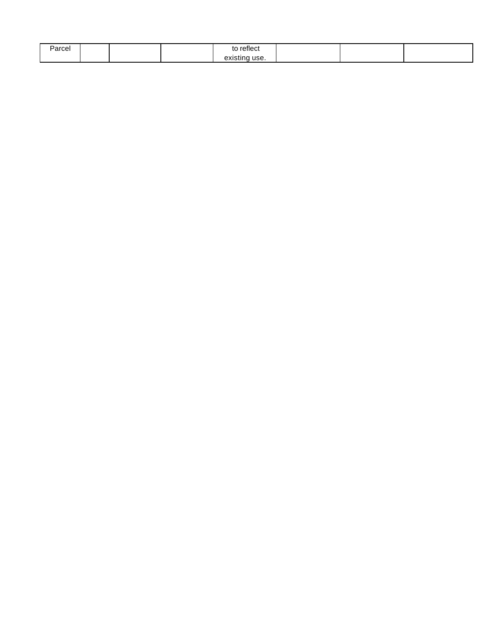| Parcel |  | $\cdot$<br>reflect<br>τC  |  |  |
|--------|--|---------------------------|--|--|
|        |  | avie.<br>use.<br>existinc |  |  |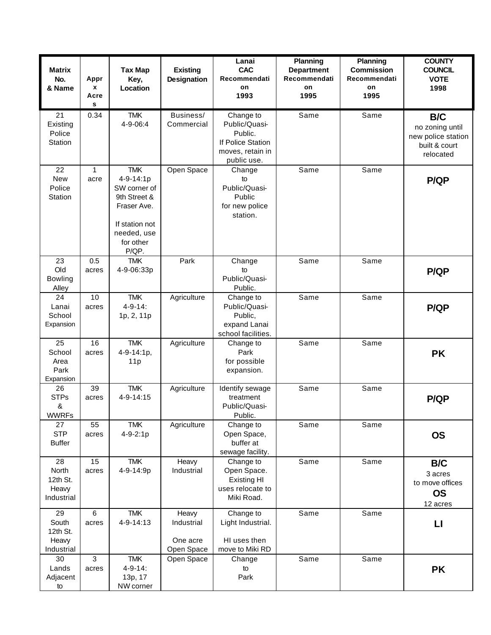| <b>Matrix</b><br>No.<br>& Name                 | Appr<br>X<br>Acre<br>s | <b>Tax Map</b><br>Key,<br>Location                                                                                            | <b>Existing</b><br>Designation                | Lanai<br><b>CAC</b><br>Recommendati<br>on<br>1993                                             | Planning<br><b>Department</b><br>Recommendati<br><b>on</b><br>1995 | <b>Planning</b><br><b>Commission</b><br>Recommendati<br>on<br>1995 | <b>COUNTY</b><br><b>COUNCIL</b><br><b>VOTE</b><br>1998                     |
|------------------------------------------------|------------------------|-------------------------------------------------------------------------------------------------------------------------------|-----------------------------------------------|-----------------------------------------------------------------------------------------------|--------------------------------------------------------------------|--------------------------------------------------------------------|----------------------------------------------------------------------------|
| 21<br>Existing<br>Police<br>Station            | 0.34                   | <b>TMK</b><br>4-9-06:4                                                                                                        | Business/<br>Commercial                       | Change to<br>Public/Quasi-<br>Public.<br>If Police Station<br>moves, retain in<br>public use. | Same                                                               | Same                                                               | B/C<br>no zoning until<br>new police station<br>built & court<br>relocated |
| 22<br><b>New</b><br>Police<br>Station          | $\mathbf{1}$<br>acre   | <b>TMK</b><br>4-9-14:1p<br>SW corner of<br>9th Street &<br>Fraser Ave.<br>If station not<br>needed, use<br>for other<br>P/QP. | Open Space                                    | Change<br>to<br>Public/Quasi-<br>Public<br>for new police<br>station.                         | Same                                                               | Same                                                               | <b>P/QP</b>                                                                |
| 23<br>Old<br>Bowling<br>Alley                  | 0.5<br>acres           | <b>TMK</b><br>4-9-06:33p                                                                                                      | Park                                          | Change<br>to<br>Public/Quasi-<br>Public.                                                      | Same                                                               | Same                                                               | <b>P/QP</b>                                                                |
| 24<br>Lanai<br>School<br>Expansion             | 10<br>acres            | <b>TMK</b><br>$4 - 9 - 14$ :<br>1p, 2, 11p                                                                                    | Agriculture                                   | Change to<br>Public/Quasi-<br>Public,<br>expand Lanai<br>school facilities.                   | Same                                                               | Same                                                               | <b>P/QP</b>                                                                |
| 25<br>School<br>Area<br>Park<br>Expansion      | 16<br>acres            | <b>TMK</b><br>4-9-14:1p,<br>11p                                                                                               | Agriculture                                   | Change to<br>Park<br>for possible<br>expansion.                                               | Same                                                               | Same                                                               | <b>PK</b>                                                                  |
| 26<br><b>STPs</b><br>&<br><b>WWRFs</b>         | 39<br>acres            | <b>TMK</b><br>4-9-14:15                                                                                                       | Agriculture                                   | Identify sewage<br>treatment<br>Public/Quasi-<br>Public.                                      | Same                                                               | Same                                                               | <b>P/QP</b>                                                                |
| 27<br><b>STP</b><br><b>Buffer</b>              | 55<br>acres            | <b>TMK</b><br>$4 - 9 - 2:1p$                                                                                                  | Agriculture                                   | Change to<br>Open Space,<br>buffer at<br>sewage facility.                                     | Same                                                               | Same                                                               | <b>OS</b>                                                                  |
| 28<br>North<br>12th St.<br>Heavy<br>Industrial | 15<br>acres            | <b>TMK</b><br>4-9-14:9p                                                                                                       | Heavy<br>Industrial                           | Change to<br>Open Space.<br><b>Existing HI</b><br>uses relocate to<br>Miki Road.              | Same                                                               | Same                                                               | B/C<br>3 acres<br>to move offices<br><b>OS</b><br>12 acres                 |
| 29<br>South<br>12th St.<br>Heavy<br>Industrial | 6<br>acres             | <b>TMK</b><br>4-9-14:13                                                                                                       | Heavy<br>Industrial<br>One acre<br>Open Space | Change to<br>Light Industrial.<br>HI uses then<br>move to Miki RD                             | Same                                                               | Same                                                               | $\mathsf{L}$                                                               |
| 30<br>Lands<br>Adjacent<br>to                  | 3<br>acres             | <b>TMK</b><br>$4 - 9 - 14$ :<br>13p, 17<br>NW corner                                                                          | Open Space                                    | Change<br>to<br>Park                                                                          | Same                                                               | Same                                                               | <b>PK</b>                                                                  |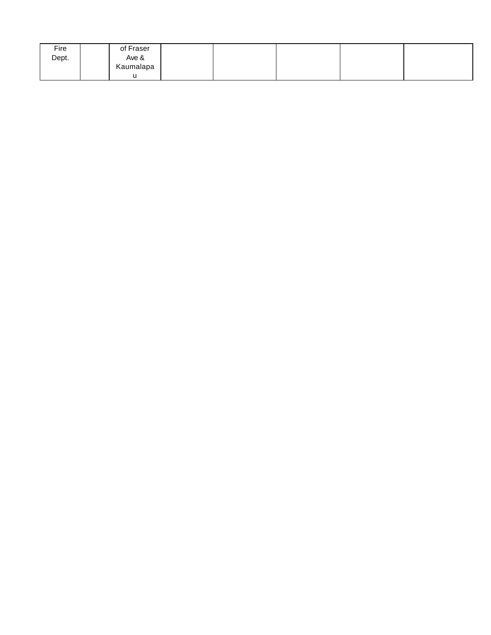| Fire  | of Fraser |  |  |  |
|-------|-----------|--|--|--|
| Dept. | Ave &     |  |  |  |
|       | Kaumalapa |  |  |  |
|       | u         |  |  |  |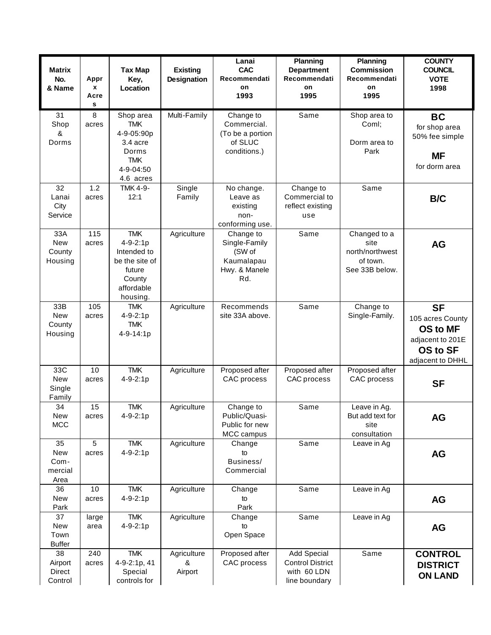| <b>Matrix</b><br>No.<br>& Name            | Appr<br>x<br>Acre<br>s | <b>Tax Map</b><br>Key,<br>Location                                                                          | <b>Existing</b><br>Designation | Lanai<br><b>CAC</b><br>Recommendati<br>on<br>1993                          | Planning<br><b>Department</b><br>Recommendati<br>on<br>1995                   | <b>Planning</b><br><b>Commission</b><br>Recommendati<br>on<br>1995    | <b>COUNTY</b><br><b>COUNCIL</b><br><b>VOTE</b><br>1998                                               |
|-------------------------------------------|------------------------|-------------------------------------------------------------------------------------------------------------|--------------------------------|----------------------------------------------------------------------------|-------------------------------------------------------------------------------|-----------------------------------------------------------------------|------------------------------------------------------------------------------------------------------|
| 31<br>Shop<br>&<br>Dorms                  | 8<br>acres             | Shop area<br><b>TMK</b><br>4-9-05:90p<br>3.4 acre<br>Dorms<br><b>TMK</b><br>4-9-04:50<br>4.6 acres          | Multi-Family                   | Change to<br>Commercial.<br>(To be a portion<br>of SLUC<br>conditions.)    | Same                                                                          | Shop area to<br>Coml;<br>Dorm area to<br>Park                         | <b>BC</b><br>for shop area<br>50% fee simple<br><b>MF</b><br>for dorm area                           |
| 32<br>Lanai<br>City<br>Service            | 1.2<br>acres           | <b>TMK 4-9-</b><br>12:1                                                                                     | Single<br>Family               | No change.<br>Leave as<br>existing<br>non-<br>conforming use.              | Change to<br>Commercial to<br>reflect existing<br>use                         | Same                                                                  | <b>B/C</b>                                                                                           |
| 33A<br><b>New</b><br>County<br>Housing    | 115<br>acres           | <b>TMK</b><br>$4 - 9 - 2:1p$<br>Intended to<br>be the site of<br>future<br>County<br>affordable<br>housing. | Agriculture                    | Change to<br>Single-Family<br>(SW of<br>Kaumalapau<br>Hwy. & Manele<br>Rd. | Same                                                                          | Changed to a<br>site<br>north/northwest<br>of town.<br>See 33B below. | <b>AG</b>                                                                                            |
| 33B<br><b>New</b><br>County<br>Housing    | 105<br>acres           | <b>TMK</b><br>$4 - 9 - 2:1p$<br><b>TMK</b><br>4-9-14:1p                                                     | Agriculture                    | Recommends<br>site 33A above.                                              | Same                                                                          | Change to<br>Single-Family.                                           | <b>SF</b><br>105 acres County<br>OS to MF<br>adjacent to 201E<br><b>OS to SF</b><br>adjacent to DHHL |
| 33C<br>New<br>Single<br>Family            | 10<br>acres            | <b>TMK</b><br>$4 - 9 - 2:1p$                                                                                | Agriculture                    | Proposed after<br>CAC process                                              | Proposed after<br>CAC process                                                 | Proposed after<br>CAC process                                         | <b>SF</b>                                                                                            |
| 34<br>New<br><b>MCC</b>                   | 15<br>acres            | <b>TMK</b><br>4-9-2:1p                                                                                      | Agriculture                    | Change to<br>Public/Quasi-<br>Public for new<br>MCC campus                 | Same                                                                          | Leave in Ag.<br>But add text for<br>site<br>consultation              | <b>AG</b>                                                                                            |
| 35<br>New<br>Com-<br>mercial<br>Area      | 5<br>acres             | <b>TMK</b><br>4-9-2:1p                                                                                      | Agriculture                    | Change<br>to<br>Business/<br>Commercial                                    | Same                                                                          | Leave in Ag                                                           | <b>AG</b>                                                                                            |
| 36<br>New<br>Park                         | 10<br>acres            | <b>TMK</b><br>4-9-2:1p                                                                                      | Agriculture                    | Change<br>to<br>Park                                                       | Same                                                                          | Leave in Ag                                                           | <b>AG</b>                                                                                            |
| 37<br><b>New</b><br>Town<br><b>Buffer</b> | large<br>area          | <b>TMK</b><br>4-9-2:1p                                                                                      | Agriculture                    | Change<br>to<br>Open Space                                                 | Same                                                                          | Leave in Ag                                                           | <b>AG</b>                                                                                            |
| 38<br>Airport<br>Direct<br>Control        | 240<br>acres           | <b>TMK</b><br>4-9-2:1p, 41<br>Special<br>controls for                                                       | Agriculture<br>&<br>Airport    | Proposed after<br>CAC process                                              | <b>Add Special</b><br><b>Control District</b><br>with 60 LDN<br>line boundary | Same                                                                  | <b>CONTROL</b><br><b>DISTRICT</b><br><b>ON LAND</b>                                                  |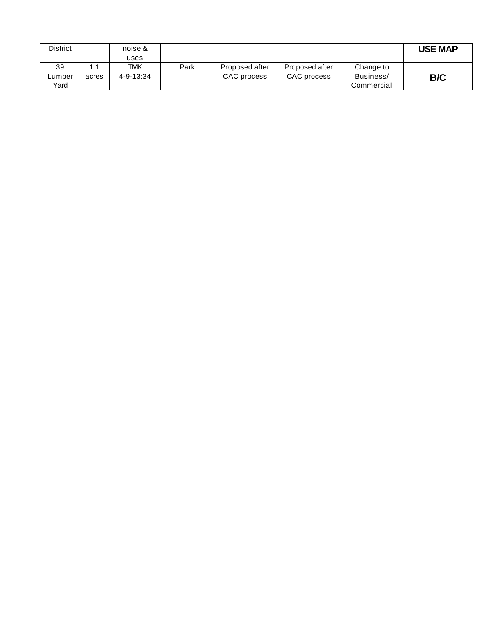| District |       | noise &   |      |                |                |            | <b>USE MAP</b> |
|----------|-------|-----------|------|----------------|----------------|------------|----------------|
|          |       | uses      |      |                |                |            |                |
| 39       | 1.1   | TMK       | Park | Proposed after | Proposed after | Change to  |                |
| ∟umber   | acres | 4-9-13:34 |      | CAC process    | CAC process    | Business/  | B/C            |
| Yard     |       |           |      |                |                | Commercial |                |